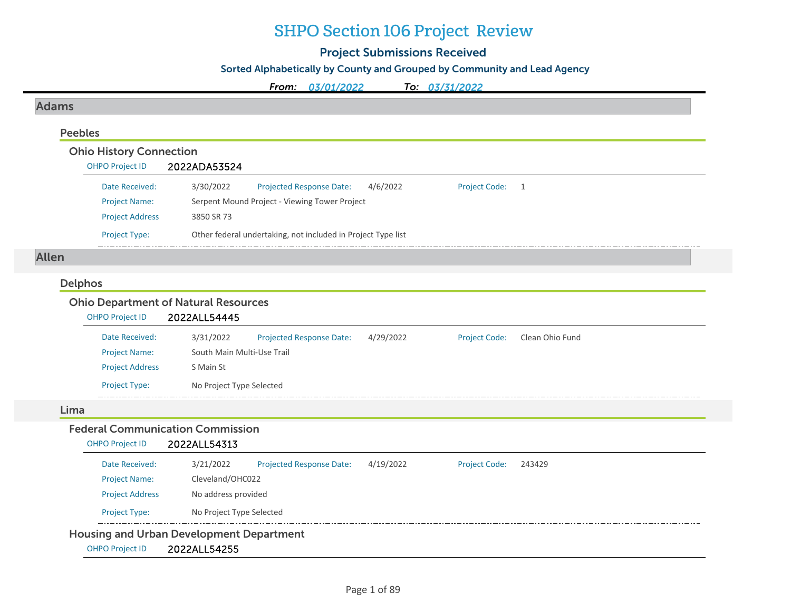## SHPO Section 106 Project Review

## Project Submissions Received

## Sorted Alphabetically by County and Grouped by Community and Lead Agency

*From: 03/01/2022To: 03/31/2022*

## Adams

#### Peebles

## Ohio History Connection

| <b>OHPO Project ID</b> | 2022ADA53524                                                                     |  |
|------------------------|----------------------------------------------------------------------------------|--|
| Date Received:         | 3/30/2022<br>4/6/2022<br><b>Projected Response Date:</b><br><b>Project Code:</b> |  |
| <b>Project Name:</b>   | Serpent Mound Project - Viewing Tower Project                                    |  |
| <b>Project Address</b> | 3850 SR 73                                                                       |  |
| <b>Project Type:</b>   | Other federal undertaking, not included in Project Type list                     |  |

## Allen

#### Delphos

## Ohio Department of Natural Resources

| <b>OHPO Project ID</b> | 2022ALL54445               |                                 |           |                      |                 |  |
|------------------------|----------------------------|---------------------------------|-----------|----------------------|-----------------|--|
| Date Received:         | 3/31/2022                  | <b>Projected Response Date:</b> | 4/29/2022 | <b>Project Code:</b> | Clean Ohio Fund |  |
| <b>Project Name:</b>   | South Main Multi-Use Trail |                                 |           |                      |                 |  |
| <b>Project Address</b> | S Main St                  |                                 |           |                      |                 |  |
| <b>Project Type:</b>   | No Project Type Selected   |                                 |           |                      |                 |  |

#### Lima

## Federal Communication Commission

#### OHPO Project ID 2022ALL54313

| Date Received:         | 3/21/2022                                       | <b>Projected Response Date:</b> | 4/19/2022 | <b>Project Code:</b> | 243429 |
|------------------------|-------------------------------------------------|---------------------------------|-----------|----------------------|--------|
| <b>Project Name:</b>   | Cleveland/OHC022                                |                                 |           |                      |        |
| <b>Project Address</b> | No address provided                             |                                 |           |                      |        |
| <b>Project Type:</b>   | No Project Type Selected                        |                                 |           |                      |        |
|                        | <b>Housing and Urban Development Department</b> |                                 |           |                      |        |
| <b>OHPO Project ID</b> | 2022ALL54255                                    |                                 |           |                      |        |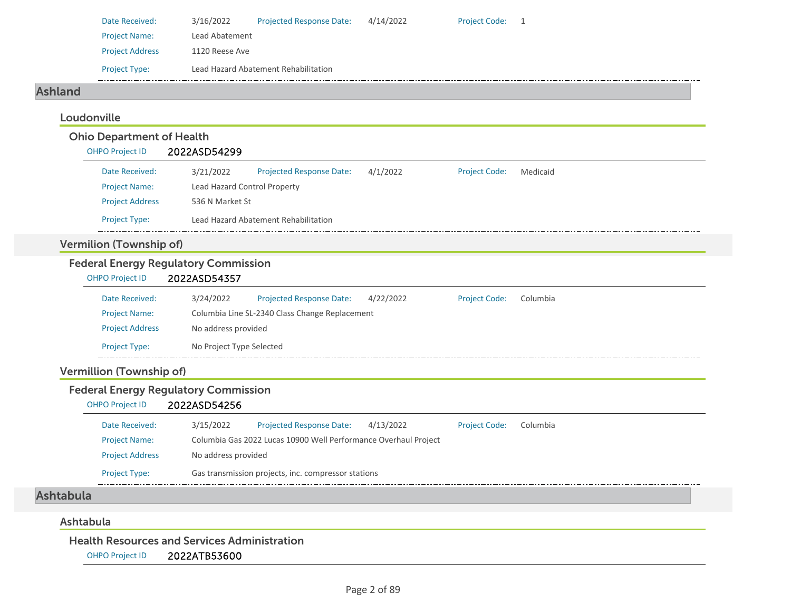| Date Received:         | 3/16/2022      | <b>Projected Response Date:</b>      | 4/14/2022 | <b>Project Code:</b> |  |
|------------------------|----------------|--------------------------------------|-----------|----------------------|--|
| <b>Project Name:</b>   | Lead Abatement |                                      |           |                      |  |
| <b>Project Address</b> | 1120 Reese Ave |                                      |           |                      |  |
| <b>Project Type:</b>   |                | Lead Hazard Abatement Rehabilitation |           |                      |  |

#### Ashland

## Loudonville

#### Ohio Department of Health OHPO Project ID 2022ASD54299 Date Received: 3/21/2022 Project Name: Lead Hazard Control Property Projected Response Date: 4/1/2022 Project Address 536 N Market St Project Type: Lead Hazard Abatement Rehabilitation Project Code: Medicaid

## Vermilion (Township of)

#### Federal Energy Regulatory Commission

| <b>OHPO Project ID</b> | 2022ASD54357             |                                                |           |                      |          |
|------------------------|--------------------------|------------------------------------------------|-----------|----------------------|----------|
| Date Received:         | 3/24/2022                | <b>Projected Response Date:</b>                | 4/22/2022 | <b>Project Code:</b> | Columbia |
| <b>Project Name:</b>   |                          | Columbia Line SL-2340 Class Change Replacement |           |                      |          |
| <b>Project Address</b> | No address provided      |                                                |           |                      |          |
| <b>Project Type:</b>   | No Project Type Selected |                                                |           |                      |          |

## Vermillion (Township of)

#### Federal Energy Regulatory Commission

#### OHPO Project ID 2022ASD54256

| Date Received:         | 3/15/2022           | <b>Projected Response Date:</b>                                 | 4/13/2022 | <b>Project Code:</b> | Columbia |  |  |  |
|------------------------|---------------------|-----------------------------------------------------------------|-----------|----------------------|----------|--|--|--|
| <b>Project Name:</b>   |                     | Columbia Gas 2022 Lucas 10900 Well Performance Overhaul Project |           |                      |          |  |  |  |
| <b>Project Address</b> | No address provided |                                                                 |           |                      |          |  |  |  |
| <b>Project Type:</b>   |                     | Gas transmission projects, inc. compressor stations             |           |                      |          |  |  |  |

#### Ashtabula

#### Ashtabula

#### Health Resources and Services Administration

OHPO Project ID 2022ATB53600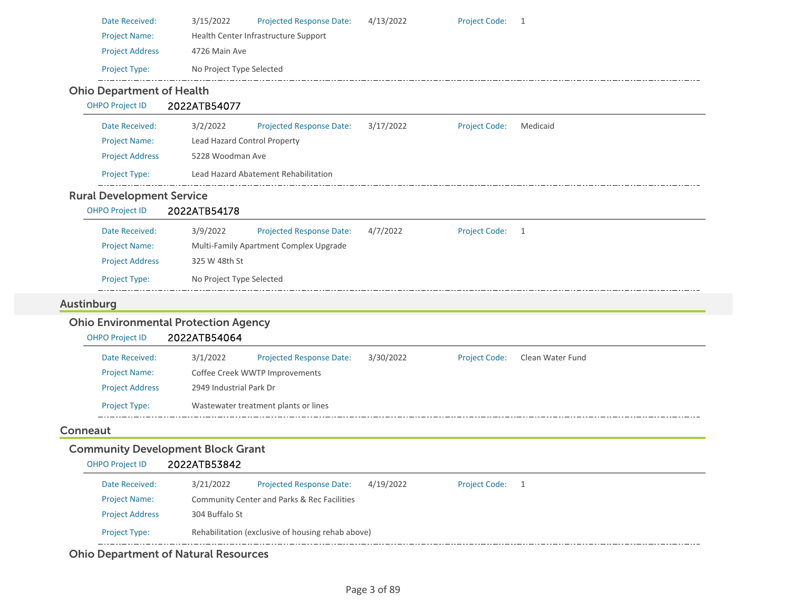| 3/15/2022                                                   | <b>Projected Response Date:</b>                                      | 4/13/2022                                                                                                                                                                                              | Project Code: 1      |                  |
|-------------------------------------------------------------|----------------------------------------------------------------------|--------------------------------------------------------------------------------------------------------------------------------------------------------------------------------------------------------|----------------------|------------------|
|                                                             |                                                                      |                                                                                                                                                                                                        |                      |                  |
| 4726 Main Ave                                               |                                                                      |                                                                                                                                                                                                        |                      |                  |
|                                                             |                                                                      |                                                                                                                                                                                                        |                      |                  |
|                                                             |                                                                      |                                                                                                                                                                                                        |                      |                  |
| 2022ATB54077                                                |                                                                      |                                                                                                                                                                                                        |                      |                  |
| 3/2/2022                                                    | <b>Projected Response Date:</b>                                      | 3/17/2022                                                                                                                                                                                              | <b>Project Code:</b> | Medicaid         |
|                                                             |                                                                      |                                                                                                                                                                                                        |                      |                  |
|                                                             |                                                                      |                                                                                                                                                                                                        |                      |                  |
|                                                             |                                                                      |                                                                                                                                                                                                        |                      |                  |
|                                                             |                                                                      |                                                                                                                                                                                                        |                      |                  |
| 2022ATB54178                                                |                                                                      |                                                                                                                                                                                                        |                      |                  |
| 3/9/2022                                                    | Projected Response Date:                                             | 4/7/2022                                                                                                                                                                                               | <b>Project Code:</b> | $\overline{1}$   |
|                                                             |                                                                      |                                                                                                                                                                                                        |                      |                  |
| 325 W 48th St                                               |                                                                      |                                                                                                                                                                                                        |                      |                  |
|                                                             |                                                                      |                                                                                                                                                                                                        |                      |                  |
| No Project Type Selected                                    |                                                                      |                                                                                                                                                                                                        |                      |                  |
|                                                             |                                                                      |                                                                                                                                                                                                        |                      |                  |
|                                                             |                                                                      |                                                                                                                                                                                                        |                      |                  |
| <b>Ohio Environmental Protection Agency</b><br>2022ATB54064 |                                                                      |                                                                                                                                                                                                        |                      |                  |
| 3/1/2022                                                    | <b>Projected Response Date:</b>                                      | 3/30/2022                                                                                                                                                                                              | <b>Project Code:</b> | Clean Water Fund |
|                                                             | Coffee Creek WWTP Improvements                                       |                                                                                                                                                                                                        |                      |                  |
| 2949 Industrial Park Dr                                     |                                                                      |                                                                                                                                                                                                        |                      |                  |
|                                                             | Wastewater treatment plants or lines                                 |                                                                                                                                                                                                        |                      |                  |
|                                                             |                                                                      |                                                                                                                                                                                                        |                      |                  |
| <b>Community Development Block Grant</b>                    |                                                                      |                                                                                                                                                                                                        |                      |                  |
| 2022ATB53842                                                |                                                                      |                                                                                                                                                                                                        |                      |                  |
| 3/21/2022                                                   | <b>Projected Response Date:</b>                                      | 4/19/2022                                                                                                                                                                                              | Project Code: 1      |                  |
|                                                             | Community Center and Parks & Rec Facilities                          |                                                                                                                                                                                                        |                      |                  |
| 304 Buffalo St                                              |                                                                      |                                                                                                                                                                                                        |                      |                  |
|                                                             | <b>Ohio Department of Health</b><br><b>Rural Development Service</b> | Health Center Infrastructure Support<br>No Project Type Selected<br>Lead Hazard Control Property<br>5228 Woodman Ave<br>Lead Hazard Abatement Rehabilitation<br>Multi-Family Apartment Complex Upgrade |                      |                  |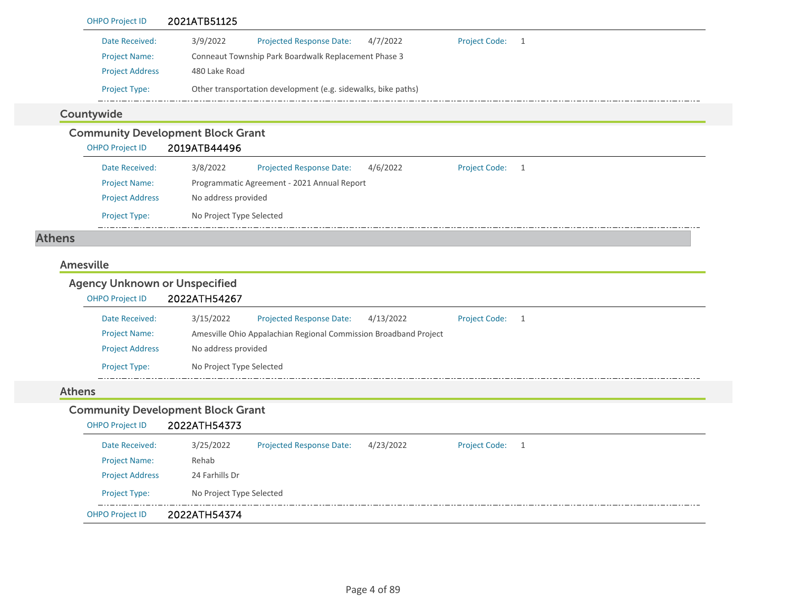| <b>OHPO Project ID</b>                                         | 2021ATB51125                                                                                        |
|----------------------------------------------------------------|-----------------------------------------------------------------------------------------------------|
| Date Received:                                                 | 3/9/2022<br><b>Projected Response Date:</b><br>4/7/2022<br><b>Project Code:</b><br>$\overline{1}$   |
| <b>Project Name:</b>                                           | Conneaut Township Park Boardwalk Replacement Phase 3                                                |
| <b>Project Address</b>                                         | 480 Lake Road                                                                                       |
| Project Type:                                                  | Other transportation development (e.g. sidewalks, bike paths)                                       |
| Countywide                                                     |                                                                                                     |
|                                                                | <b>Community Development Block Grant</b>                                                            |
| <b>OHPO Project ID</b>                                         | 2019ATB44496                                                                                        |
| Date Received:                                                 | 3/8/2022<br><b>Projected Response Date:</b><br>4/6/2022<br><b>Project Code:</b><br>$\overline{1}$   |
| <b>Project Name:</b>                                           | Programmatic Agreement - 2021 Annual Report                                                         |
| <b>Project Address</b>                                         | No address provided                                                                                 |
| Project Type:                                                  | No Project Type Selected                                                                            |
| <b>Athens</b>                                                  |                                                                                                     |
| <b>Agency Unknown or Unspecified</b><br><b>OHPO Project ID</b> | 2022ATH54267                                                                                        |
| Date Received:                                                 | <b>Project Code:</b><br>3/15/2022<br>Projected Response Date:<br>4/13/2022<br>$\overline{1}$        |
| <b>Project Name:</b>                                           | Amesville Ohio Appalachian Regional Commission Broadband Project                                    |
| <b>Project Address</b>                                         | No address provided                                                                                 |
| Project Type:                                                  | No Project Type Selected                                                                            |
| <b>Athens</b>                                                  |                                                                                                     |
|                                                                | <b>Community Development Block Grant</b>                                                            |
| <b>OHPO Project ID</b>                                         | 2022ATH54373                                                                                        |
| Date Received:                                                 | 3/25/2022<br><b>Projected Response Date:</b><br>4/23/2022<br><b>Project Code:</b><br>$\overline{1}$ |
| <b>Project Name:</b>                                           | Rehab                                                                                               |
| <b>Project Address</b>                                         | 24 Farhills Dr                                                                                      |
| Project Type:                                                  |                                                                                                     |
|                                                                | No Project Type Selected                                                                            |
| <b>OHPO Project ID</b>                                         | 2022ATH54374                                                                                        |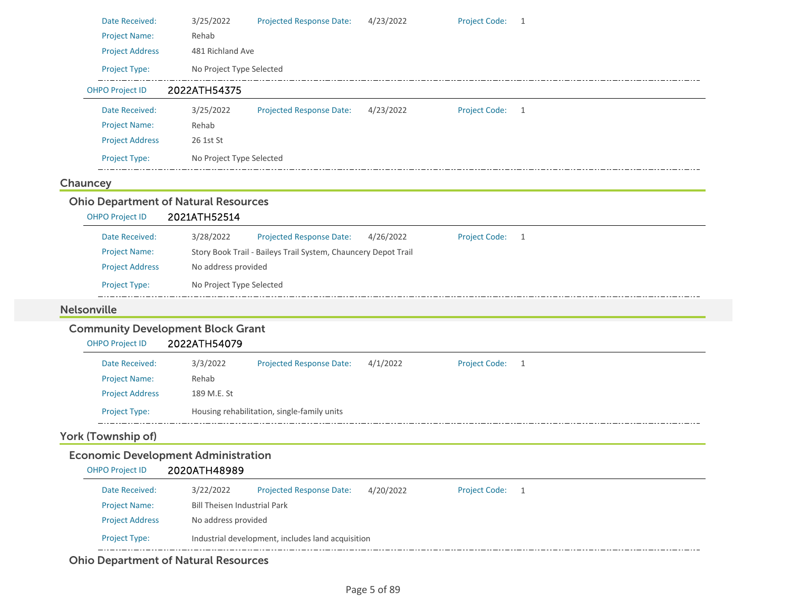| Date Received:                              | 3/25/2022                           | Projected Response Date:                                       | 4/23/2022 | <b>Project Code:</b> | 1 |
|---------------------------------------------|-------------------------------------|----------------------------------------------------------------|-----------|----------------------|---|
| <b>Project Name:</b>                        | Rehab                               |                                                                |           |                      |   |
| <b>Project Address</b>                      | 481 Richland Ave                    |                                                                |           |                      |   |
| Project Type:                               | No Project Type Selected            |                                                                |           |                      |   |
| <b>OHPO Project ID</b>                      | 2022ATH54375                        |                                                                |           |                      |   |
| Date Received:                              | 3/25/2022                           | <b>Projected Response Date:</b>                                | 4/23/2022 | <b>Project Code:</b> | 1 |
| <b>Project Name:</b>                        | Rehab                               |                                                                |           |                      |   |
| <b>Project Address</b>                      | 26 1st St                           |                                                                |           |                      |   |
| Project Type:                               | No Project Type Selected            |                                                                |           |                      |   |
| Chauncey                                    |                                     |                                                                |           |                      |   |
| <b>Ohio Department of Natural Resources</b> |                                     |                                                                |           |                      |   |
| <b>OHPO Project ID</b>                      | 2021ATH52514                        |                                                                |           |                      |   |
| Date Received:                              | 3/28/2022                           | Projected Response Date:                                       | 4/26/2022 | <b>Project Code:</b> | 1 |
| <b>Project Name:</b>                        |                                     | Story Book Trail - Baileys Trail System, Chauncery Depot Trail |           |                      |   |
| <b>Project Address</b>                      | No address provided                 |                                                                |           |                      |   |
| Project Type:                               | No Project Type Selected            |                                                                |           |                      |   |
| <b>Nelsonville</b>                          |                                     |                                                                |           |                      |   |
| <b>Community Development Block Grant</b>    |                                     |                                                                |           |                      |   |
| <b>OHPO Project ID</b>                      | 2022ATH54079                        |                                                                |           |                      |   |
| Date Received:                              | 3/3/2022                            | <b>Projected Response Date:</b>                                | 4/1/2022  | <b>Project Code:</b> | 1 |
| <b>Project Name:</b>                        | Rehab                               |                                                                |           |                      |   |
| <b>Project Address</b>                      | 189 M.E. St                         |                                                                |           |                      |   |
| Project Type:                               |                                     | Housing rehabilitation, single-family units                    |           |                      |   |
| York (Township of)                          |                                     |                                                                |           |                      |   |
| <b>Economic Development Administration</b>  |                                     |                                                                |           |                      |   |
| <b>OHPO Project ID</b>                      | 2020ATH48989                        |                                                                |           |                      |   |
| Date Received:                              | 3/22/2022                           | <b>Projected Response Date:</b>                                | 4/20/2022 | <b>Project Code:</b> | 1 |
| <b>Project Name:</b>                        | <b>Bill Theisen Industrial Park</b> |                                                                |           |                      |   |
| <b>Project Address</b>                      | No address provided                 |                                                                |           |                      |   |
| Project Type:                               |                                     | Industrial development, includes land acquisition              |           |                      |   |
|                                             |                                     |                                                                |           |                      |   |

Ohio Department of Natural Resources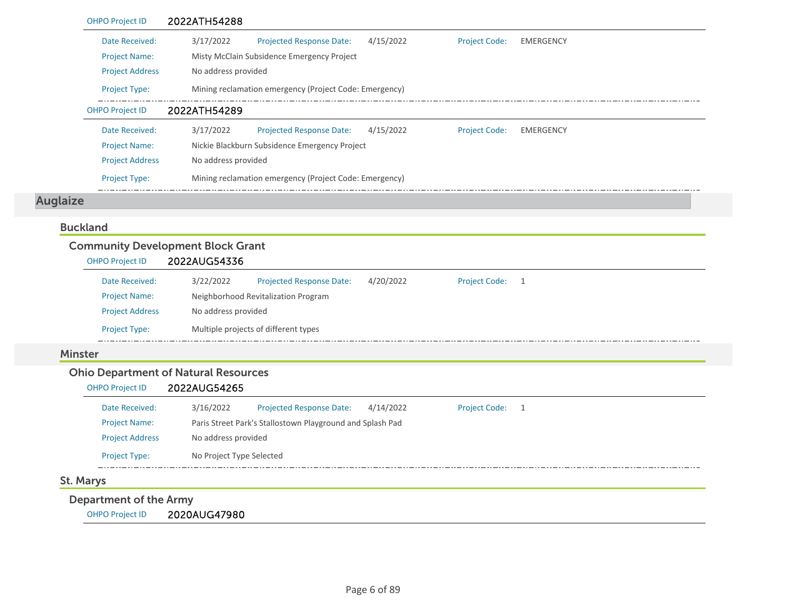|                 | <b>OHPO Project ID</b> | 2022ATH54288                                              |                      |                  |
|-----------------|------------------------|-----------------------------------------------------------|----------------------|------------------|
|                 | Date Received:         | 3/17/2022<br><b>Projected Response Date:</b><br>4/15/2022 | <b>Project Code:</b> | <b>EMERGENCY</b> |
|                 | <b>Project Name:</b>   | Misty McClain Subsidence Emergency Project                |                      |                  |
|                 | <b>Project Address</b> | No address provided                                       |                      |                  |
|                 | Project Type:          | Mining reclamation emergency (Project Code: Emergency)    |                      |                  |
|                 | <b>OHPO Project ID</b> | 2022ATH54289                                              |                      |                  |
|                 | Date Received:         | 3/17/2022<br>Projected Response Date:<br>4/15/2022        | <b>Project Code:</b> | <b>EMERGENCY</b> |
|                 | <b>Project Name:</b>   | Nickie Blackburn Subsidence Emergency Project             |                      |                  |
|                 | <b>Project Address</b> | No address provided                                       |                      |                  |
|                 | Project Type:          | Mining reclamation emergency (Project Code: Emergency)    |                      |                  |
| <b>Auglaize</b> |                        |                                                           |                      |                  |
|                 |                        |                                                           |                      |                  |
|                 | <b>Buckland</b>        |                                                           |                      |                  |
|                 |                        |                                                           |                      |                  |
|                 | <b>OHPO Project ID</b> | <b>Community Development Block Grant</b><br>2022AUG54336  |                      |                  |
|                 | Date Received:         | 3/22/2022<br><b>Projected Response Date:</b><br>4/20/2022 | <b>Project Code:</b> | $\overline{1}$   |
|                 | <b>Project Name:</b>   | Neighborhood Revitalization Program                       |                      |                  |
|                 | <b>Project Address</b> | No address provided                                       |                      |                  |
|                 | Project Type:          | Multiple projects of different types                      |                      |                  |
|                 | <b>Minster</b>         |                                                           |                      |                  |
|                 |                        | <b>Ohio Department of Natural Resources</b>               |                      |                  |
|                 | <b>OHPO Project ID</b> | 2022AUG54265                                              |                      |                  |
|                 | Date Received:         | <b>Projected Response Date:</b><br>4/14/2022<br>3/16/2022 | <b>Project Code:</b> | $\overline{1}$   |
|                 | <b>Project Name:</b>   | Paris Street Park's Stallostown Playground and Splash Pad |                      |                  |
|                 | <b>Project Address</b> | No address provided                                       |                      |                  |

## St. Marys

Department of the Army

OHPO Project ID 2020AUG47980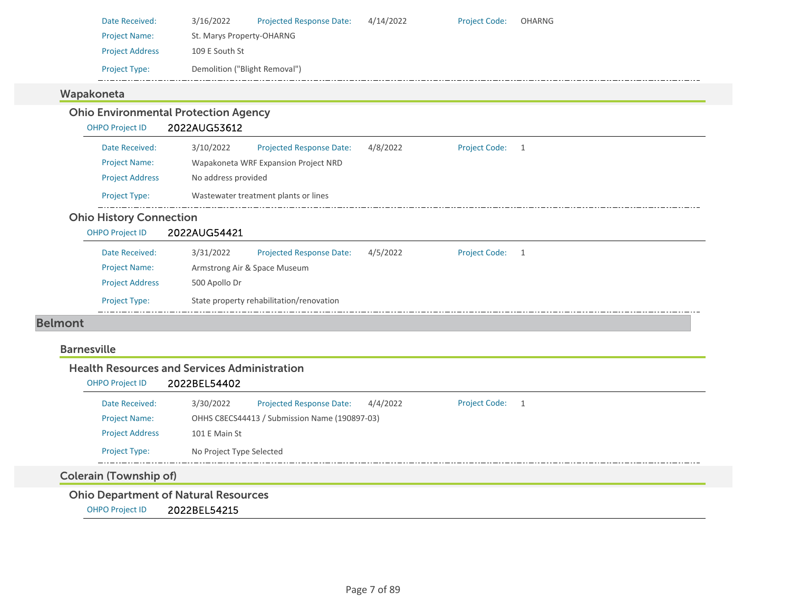| Date Received:         | 3/16/2022                     | <b>Projected Response Date:</b> | 4/14/2022 | <b>Project Code:</b> | OHARNG |
|------------------------|-------------------------------|---------------------------------|-----------|----------------------|--------|
| <b>Project Name:</b>   | St. Marys Property-OHARNG     |                                 |           |                      |        |
| <b>Project Address</b> | 109 E South St                |                                 |           |                      |        |
| <b>Project Type:</b>   | Demolition ("Blight Removal") |                                 |           |                      |        |
| koneta                 |                               |                                 |           |                      |        |

#### Wapa

#### Ohio Environmental Protection Agency OHPO Project ID 2022AUG53612 Date Received: 3/10/2022 Projected Response Date: 4/8/2022 Project Code: 1 Project Name: Wapakoneta WRF Expansion Project NRD Project Address No address provided Project Type: Wastewater treatment plants or lines  $\pm$  . . . Ohio History Connection OHPO Project ID 2022AUG54421 Projected Response Date: 4/5/2022 Date Received: 3/31/2022 Project Code: 1 Project Name: Armstrong Air & Space Museum Project Address 500 Apollo Dr Project Type: State property rehabilitation/renovation Belmont

#### Barnesville

#### Health Resources and Services Administration

| <b>OHPO Project ID</b> | 2022BEL54402             |                                               |          |                      |     |
|------------------------|--------------------------|-----------------------------------------------|----------|----------------------|-----|
| Date Received:         | 3/30/2022                | <b>Projected Response Date:</b>               | 4/4/2022 | <b>Project Code:</b> | - 1 |
| <b>Project Name:</b>   |                          | OHHS C8ECS44413 / Submission Name (190897-03) |          |                      |     |
| <b>Project Address</b> | 101 E Main St            |                                               |          |                      |     |
| <b>Project Type:</b>   | No Project Type Selected |                                               |          |                      |     |
|                        |                          |                                               |          |                      |     |

## Colerain (Township of)

Ohio Department of Natural Resources

OHPO Project ID 2022BEL54215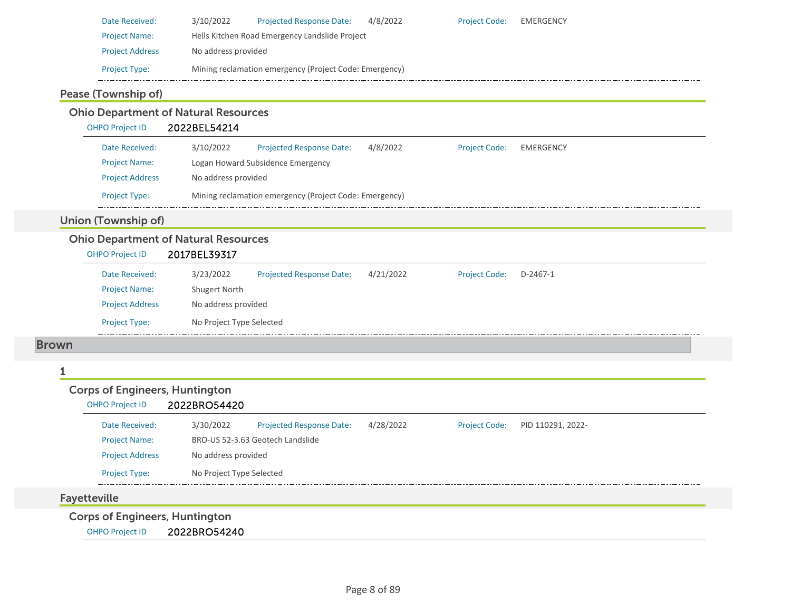| Date Received:         | 3/10/2022           | <b>Projected Response Date:</b>                        | 4/8/2022 | <b>Project Code:</b> | <b>EMERGENCY</b> |
|------------------------|---------------------|--------------------------------------------------------|----------|----------------------|------------------|
| <b>Project Name:</b>   |                     | Hells Kitchen Road Emergency Landslide Project         |          |                      |                  |
| <b>Project Address</b> | No address provided |                                                        |          |                      |                  |
| <b>Project Type:</b>   |                     | Mining reclamation emergency (Project Code: Emergency) |          |                      |                  |

#### Pease (Township of)

#### Ohio Department of Natural Resources OHPO Project ID 2022BEL54214 Date Received: 3/10/2022 Projected Response Date: 4/8/2022 Project Code: EMERGENCY Project Name: Logan Howard Subsidence Emergency Project Address No address provided Project Type: Mining reclamation emergency (Project Code: Emergency)  $\pm$  . . . Union (Township of) Ohio Department of Natural Resources OHPO Project ID 2017BEL39317 3/23/2022 Projected Response Date: 4/21/2022 Date Received:Project Code: D‐2467‐1 Project Name: Shugert North Project Address No address provided Project Type: No Project Type Selected Brown

#### 1

#### Corps of Engineers, Huntington

#### OHPO Project ID 2022BRO54420

| Date Received:         | 3/30/2022                | <b>Projected Response Date:</b>  | 4/28/2022 | <b>Project Code:</b> | PID 110291, 2022- |
|------------------------|--------------------------|----------------------------------|-----------|----------------------|-------------------|
| <b>Project Name:</b>   |                          | BRO-US 52-3.63 Geotech Landslide |           |                      |                   |
| <b>Project Address</b> | No address provided      |                                  |           |                      |                   |
| <b>Project Type:</b>   | No Project Type Selected |                                  |           |                      |                   |

#### Fayetteville

Corps of Engineers, Huntington

OHPO Project ID 2022BRO54240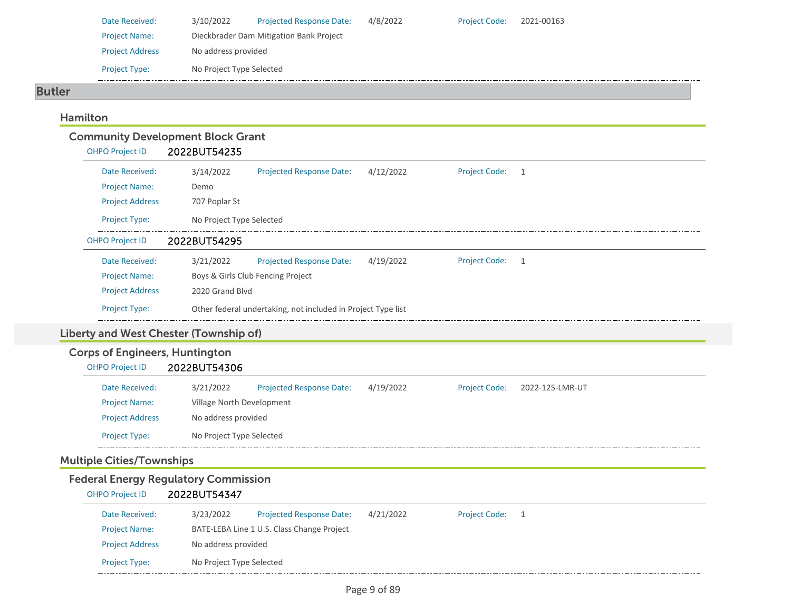| Date Received:         | 3/10/2022                | <b>Projected Response Date:</b>         | 4/8/2022 | <b>Project Code:</b> | 2021-00163 |
|------------------------|--------------------------|-----------------------------------------|----------|----------------------|------------|
| <b>Project Name:</b>   |                          | Dieckbrader Dam Mitigation Bank Project |          |                      |            |
| <b>Project Address</b> | No address provided      |                                         |          |                      |            |
| <b>Project Type:</b>   | No Project Type Selected |                                         |          |                      |            |

#### Butler

## Hamilton

|                                                                 | <b>Community Development Block Grant</b>                                                             |
|-----------------------------------------------------------------|------------------------------------------------------------------------------------------------------|
| <b>OHPO Project ID</b>                                          | 2022BUT54235                                                                                         |
| Date Received:                                                  | 3/14/2022<br><b>Projected Response Date:</b><br>4/12/2022<br><b>Project Code:</b><br>1               |
| <b>Project Name:</b>                                            | Demo                                                                                                 |
| <b>Project Address</b>                                          | 707 Poplar St                                                                                        |
| Project Type:                                                   | No Project Type Selected                                                                             |
| <b>OHPO Project ID</b>                                          | 2022BUT54295                                                                                         |
| Date Received:                                                  | 3/21/2022<br><b>Projected Response Date:</b><br>4/19/2022<br><b>Project Code:</b><br>$\mathbf{1}$    |
| <b>Project Name:</b>                                            | Boys & Girls Club Fencing Project                                                                    |
| <b>Project Address</b>                                          | 2020 Grand Blvd                                                                                      |
| Project Type:                                                   | Other federal undertaking, not included in Project Type list                                         |
|                                                                 | Liberty and West Chester (Township of)                                                               |
| <b>Corps of Engineers, Huntington</b><br><b>OHPO Project ID</b> | 2022BUT54306                                                                                         |
| Date Received:                                                  | 3/21/2022<br><b>Projected Response Date:</b><br>4/19/2022<br><b>Project Code:</b><br>2022-125-LMR-UT |
| <b>Project Name:</b>                                            | Village North Development                                                                            |
| <b>Project Address</b>                                          | No address provided                                                                                  |
| <b>Project Type:</b>                                            | No Project Type Selected                                                                             |

## Multiple Cities/Townships

# Federal Energy Regulatory Commission<br>
OHPO Project ID 2022BUT54347

| OHPO Project ID        | 2022BUT54347             |                                            |           |                      |  |  |
|------------------------|--------------------------|--------------------------------------------|-----------|----------------------|--|--|
| Date Received:         | 3/23/2022                | <b>Projected Response Date:</b>            | 4/21/2022 | <b>Project Code:</b> |  |  |
| <b>Project Name:</b>   |                          | BATE-LEBA Line 1 U.S. Class Change Project |           |                      |  |  |
| <b>Project Address</b> | No address provided      |                                            |           |                      |  |  |
| <b>Project Type:</b>   | No Project Type Selected |                                            |           |                      |  |  |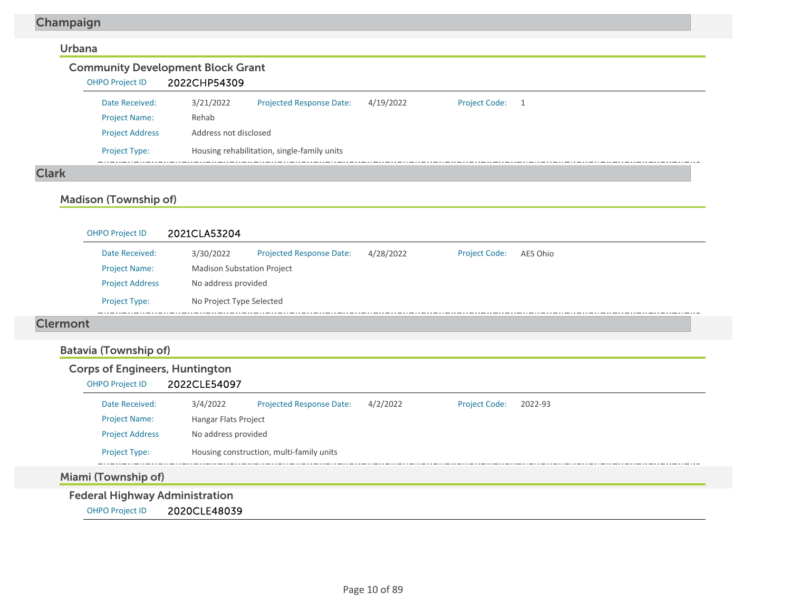## Champaign

#### Urbana

#### Community Development Block Grant OHPO Project ID 2022CHP54309 3/21/2022 Projected Response Date: 4/19/2022 Date Received:Project Code: 1 Project Name: Rehab Project Address Address not disclosed Project Type: Housing rehabilitation, single-family units  $\frac{1}{2}$  and  $\frac{1}{2}$

#### Clark

## Madison (Township of)

| 2021CLA53204 |                                 |                                                                                      |                      |          |
|--------------|---------------------------------|--------------------------------------------------------------------------------------|----------------------|----------|
| 3/30/2022    | <b>Projected Response Date:</b> | 4/28/2022                                                                            | <b>Project Code:</b> | AES Ohio |
|              |                                 |                                                                                      |                      |          |
|              |                                 |                                                                                      |                      |          |
|              |                                 |                                                                                      |                      |          |
|              |                                 | <b>Madison Substation Project</b><br>No address provided<br>No Project Type Selected |                      |          |

#### Clermont

## Batavia (Township of)

| <b>Corps of Engineers, Huntington</b> |                      |                                          |          |                      |         |
|---------------------------------------|----------------------|------------------------------------------|----------|----------------------|---------|
| <b>OHPO Project ID</b>                | 2022CLE54097         |                                          |          |                      |         |
| Date Received:                        | 3/4/2022             | <b>Projected Response Date:</b>          | 4/2/2022 | <b>Project Code:</b> | 2022-93 |
| <b>Project Name:</b>                  | Hangar Flats Project |                                          |          |                      |         |
| <b>Project Address</b>                | No address provided  |                                          |          |                      |         |
| <b>Project Type:</b>                  |                      | Housing construction, multi-family units |          |                      |         |
| Miami (Township of)                   |                      |                                          |          |                      |         |
|                                       |                      |                                          |          |                      |         |
| <b>Federal Highway Administration</b> |                      |                                          |          |                      |         |

OHPO Project ID 2020CLE48039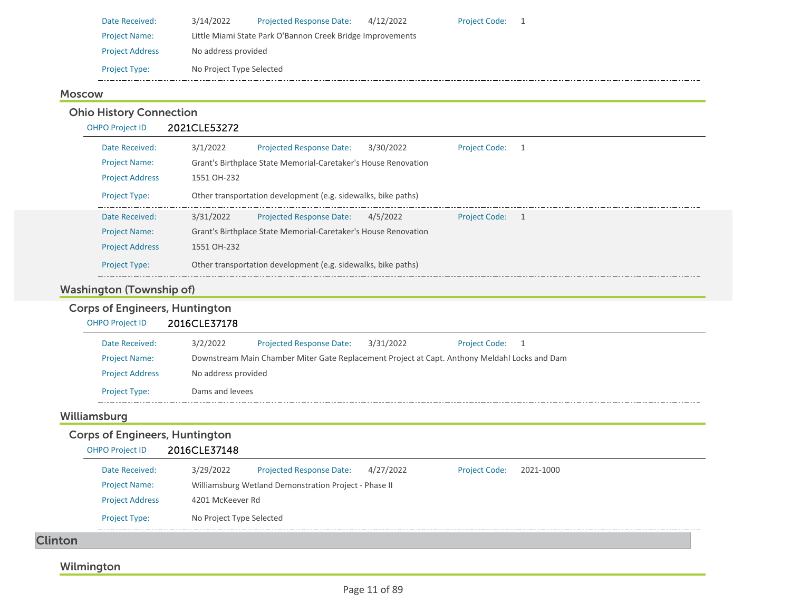| 3/14/2022<br><b>Projected Response Date:</b><br>4/12/2022<br>Date Received:<br><b>Project Code:</b> |  |
|-----------------------------------------------------------------------------------------------------|--|
| Little Miami State Park O'Bannon Creek Bridge Improvements<br><b>Project Name:</b>                  |  |
| No address provided<br><b>Project Address</b>                                                       |  |
| No Project Type Selected<br><b>Project Type:</b>                                                    |  |

## Moscow

Ohio History Connection

| <b>OHPO Project ID</b> | 2021CLE53272                                                                                     |
|------------------------|--------------------------------------------------------------------------------------------------|
| Date Received:         | 3/1/2022<br><b>Projected Response Date:</b><br>3/30/2022<br><b>Project Code:</b><br>$\mathbf{1}$ |
| <b>Project Name:</b>   | Grant's Birthplace State Memorial-Caretaker's House Renovation                                   |
| <b>Project Address</b> | 1551 OH-232                                                                                      |
| <b>Project Type:</b>   | Other transportation development (e.g. sidewalks, bike paths)                                    |
| Date Received:         | 3/31/2022<br><b>Projected Response Date:</b><br>4/5/2022<br><b>Project Code:</b><br>$\sim$ 1     |
| <b>Project Name:</b>   | Grant's Birthplace State Memorial-Caretaker's House Renovation                                   |
| <b>Project Address</b> | 1551 OH-232                                                                                      |
| <b>Project Type:</b>   | Other transportation development (e.g. sidewalks, bike paths)                                    |

## Washington (Township of)

## Corps of Engineers, Huntington

| <b>OHPO Project ID</b>                                          | 2016CLE37178        |                                                                                               |           |                      |           |  |
|-----------------------------------------------------------------|---------------------|-----------------------------------------------------------------------------------------------|-----------|----------------------|-----------|--|
| Date Received:                                                  | 3/2/2022            | Projected Response Date:                                                                      | 3/31/2022 | <b>Project Code:</b> | 1         |  |
| <b>Project Name:</b>                                            |                     | Downstream Main Chamber Miter Gate Replacement Project at Capt. Anthony Meldahl Locks and Dam |           |                      |           |  |
| <b>Project Address</b>                                          | No address provided |                                                                                               |           |                      |           |  |
| <b>Project Type:</b>                                            | Dams and levees     |                                                                                               |           |                      |           |  |
|                                                                 |                     |                                                                                               |           |                      |           |  |
| Williamsburg                                                    |                     |                                                                                               |           |                      |           |  |
| <b>Corps of Engineers, Huntington</b><br><b>OHPO Project ID</b> | 2016CLE37148        |                                                                                               |           |                      |           |  |
| Date Received:                                                  | 3/29/2022           | <b>Projected Response Date:</b>                                                               | 4/27/2022 | <b>Project Code:</b> | 2021-1000 |  |
| <b>Project Name:</b>                                            |                     | Williamsburg Wetland Demonstration Project - Phase II                                         |           |                      |           |  |
| <b>Project Address</b>                                          | 4201 McKeever Rd    |                                                                                               |           |                      |           |  |

## Wilmington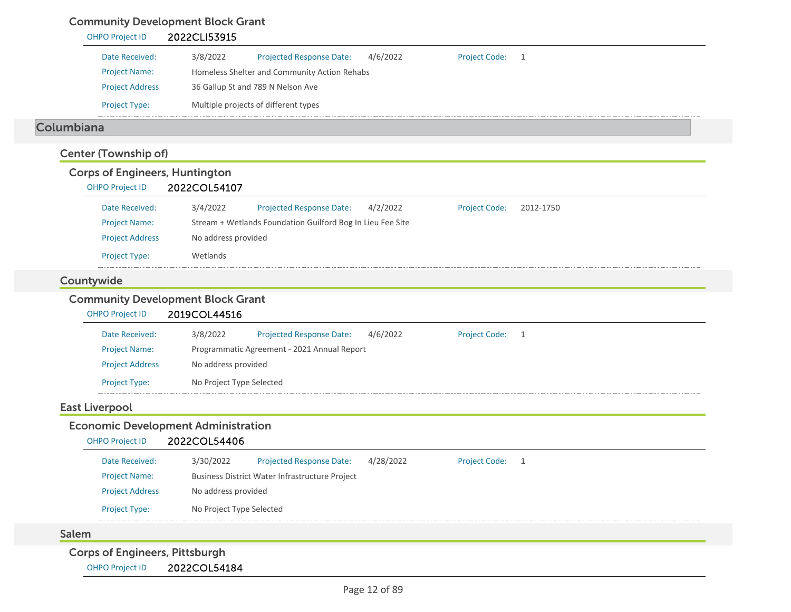## Community Development Block Grant

## OHPO Project ID 2022CLI53915 Date Received: 3/8/2022 Project Name: Homeless Shelter and Community Action Rehabs Projected Response Date: 4/6/2022 Project Address 36 Gallup St and 789 N Nelson Ave Project Type: Multiple projects of different types Project Code: 1 ColumbianaCenter (Township of) Corps of Engineers, Huntington OHPO Project ID 2022COL54107 Date Received: 3/4/2022 Project Name: Stream + Wetlands Foundation Guilford Bog In Lieu Fee Site Projected Response Date: 4/2/2022 Project Address No address provided Project Type: Wetlands Project Code: 2012‐1750 Countywide Community Development Block Grant OHPO Project ID 2019COL44516 Date Received: 3/8/2022 Project Name: Programmatic Agreement ‐ 2021 Annual Report Projected Response Date: 4/6/2022 Project Address No address provided Project Type: No Project Type Selected Project Code: 1 East Liverpool Economic Development Administration OHPO Project ID 2022COL54406 Date Received: 3/30/2022 Project Name: Business District Water Infrastructure Project Projected Response Date: 4/28/2022 Project Address No address provided Project Type: No Project Type Selected Project Code: 1 SalemCorps of Engineers, Pittsburgh OHPO Project ID 2022COL54184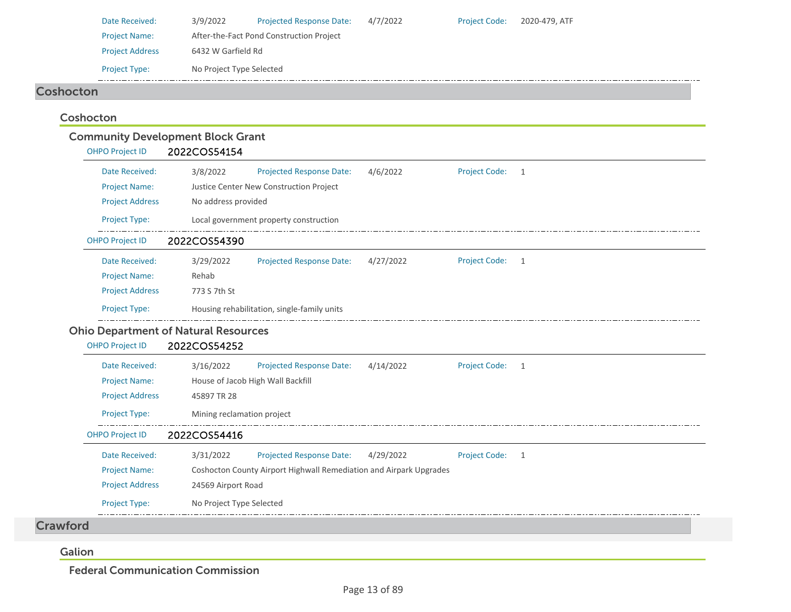|                  | Date Received:<br><b>Project Name:</b><br><b>Project Address</b><br>Project Type: | 3/9/2022<br>6432 W Garfield Rd<br>No Project Type Selected | <b>Projected Response Date:</b><br>After-the-Fact Pond Construction Project | 4/7/2022  | Project Code:        | 2020-479, ATF  |
|------------------|-----------------------------------------------------------------------------------|------------------------------------------------------------|-----------------------------------------------------------------------------|-----------|----------------------|----------------|
| <b>Coshocton</b> |                                                                                   |                                                            |                                                                             |           |                      |                |
|                  |                                                                                   |                                                            |                                                                             |           |                      |                |
|                  | Coshocton                                                                         |                                                            |                                                                             |           |                      |                |
|                  |                                                                                   | <b>Community Development Block Grant</b>                   |                                                                             |           |                      |                |
|                  | <b>OHPO Project ID</b>                                                            | 2022COS54154                                               |                                                                             |           |                      |                |
|                  | Date Received:                                                                    | 3/8/2022                                                   | <b>Projected Response Date:</b>                                             | 4/6/2022  | <b>Project Code:</b> | 1              |
|                  | <b>Project Name:</b>                                                              |                                                            | Justice Center New Construction Project                                     |           |                      |                |
|                  | <b>Project Address</b>                                                            | No address provided                                        |                                                                             |           |                      |                |
|                  | Project Type:                                                                     |                                                            | Local government property construction                                      |           |                      |                |
|                  | <b>OHPO Project ID</b>                                                            | 2022COS54390                                               |                                                                             |           |                      |                |
|                  | Date Received:                                                                    | 3/29/2022                                                  | <b>Projected Response Date:</b>                                             | 4/27/2022 | <b>Project Code:</b> | $\overline{1}$ |
|                  | <b>Project Name:</b>                                                              | Rehab                                                      |                                                                             |           |                      |                |
|                  | <b>Project Address</b>                                                            | 773 S 7th St                                               |                                                                             |           |                      |                |
|                  | Project Type:                                                                     |                                                            | Housing rehabilitation, single-family units                                 |           |                      |                |
|                  |                                                                                   | <b>Ohio Department of Natural Resources</b>                |                                                                             |           |                      |                |
|                  | <b>OHPO Project ID</b>                                                            | 2022COS54252                                               |                                                                             |           |                      |                |
|                  | Date Received:                                                                    | 3/16/2022                                                  | Projected Response Date:                                                    | 4/14/2022 | <b>Project Code:</b> | 1              |
|                  | <b>Project Name:</b>                                                              | House of Jacob High Wall Backfill                          |                                                                             |           |                      |                |
|                  | <b>Project Address</b>                                                            | 45897 TR 28                                                |                                                                             |           |                      |                |
|                  | Project Type:                                                                     | Mining reclamation project                                 |                                                                             |           |                      |                |
|                  | <b>OHPO Project ID</b>                                                            | 2022COS54416                                               |                                                                             |           |                      |                |
|                  | Date Received:                                                                    | 3/31/2022                                                  | <b>Projected Response Date:</b>                                             | 4/29/2022 | <b>Project Code:</b> | 1              |
|                  | <b>Project Name:</b>                                                              |                                                            | Coshocton County Airport Highwall Remediation and Airpark Upgrades          |           |                      |                |
|                  | <b>Project Address</b>                                                            | 24569 Airport Road                                         |                                                                             |           |                      |                |
|                  | Project Type:                                                                     | No Project Type Selected                                   |                                                                             |           |                      |                |
| <b>Crawford</b>  |                                                                                   |                                                            |                                                                             |           |                      |                |
|                  |                                                                                   |                                                            |                                                                             |           |                      |                |
| Galion           |                                                                                   |                                                            |                                                                             |           |                      |                |

Federal Communication Commission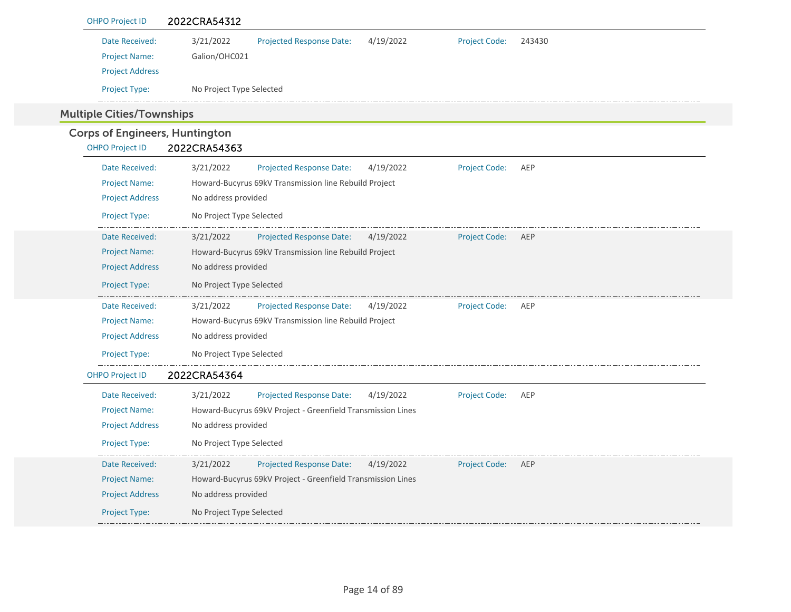| <b>OHPO Project ID</b>                | 2022CRA54312                                                                             |
|---------------------------------------|------------------------------------------------------------------------------------------|
| Date Received:                        | 3/21/2022<br>Projected Response Date:<br>4/19/2022<br><b>Project Code:</b><br>243430     |
| <b>Project Name:</b>                  | Galion/OHC021                                                                            |
| <b>Project Address</b>                |                                                                                          |
| Project Type:                         | No Project Type Selected                                                                 |
| <b>Multiple Cities/Townships</b>      |                                                                                          |
| <b>Corps of Engineers, Huntington</b> |                                                                                          |
| <b>OHPO Project ID</b>                | 2022CRA54363                                                                             |
| Date Received:                        | 3/21/2022<br>AEP<br><b>Projected Response Date:</b><br>4/19/2022<br><b>Project Code:</b> |
| <b>Project Name:</b>                  | Howard-Bucyrus 69kV Transmission line Rebuild Project                                    |
| <b>Project Address</b>                | No address provided                                                                      |
| Project Type:                         | No Project Type Selected                                                                 |
| Date Received:                        | 3/21/2022<br><b>Projected Response Date:</b><br>4/19/2022<br><b>Project Code:</b><br>AEP |
| <b>Project Name:</b>                  | Howard-Bucyrus 69kV Transmission line Rebuild Project                                    |
| <b>Project Address</b>                | No address provided                                                                      |
| Project Type:                         | No Project Type Selected                                                                 |
| Date Received:                        | 3/21/2022<br><b>Projected Response Date:</b><br>4/19/2022<br><b>Project Code:</b><br>AEP |
| <b>Project Name:</b>                  | Howard-Bucyrus 69kV Transmission line Rebuild Project                                    |
| <b>Project Address</b>                | No address provided                                                                      |
| Project Type:                         | No Project Type Selected                                                                 |
| <b>OHPO Project ID</b>                | 2022CRA54364                                                                             |
| Date Received:                        | 3/21/2022<br>Projected Response Date:<br><b>Project Code:</b><br>4/19/2022<br>AEP        |
| <b>Project Name:</b>                  | Howard-Bucyrus 69kV Project - Greenfield Transmission Lines                              |
| <b>Project Address</b>                | No address provided                                                                      |
| Project Type:                         | No Project Type Selected                                                                 |
| Date Received:                        | 3/21/2022<br>Projected Response Date:<br>4/19/2022<br><b>Project Code:</b><br>AEP        |
| <b>Project Name:</b>                  | Howard-Bucyrus 69kV Project - Greenfield Transmission Lines                              |
| <b>Project Address</b>                | No address provided                                                                      |
| Project Type:                         | No Project Type Selected                                                                 |
|                                       |                                                                                          |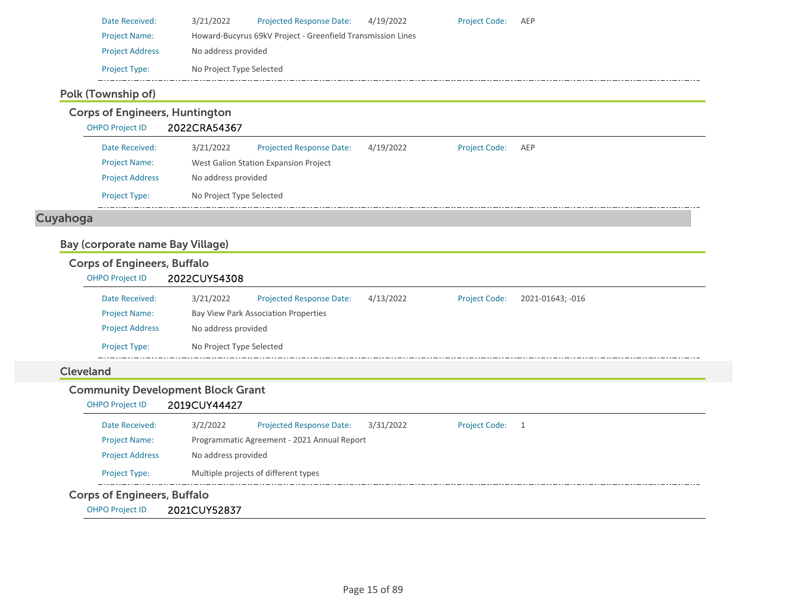| Date Received:         | 3/21/2022                                                   | <b>Projected Response Date:</b> | 4/19/2022 | <b>Project Code:</b> | AEP |  |  |
|------------------------|-------------------------------------------------------------|---------------------------------|-----------|----------------------|-----|--|--|
| <b>Project Name:</b>   | Howard-Bucyrus 69kV Project - Greenfield Transmission Lines |                                 |           |                      |     |  |  |
| <b>Project Address</b> | No address provided                                         |                                 |           |                      |     |  |  |
| <b>Project Type:</b>   | No Project Type Selected                                    |                                 |           |                      |     |  |  |

## Polk (Township of)

Corps of Engineers, Huntington

OHPO Project ID 2022CRA54367

| Date Received:         | 3/21/2022                             | <b>Projected Response Date:</b> | 4/19/2022 | <b>Project Code:</b> | AEP |  |  |
|------------------------|---------------------------------------|---------------------------------|-----------|----------------------|-----|--|--|
| <b>Project Name:</b>   | West Galion Station Expansion Project |                                 |           |                      |     |  |  |
| <b>Project Address</b> | No address provided                   |                                 |           |                      |     |  |  |
| <b>Project Type:</b>   | No Project Type Selected              |                                 |           |                      |     |  |  |

## Cuyahoga

## Bay (corporate name Bay Village)

## Corps of Engineers, Buffalo

| <b>OHPO Project ID</b> | 2022CUY54308             |                                      |           |                      |                  |  |  |  |
|------------------------|--------------------------|--------------------------------------|-----------|----------------------|------------------|--|--|--|
| Date Received:         | 3/21/2022                | <b>Projected Response Date:</b>      | 4/13/2022 | <b>Project Code:</b> | 2021-01643; -016 |  |  |  |
| <b>Project Name:</b>   |                          | Bay View Park Association Properties |           |                      |                  |  |  |  |
| <b>Project Address</b> |                          | No address provided                  |           |                      |                  |  |  |  |
| <b>Project Type:</b>   | No Project Type Selected |                                      |           |                      |                  |  |  |  |

## Cleveland

## Community Development Block Grant

#### OHPO Project ID 2019CUY44427

| Date Received:         | 3/2/2022            | <b>Projected Response Date:</b>             | 3/31/2022 | <b>Project Code:</b> |  |  |
|------------------------|---------------------|---------------------------------------------|-----------|----------------------|--|--|
| <b>Project Name:</b>   |                     | Programmatic Agreement - 2021 Annual Report |           |                      |  |  |
| <b>Project Address</b> | No address provided |                                             |           |                      |  |  |
| <b>Project Type:</b>   |                     | Multiple projects of different types        |           |                      |  |  |

## Corps of Engineers, Buffalo

OHPO Project ID 2021CUY52837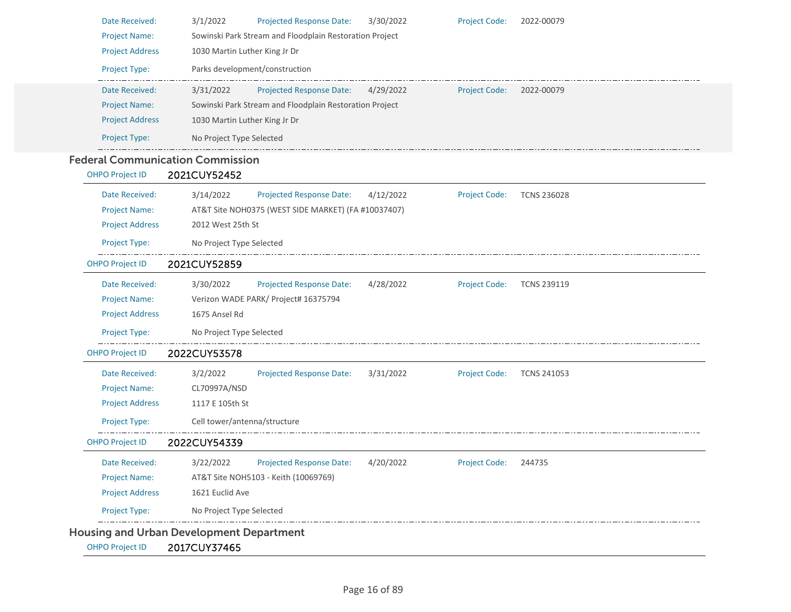| Date Received:         | 3/1/2022<br><b>Projected Response Date:</b><br>3/30/2022<br><b>Project Code:</b><br>2022-00079          |
|------------------------|---------------------------------------------------------------------------------------------------------|
| <b>Project Name:</b>   | Sowinski Park Stream and Floodplain Restoration Project                                                 |
| <b>Project Address</b> | 1030 Martin Luther King Jr Dr                                                                           |
| Project Type:          | Parks development/construction                                                                          |
| Date Received:         | 3/31/2022<br><b>Projected Response Date:</b><br>4/29/2022<br><b>Project Code:</b><br>2022-00079         |
| <b>Project Name:</b>   | Sowinski Park Stream and Floodplain Restoration Project                                                 |
| <b>Project Address</b> | 1030 Martin Luther King Jr Dr                                                                           |
| Project Type:          | No Project Type Selected                                                                                |
|                        | <b>Federal Communication Commission</b>                                                                 |
| <b>OHPO Project ID</b> | 2021CUY52452                                                                                            |
| Date Received:         | 3/14/2022<br><b>Projected Response Date:</b><br>4/12/2022<br><b>Project Code:</b><br><b>TCNS 236028</b> |
| <b>Project Name:</b>   | AT&T Site NOH0375 (WEST SIDE MARKET) (FA #10037407)                                                     |
| <b>Project Address</b> | 2012 West 25th St                                                                                       |
| Project Type:          | No Project Type Selected                                                                                |
| <b>OHPO Project ID</b> | 2021CUY52859                                                                                            |
| Date Received:         | 3/30/2022<br><b>Projected Response Date:</b><br>4/28/2022<br><b>Project Code:</b><br><b>TCNS 239119</b> |
| <b>Project Name:</b>   | Verizon WADE PARK/ Project# 16375794                                                                    |
| <b>Project Address</b> | 1675 Ansel Rd                                                                                           |
| Project Type:          | No Project Type Selected                                                                                |
| <b>OHPO Project ID</b> | 2022CUY53578                                                                                            |
| Date Received:         | 3/2/2022<br>3/31/2022<br><b>Projected Response Date:</b><br><b>Project Code:</b><br><b>TCNS 241053</b>  |
| <b>Project Name:</b>   | CL70997A/NSD                                                                                            |
| <b>Project Address</b> | 1117 E 105th St                                                                                         |
| Project Type:          | Cell tower/antenna/structure                                                                            |
| <b>OHPO Project ID</b> | 2022CUY54339                                                                                            |
| Date Received:         | 3/22/2022<br>Projected Response Date:<br>4/20/2022<br><b>Project Code:</b><br>244735                    |
| Project Name:          | AT&T Site NOH5103 - Keith (10069769)                                                                    |
| <b>Project Address</b> | 1621 Euclid Ave                                                                                         |
| Project Type:          | No Project Type Selected                                                                                |
|                        | <b>Housing and Urban Development Department</b>                                                         |
| <b>OHPO Project ID</b> | 2017CUY37465                                                                                            |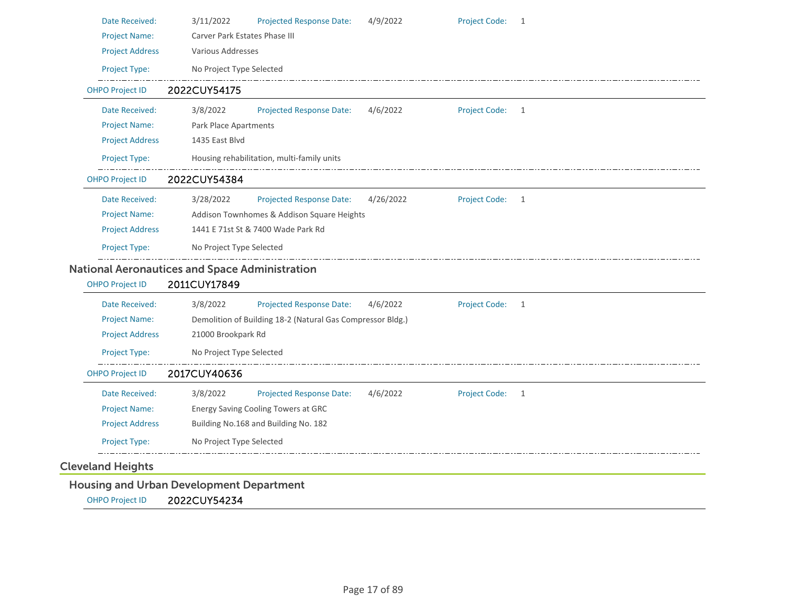| Date Received:                                        | 3/11/2022                     | <b>Projected Response Date:</b>                            | 4/9/2022  | <b>Project Code:</b> | 1 |
|-------------------------------------------------------|-------------------------------|------------------------------------------------------------|-----------|----------------------|---|
| <b>Project Name:</b>                                  | Carver Park Estates Phase III |                                                            |           |                      |   |
| <b>Project Address</b>                                | Various Addresses             |                                                            |           |                      |   |
| Project Type:                                         | No Project Type Selected      |                                                            |           |                      |   |
| <b>OHPO Project ID</b>                                | 2022CUY54175                  |                                                            |           |                      |   |
| Date Received:                                        | 3/8/2022                      | <b>Projected Response Date:</b>                            | 4/6/2022  | <b>Project Code:</b> | 1 |
| <b>Project Name:</b>                                  | Park Place Apartments         |                                                            |           |                      |   |
| <b>Project Address</b>                                | 1435 East Blvd                |                                                            |           |                      |   |
| Project Type:                                         |                               | Housing rehabilitation, multi-family units                 |           |                      |   |
| <b>OHPO Project ID</b>                                | 2022CUY54384                  |                                                            |           |                      |   |
| Date Received:                                        | 3/28/2022                     | <b>Projected Response Date:</b>                            | 4/26/2022 | <b>Project Code:</b> | 1 |
| <b>Project Name:</b>                                  |                               | Addison Townhomes & Addison Square Heights                 |           |                      |   |
| <b>Project Address</b>                                |                               | 1441 E 71st St & 7400 Wade Park Rd                         |           |                      |   |
| Project Type:                                         | No Project Type Selected      |                                                            |           |                      |   |
| <b>National Aeronautices and Space Administration</b> |                               |                                                            |           |                      |   |
| <b>OHPO Project ID</b>                                | 2011CUY17849                  |                                                            |           |                      |   |
| Date Received:                                        | 3/8/2022                      | Projected Response Date:                                   | 4/6/2022  | Project Code:        | 1 |
| <b>Project Name:</b>                                  |                               | Demolition of Building 18-2 (Natural Gas Compressor Bldg.) |           |                      |   |
| <b>Project Address</b>                                | 21000 Brookpark Rd            |                                                            |           |                      |   |
| Project Type:                                         | No Project Type Selected      |                                                            |           |                      |   |
| <b>OHPO Project ID</b>                                | 2017CUY40636                  |                                                            |           |                      |   |
| Date Received:                                        | 3/8/2022                      | <b>Projected Response Date:</b>                            | 4/6/2022  | <b>Project Code:</b> | 1 |
| <b>Project Name:</b>                                  |                               | Energy Saving Cooling Towers at GRC                        |           |                      |   |
| <b>Project Address</b>                                |                               | Building No.168 and Building No. 182                       |           |                      |   |
| <b>Project Type:</b>                                  | No Project Type Selected      |                                                            |           |                      |   |
| <b>Cleveland Heights</b>                              |                               |                                                            |           |                      |   |
| <b>Housing and Urban Development Department</b>       |                               |                                                            |           |                      |   |

OHPO Project ID 2022CUY54234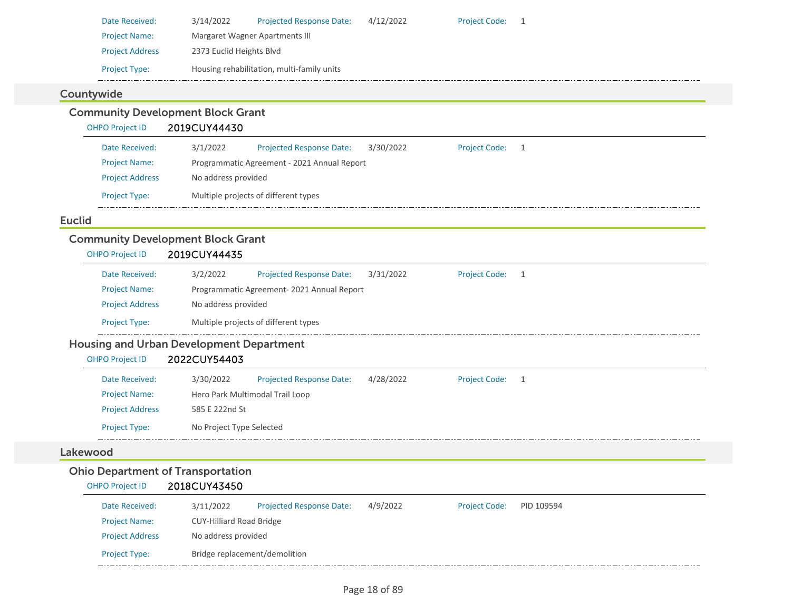| <b>Project Name:</b><br><b>Project Address</b><br>Project Type:<br>Countywide<br><b>OHPO Project ID</b> | 2373 Euclid Heights Blvd<br><b>Community Development Block Grant</b><br>2019CUY44430 | Margaret Wagner Apartments III<br>Housing rehabilitation, multi-family units |                                                                                  |                                        |                |  |  |
|---------------------------------------------------------------------------------------------------------|--------------------------------------------------------------------------------------|------------------------------------------------------------------------------|----------------------------------------------------------------------------------|----------------------------------------|----------------|--|--|
|                                                                                                         |                                                                                      |                                                                              |                                                                                  |                                        |                |  |  |
|                                                                                                         |                                                                                      |                                                                              |                                                                                  |                                        |                |  |  |
|                                                                                                         |                                                                                      |                                                                              |                                                                                  |                                        |                |  |  |
|                                                                                                         |                                                                                      |                                                                              |                                                                                  |                                        |                |  |  |
|                                                                                                         |                                                                                      |                                                                              |                                                                                  |                                        |                |  |  |
|                                                                                                         |                                                                                      |                                                                              |                                                                                  |                                        |                |  |  |
| Date Received:                                                                                          | 3/1/2022                                                                             | <b>Projected Response Date:</b>                                              | 3/30/2022                                                                        | <b>Project Code:</b>                   | $\overline{1}$ |  |  |
| <b>Project Name:</b>                                                                                    |                                                                                      | Programmatic Agreement - 2021 Annual Report                                  |                                                                                  |                                        |                |  |  |
| <b>Project Address</b>                                                                                  |                                                                                      | No address provided                                                          |                                                                                  |                                        |                |  |  |
| Project Type:                                                                                           |                                                                                      |                                                                              |                                                                                  |                                        |                |  |  |
|                                                                                                         |                                                                                      |                                                                              |                                                                                  |                                        |                |  |  |
|                                                                                                         |                                                                                      |                                                                              |                                                                                  |                                        |                |  |  |
|                                                                                                         |                                                                                      |                                                                              |                                                                                  |                                        |                |  |  |
|                                                                                                         |                                                                                      |                                                                              | Multiple projects of different types<br><b>Community Development Block Grant</b> | 2019CUY44435<br><b>OHPO Project ID</b> |                |  |  |

| Date Received:         | 3/2/2022            | <b>Projected Response Date:</b>           | 3/31/2022 | <b>Project Code:</b> |  |
|------------------------|---------------------|-------------------------------------------|-----------|----------------------|--|
| <b>Project Name:</b>   |                     | Programmatic Agreement-2021 Annual Report |           |                      |  |
| <b>Project Address</b> | No address provided |                                           |           |                      |  |
| <b>Project Type:</b>   |                     | Multiple projects of different types      |           |                      |  |

## Housing and Urban Development Department

## OHPO Project ID 2022CUY54403

| Date Received:         | 3/30/2022                       | <b>Projected Response Date:</b> | 4/28/2022 | <b>Project Code:</b> |  |  |  |
|------------------------|---------------------------------|---------------------------------|-----------|----------------------|--|--|--|
| <b>Project Name:</b>   | Hero Park Multimodal Trail Loop |                                 |           |                      |  |  |  |
| <b>Project Address</b> | 585 E 222nd St                  |                                 |           |                      |  |  |  |
| <b>Project Type:</b>   | No Project Type Selected        |                                 |           |                      |  |  |  |

#### Lakewood

## Ohio Department of Transportation

## OHPO Project ID 2018CUY43450

| Date Received:         | 3/11/2022                       | <b>Projected Response Date:</b> | 4/9/2022 | <b>Project Code:</b> | PID 109594 |  |  |
|------------------------|---------------------------------|---------------------------------|----------|----------------------|------------|--|--|
| <b>Project Name:</b>   | <b>CUY-Hilliard Road Bridge</b> |                                 |          |                      |            |  |  |
| <b>Project Address</b> | No address provided             |                                 |          |                      |            |  |  |
| <b>Project Type:</b>   |                                 | Bridge replacement/demolition   |          |                      |            |  |  |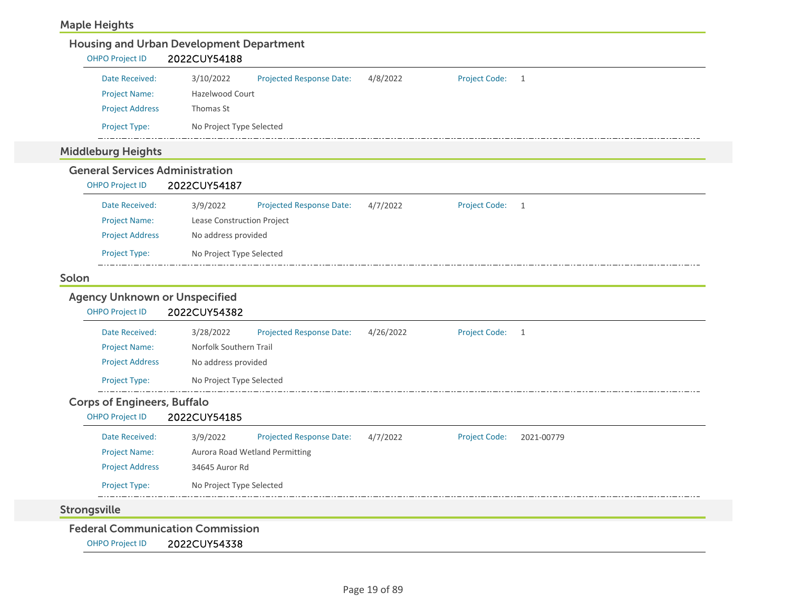## Maple Heights

| <b>OHPO Project ID</b>                         | <b>Housing and Urban Development Department</b><br>2022CUY54188        |           |                      |              |
|------------------------------------------------|------------------------------------------------------------------------|-----------|----------------------|--------------|
|                                                |                                                                        |           |                      |              |
| Date Received:                                 | 3/10/2022<br><b>Projected Response Date:</b><br><b>Hazelwood Court</b> | 4/8/2022  | <b>Project Code:</b> | 1            |
| <b>Project Name:</b><br><b>Project Address</b> | Thomas St                                                              |           |                      |              |
|                                                |                                                                        |           |                      |              |
| Project Type:                                  | No Project Type Selected                                               |           |                      |              |
| <b>Middleburg Heights</b>                      |                                                                        |           |                      |              |
| <b>General Services Administration</b>         |                                                                        |           |                      |              |
| <b>OHPO Project ID</b>                         | 2022CUY54187                                                           |           |                      |              |
| Date Received:                                 | 3/9/2022<br><b>Projected Response Date:</b>                            | 4/7/2022  | <b>Project Code:</b> | 1            |
| <b>Project Name:</b>                           | Lease Construction Project                                             |           |                      |              |
| <b>Project Address</b>                         | No address provided                                                    |           |                      |              |
| Project Type:                                  | No Project Type Selected                                               |           |                      |              |
| Solon                                          |                                                                        |           |                      |              |
| <b>Agency Unknown or Unspecified</b>           |                                                                        |           |                      |              |
| <b>OHPO Project ID</b>                         | 2022CUY54382                                                           |           |                      |              |
|                                                |                                                                        |           |                      |              |
| Date Received:                                 | 3/28/2022<br><b>Projected Response Date:</b>                           | 4/26/2022 | <b>Project Code:</b> | $\mathbf{1}$ |
| <b>Project Name:</b>                           | Norfolk Southern Trail<br>No address provided                          |           |                      |              |
| <b>Project Address</b>                         |                                                                        |           |                      |              |
| <b>Project Type:</b>                           | No Project Type Selected                                               |           |                      |              |
| <b>Corps of Engineers, Buffalo</b>             |                                                                        |           |                      |              |
| <b>OHPO Project ID</b>                         | 2022CUY54185                                                           |           |                      |              |
| Date Received:                                 | <b>Projected Response Date:</b><br>3/9/2022                            | 4/7/2022  | <b>Project Code:</b> | 2021-00779   |
| <b>Project Name:</b>                           | Aurora Road Wetland Permitting                                         |           |                      |              |
| <b>Project Address</b>                         | 34645 Auror Rd                                                         |           |                      |              |
| Project Type:                                  | No Project Type Selected                                               |           |                      |              |
|                                                |                                                                        |           |                      |              |
| <b>Strongsville</b>                            |                                                                        |           |                      |              |
| <b>Federal Communication Commission</b>        |                                                                        |           |                      |              |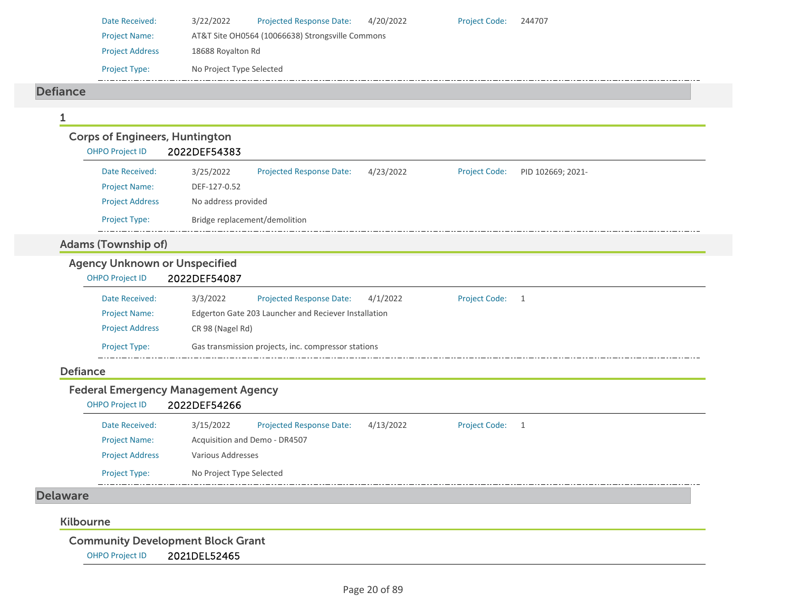| Date Received:         | 3/22/2022                                        | <b>Projected Response Date:</b> | 4/20/2022 | <b>Project Code:</b> | 244707 |  |  |  |
|------------------------|--------------------------------------------------|---------------------------------|-----------|----------------------|--------|--|--|--|
| <b>Project Name:</b>   | AT&T Site OH0564 (10066638) Strongsville Commons |                                 |           |                      |        |  |  |  |
| <b>Project Address</b> | 18688 Royalton Rd                                |                                 |           |                      |        |  |  |  |
| <b>Project Type:</b>   | No Project Type Selected                         |                                 |           |                      |        |  |  |  |
|                        |                                                  |                                 |           |                      |        |  |  |  |

#### Defiance

| <b>OHPO Project ID</b>               | 2022DEF54383                                                                                           |
|--------------------------------------|--------------------------------------------------------------------------------------------------------|
| Date Received:                       | 3/25/2022<br><b>Projected Response Date:</b><br>4/23/2022<br><b>Project Code:</b><br>PID 102669; 2021- |
| <b>Project Name:</b>                 | DEF-127-0.52                                                                                           |
| <b>Project Address</b>               | No address provided                                                                                    |
| Project Type:                        | Bridge replacement/demolition                                                                          |
| <b>Adams (Township of)</b>           |                                                                                                        |
| <b>Agency Unknown or Unspecified</b> |                                                                                                        |
| <b>OHPO Project ID</b>               | 2022DEF54087                                                                                           |
| Date Received:                       | 3/3/2022<br>Projected Response Date:<br>4/1/2022<br><b>Project Code:</b><br>$\overline{1}$             |
| <b>Project Name:</b>                 | Edgerton Gate 203 Launcher and Reciever Installation                                                   |
| <b>Project Address</b>               | CR 98 (Nagel Rd)                                                                                       |
| <b>Project Type:</b>                 | Gas transmission projects, inc. compressor stations                                                    |
| <b>Defiance</b>                      |                                                                                                        |
|                                      | <b>Federal Emergency Management Agency</b>                                                             |
| <b>OHPO Project ID</b>               | 2022DEF54266                                                                                           |
| Date Received:                       | <b>Projected Response Date:</b><br>3/15/2022<br>4/13/2022<br><b>Project Code:</b><br>1                 |
| <b>Project Name:</b>                 | Acquisition and Demo - DR4507                                                                          |
| <b>Project Address</b>               | <b>Various Addresses</b>                                                                               |

\_\_\_\_\_\_\_\_\_\_ Delaware

## Kilbourne

Community Development Block Grant

Project Type: No Project Type Selected

OHPO Project ID 2021DEL52465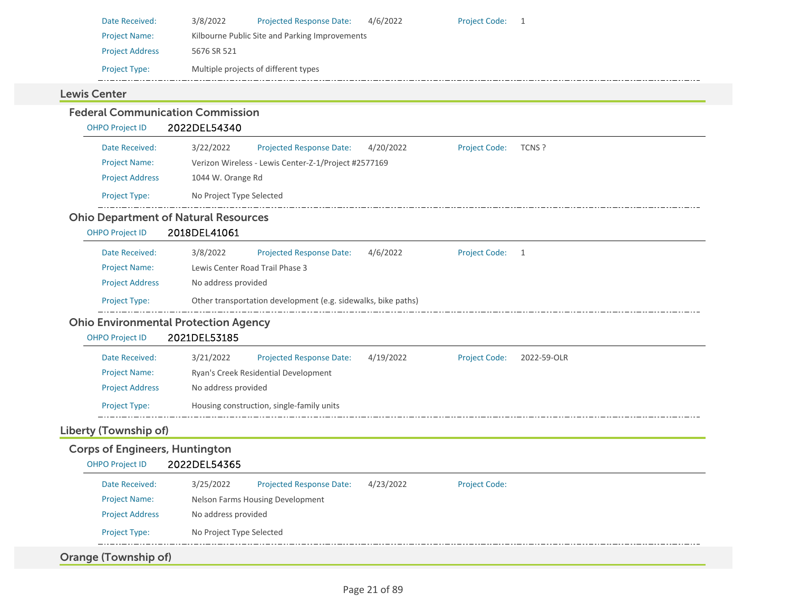| Date Received:         | 3/8/2022    | <b>Projected Response Date:</b>                | 4/6/2022 | Project Code: 1 |  |
|------------------------|-------------|------------------------------------------------|----------|-----------------|--|
| <b>Project Name:</b>   |             | Kilbourne Public Site and Parking Improvements |          |                 |  |
| <b>Project Address</b> | 5676 SR 521 |                                                |          |                 |  |
| <b>Project Type:</b>   |             | Multiple projects of different types           |          |                 |  |
|                        |             |                                                |          |                 |  |

#### Lewis Center

| <b>OHPO Project ID</b><br>3/22/2022<br>4/20/2022<br>Date Received:<br><b>Projected Response Date:</b><br><b>Project Code:</b><br>TCNS ?<br>Verizon Wireless - Lewis Center-Z-1/Project #2577169<br><b>Project Name:</b><br>1044 W. Orange Rd<br><b>Project Address</b><br>Project Type:<br>No Project Type Selected<br><b>Ohio Department of Natural Resources</b><br><b>OHPO Project ID</b><br>2018DEL41061<br>Date Received:<br>3/8/2022<br><b>Projected Response Date:</b><br>4/6/2022<br><b>Project Code:</b><br>1<br>Lewis Center Road Trail Phase 3<br><b>Project Name:</b><br><b>Project Address</b><br>No address provided<br>Other transportation development (e.g. sidewalks, bike paths)<br>Project Type:<br><b>Ohio Environmental Protection Agency</b><br>2021DEL53185<br><b>OHPO Project ID</b><br>Date Received:<br>3/21/2022<br>Projected Response Date:<br>4/19/2022<br><b>Project Code:</b><br>2022-59-OLR<br><b>Project Name:</b><br>Ryan's Creek Residential Development<br><b>Project Address</b><br>No address provided<br>Project Type:<br>Housing construction, single-family units<br><b>Corps of Engineers, Huntington</b><br><b>OHPO Project ID</b><br>2022DEL54365<br>Date Received:<br>3/25/2022<br>Projected Response Date:<br>4/23/2022<br><b>Project Code:</b><br>Nelson Farms Housing Development<br><b>Project Name:</b><br><b>Project Address</b><br>No address provided<br>Project Type:<br>No Project Type Selected<br>Orange (Township of) | <b>Federal Communication Commission</b> |              |
|----------------------------------------------------------------------------------------------------------------------------------------------------------------------------------------------------------------------------------------------------------------------------------------------------------------------------------------------------------------------------------------------------------------------------------------------------------------------------------------------------------------------------------------------------------------------------------------------------------------------------------------------------------------------------------------------------------------------------------------------------------------------------------------------------------------------------------------------------------------------------------------------------------------------------------------------------------------------------------------------------------------------------------------------------------------------------------------------------------------------------------------------------------------------------------------------------------------------------------------------------------------------------------------------------------------------------------------------------------------------------------------------------------------------------------------------------------------------------------|-----------------------------------------|--------------|
|                                                                                                                                                                                                                                                                                                                                                                                                                                                                                                                                                                                                                                                                                                                                                                                                                                                                                                                                                                                                                                                                                                                                                                                                                                                                                                                                                                                                                                                                                  |                                         | 2022DEL54340 |
|                                                                                                                                                                                                                                                                                                                                                                                                                                                                                                                                                                                                                                                                                                                                                                                                                                                                                                                                                                                                                                                                                                                                                                                                                                                                                                                                                                                                                                                                                  |                                         |              |
|                                                                                                                                                                                                                                                                                                                                                                                                                                                                                                                                                                                                                                                                                                                                                                                                                                                                                                                                                                                                                                                                                                                                                                                                                                                                                                                                                                                                                                                                                  |                                         |              |
|                                                                                                                                                                                                                                                                                                                                                                                                                                                                                                                                                                                                                                                                                                                                                                                                                                                                                                                                                                                                                                                                                                                                                                                                                                                                                                                                                                                                                                                                                  |                                         |              |
|                                                                                                                                                                                                                                                                                                                                                                                                                                                                                                                                                                                                                                                                                                                                                                                                                                                                                                                                                                                                                                                                                                                                                                                                                                                                                                                                                                                                                                                                                  |                                         |              |
|                                                                                                                                                                                                                                                                                                                                                                                                                                                                                                                                                                                                                                                                                                                                                                                                                                                                                                                                                                                                                                                                                                                                                                                                                                                                                                                                                                                                                                                                                  |                                         |              |
|                                                                                                                                                                                                                                                                                                                                                                                                                                                                                                                                                                                                                                                                                                                                                                                                                                                                                                                                                                                                                                                                                                                                                                                                                                                                                                                                                                                                                                                                                  |                                         |              |
|                                                                                                                                                                                                                                                                                                                                                                                                                                                                                                                                                                                                                                                                                                                                                                                                                                                                                                                                                                                                                                                                                                                                                                                                                                                                                                                                                                                                                                                                                  |                                         |              |
|                                                                                                                                                                                                                                                                                                                                                                                                                                                                                                                                                                                                                                                                                                                                                                                                                                                                                                                                                                                                                                                                                                                                                                                                                                                                                                                                                                                                                                                                                  |                                         |              |
|                                                                                                                                                                                                                                                                                                                                                                                                                                                                                                                                                                                                                                                                                                                                                                                                                                                                                                                                                                                                                                                                                                                                                                                                                                                                                                                                                                                                                                                                                  |                                         |              |
|                                                                                                                                                                                                                                                                                                                                                                                                                                                                                                                                                                                                                                                                                                                                                                                                                                                                                                                                                                                                                                                                                                                                                                                                                                                                                                                                                                                                                                                                                  |                                         |              |
|                                                                                                                                                                                                                                                                                                                                                                                                                                                                                                                                                                                                                                                                                                                                                                                                                                                                                                                                                                                                                                                                                                                                                                                                                                                                                                                                                                                                                                                                                  |                                         |              |
|                                                                                                                                                                                                                                                                                                                                                                                                                                                                                                                                                                                                                                                                                                                                                                                                                                                                                                                                                                                                                                                                                                                                                                                                                                                                                                                                                                                                                                                                                  |                                         |              |
|                                                                                                                                                                                                                                                                                                                                                                                                                                                                                                                                                                                                                                                                                                                                                                                                                                                                                                                                                                                                                                                                                                                                                                                                                                                                                                                                                                                                                                                                                  |                                         |              |
|                                                                                                                                                                                                                                                                                                                                                                                                                                                                                                                                                                                                                                                                                                                                                                                                                                                                                                                                                                                                                                                                                                                                                                                                                                                                                                                                                                                                                                                                                  |                                         |              |
|                                                                                                                                                                                                                                                                                                                                                                                                                                                                                                                                                                                                                                                                                                                                                                                                                                                                                                                                                                                                                                                                                                                                                                                                                                                                                                                                                                                                                                                                                  |                                         |              |
|                                                                                                                                                                                                                                                                                                                                                                                                                                                                                                                                                                                                                                                                                                                                                                                                                                                                                                                                                                                                                                                                                                                                                                                                                                                                                                                                                                                                                                                                                  |                                         |              |
|                                                                                                                                                                                                                                                                                                                                                                                                                                                                                                                                                                                                                                                                                                                                                                                                                                                                                                                                                                                                                                                                                                                                                                                                                                                                                                                                                                                                                                                                                  | Liberty (Township of)                   |              |
|                                                                                                                                                                                                                                                                                                                                                                                                                                                                                                                                                                                                                                                                                                                                                                                                                                                                                                                                                                                                                                                                                                                                                                                                                                                                                                                                                                                                                                                                                  |                                         |              |
|                                                                                                                                                                                                                                                                                                                                                                                                                                                                                                                                                                                                                                                                                                                                                                                                                                                                                                                                                                                                                                                                                                                                                                                                                                                                                                                                                                                                                                                                                  |                                         |              |
|                                                                                                                                                                                                                                                                                                                                                                                                                                                                                                                                                                                                                                                                                                                                                                                                                                                                                                                                                                                                                                                                                                                                                                                                                                                                                                                                                                                                                                                                                  |                                         |              |
|                                                                                                                                                                                                                                                                                                                                                                                                                                                                                                                                                                                                                                                                                                                                                                                                                                                                                                                                                                                                                                                                                                                                                                                                                                                                                                                                                                                                                                                                                  |                                         |              |
|                                                                                                                                                                                                                                                                                                                                                                                                                                                                                                                                                                                                                                                                                                                                                                                                                                                                                                                                                                                                                                                                                                                                                                                                                                                                                                                                                                                                                                                                                  |                                         |              |
|                                                                                                                                                                                                                                                                                                                                                                                                                                                                                                                                                                                                                                                                                                                                                                                                                                                                                                                                                                                                                                                                                                                                                                                                                                                                                                                                                                                                                                                                                  |                                         |              |
|                                                                                                                                                                                                                                                                                                                                                                                                                                                                                                                                                                                                                                                                                                                                                                                                                                                                                                                                                                                                                                                                                                                                                                                                                                                                                                                                                                                                                                                                                  |                                         |              |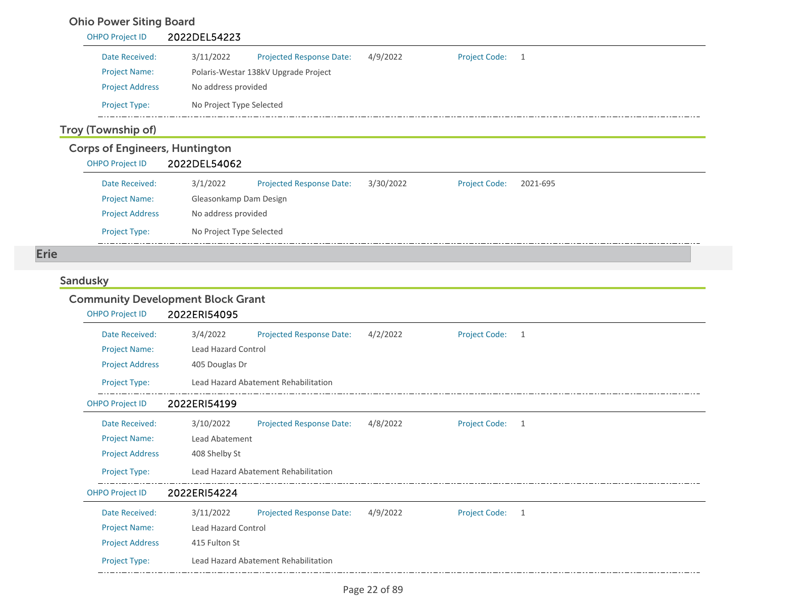## Ohio Power Siting Board

| <b>OHPO Project ID</b> | 2022DEL54223             |                                      |          |                      |  |
|------------------------|--------------------------|--------------------------------------|----------|----------------------|--|
| Date Received:         | 3/11/2022                | <b>Projected Response Date:</b>      | 4/9/2022 | <b>Project Code:</b> |  |
| <b>Project Name:</b>   |                          | Polaris-Westar 138kV Upgrade Project |          |                      |  |
| <b>Project Address</b> | No address provided      |                                      |          |                      |  |
| <b>Project Type:</b>   | No Project Type Selected |                                      |          |                      |  |

## Troy (Township of)

| <b>Corps of Engineers, Huntington</b> |                          |                                 |           |                      |          |
|---------------------------------------|--------------------------|---------------------------------|-----------|----------------------|----------|
| <b>OHPO Project ID</b>                | 2022DEL54062             |                                 |           |                      |          |
| Date Received:                        | 3/1/2022                 | <b>Projected Response Date:</b> | 3/30/2022 | <b>Project Code:</b> | 2021-695 |
| <b>Project Name:</b>                  | Gleasonkamp Dam Design   |                                 |           |                      |          |
| <b>Project Address</b>                | No address provided      |                                 |           |                      |          |
| <b>Project Type:</b>                  | No Project Type Selected |                                 |           |                      |          |

Erie

## **Sandusky**

## Community Development Block Grant

| <b>OHPO Project ID</b> | 2022ERI54095               |                                      |          |                      |   |  |
|------------------------|----------------------------|--------------------------------------|----------|----------------------|---|--|
| Date Received:         | 3/4/2022                   | <b>Projected Response Date:</b>      | 4/2/2022 | <b>Project Code:</b> | 1 |  |
| <b>Project Name:</b>   | <b>Lead Hazard Control</b> |                                      |          |                      |   |  |
| <b>Project Address</b> | 405 Douglas Dr             |                                      |          |                      |   |  |
| Project Type:          |                            | Lead Hazard Abatement Rehabilitation |          |                      |   |  |
| <b>OHPO Project ID</b> | 2022ERI54199               |                                      |          |                      |   |  |
| Date Received:         | 3/10/2022                  | <b>Projected Response Date:</b>      | 4/8/2022 | <b>Project Code:</b> | 1 |  |
| <b>Project Name:</b>   | Lead Abatement             |                                      |          |                      |   |  |
| <b>Project Address</b> | 408 Shelby St              |                                      |          |                      |   |  |
| Project Type:          |                            | Lead Hazard Abatement Rehabilitation |          |                      |   |  |
| <b>OHPO Project ID</b> | 2022ERI54224               |                                      |          |                      |   |  |
| Date Received:         | 3/11/2022                  | <b>Projected Response Date:</b>      | 4/9/2022 | <b>Project Code:</b> | 1 |  |
| <b>Project Name:</b>   | <b>Lead Hazard Control</b> |                                      |          |                      |   |  |
| <b>Project Address</b> | 415 Fulton St              |                                      |          |                      |   |  |
| <b>Project Type:</b>   |                            | Lead Hazard Abatement Rehabilitation |          |                      |   |  |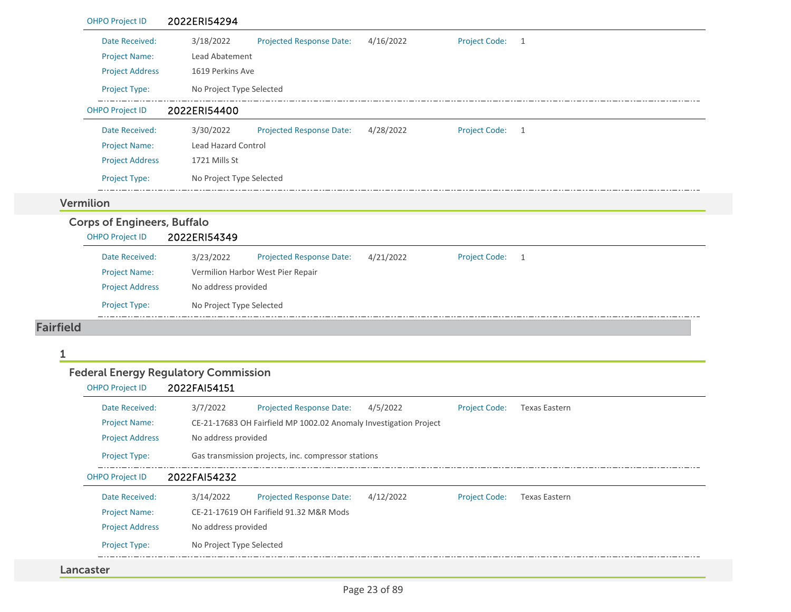| <b>OHPO Project ID</b>             | 2022ERI54294                                                      |                      |                      |
|------------------------------------|-------------------------------------------------------------------|----------------------|----------------------|
| Date Received:                     | 3/18/2022<br>4/16/2022<br><b>Projected Response Date:</b>         | <b>Project Code:</b> | 1                    |
| <b>Project Name:</b>               | Lead Abatement                                                    |                      |                      |
| <b>Project Address</b>             | 1619 Perkins Ave                                                  |                      |                      |
| Project Type:                      | No Project Type Selected                                          |                      |                      |
| <b>OHPO Project ID</b>             | 2022ERI54400                                                      |                      |                      |
| Date Received:                     | 3/30/2022<br><b>Projected Response Date:</b><br>4/28/2022         | <b>Project Code:</b> | 1                    |
| <b>Project Name:</b>               | Lead Hazard Control                                               |                      |                      |
| <b>Project Address</b>             | 1721 Mills St                                                     |                      |                      |
| Project Type:                      | No Project Type Selected                                          |                      |                      |
| Vermilion                          |                                                                   |                      |                      |
| <b>Corps of Engineers, Buffalo</b> |                                                                   |                      |                      |
| <b>OHPO Project ID</b>             | 2022ERI54349                                                      |                      |                      |
| Date Received:                     | 3/23/2022<br>4/21/2022<br><b>Projected Response Date:</b>         | <b>Project Code:</b> | $\mathbf{1}$         |
| <b>Project Name:</b>               | Vermilion Harbor West Pier Repair                                 |                      |                      |
| <b>Project Address</b>             | No address provided                                               |                      |                      |
| Project Type:                      | No Project Type Selected                                          |                      |                      |
|                                    |                                                                   |                      |                      |
| <b>Fairfield</b>                   |                                                                   |                      |                      |
|                                    |                                                                   |                      |                      |
|                                    | <b>Federal Energy Regulatory Commission</b>                       |                      |                      |
| <b>OHPO Project ID</b>             | 2022FAI54151                                                      |                      |                      |
| Date Received:                     | 3/7/2022<br><b>Projected Response Date:</b><br>4/5/2022           | <b>Project Code:</b> | <b>Texas Eastern</b> |
| <b>Project Name:</b>               | CE-21-17683 OH Fairfield MP 1002.02 Anomaly Investigation Project |                      |                      |
| <b>Project Address</b>             | No address provided                                               |                      |                      |
| Project Type:                      | Gas transmission projects, inc. compressor stations               |                      |                      |
| <b>OHPO Project ID</b>             | 2022FAI54232                                                      |                      |                      |
| Date Received:                     | 3/14/2022<br><b>Projected Response Date:</b><br>4/12/2022         | <b>Project Code:</b> | <b>Texas Eastern</b> |
| <b>Project Name:</b>               | CE-21-17619 OH Farifield 91.32 M&R Mods                           |                      |                      |
| <b>Project Address</b>             | No address provided                                               |                      |                      |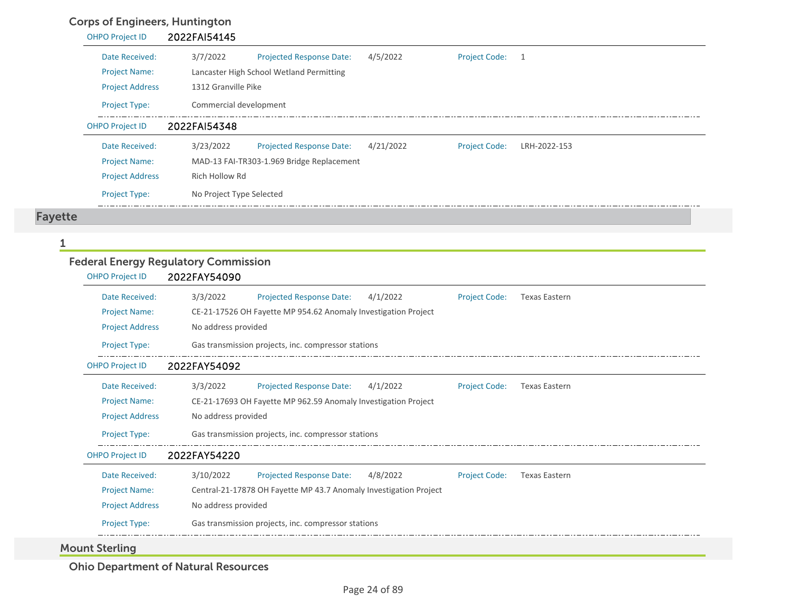## Corps of Engineers, Huntington

|         | <b>OHPO Project ID</b> | 2022FAI54145             |                                           |           |                      |              |  |
|---------|------------------------|--------------------------|-------------------------------------------|-----------|----------------------|--------------|--|
|         | Date Received:         | 3/7/2022                 | <b>Projected Response Date:</b>           | 4/5/2022  | <b>Project Code:</b> | 1            |  |
|         | <b>Project Name:</b>   |                          | Lancaster High School Wetland Permitting  |           |                      |              |  |
|         | <b>Project Address</b> | 1312 Granville Pike      |                                           |           |                      |              |  |
|         | <b>Project Type:</b>   | Commercial development   |                                           |           |                      |              |  |
|         | <b>OHPO Project ID</b> | 2022FAI54348             |                                           |           |                      |              |  |
|         | Date Received:         | 3/23/2022                | <b>Projected Response Date:</b>           | 4/21/2022 | <b>Project Code:</b> | LRH-2022-153 |  |
|         | <b>Project Name:</b>   |                          | MAD-13 FAI-TR303-1.969 Bridge Replacement |           |                      |              |  |
|         | <b>Project Address</b> | Rich Hollow Rd           |                                           |           |                      |              |  |
|         | <b>Project Type:</b>   | No Project Type Selected |                                           |           |                      |              |  |
| Fayette |                        |                          |                                           |           |                      |              |  |

1

## Federal Energy Regulatory Commission

| <b>OHPO Project ID</b>                 | 2022FAY54090                                                                                                                                                       |
|----------------------------------------|--------------------------------------------------------------------------------------------------------------------------------------------------------------------|
| Date Received:<br><b>Project Name:</b> | 3/3/2022<br>Projected Response Date:<br>4/1/2022<br><b>Project Code:</b><br><b>Texas Eastern</b><br>CE-21-17526 OH Fayette MP 954.62 Anomaly Investigation Project |
| <b>Project Address</b>                 | No address provided                                                                                                                                                |
| Project Type:                          | Gas transmission projects, inc. compressor stations                                                                                                                |
| <b>OHPO Project ID</b>                 | 2022FAY54092                                                                                                                                                       |
| Date Received:                         | <b>Projected Response Date:</b><br>3/3/2022<br><b>Project Code:</b><br>4/1/2022<br><b>Texas Eastern</b>                                                            |
| <b>Project Name:</b>                   | CE-21-17693 OH Fayette MP 962.59 Anomaly Investigation Project                                                                                                     |
| <b>Project Address</b>                 | No address provided                                                                                                                                                |
| <b>Project Type:</b>                   | Gas transmission projects, inc. compressor stations                                                                                                                |
| <b>OHPO Project ID</b>                 | 2022FAY54220                                                                                                                                                       |
| Date Received:                         | 3/10/2022<br>Projected Response Date:<br>4/8/2022<br><b>Project Code:</b><br><b>Texas Eastern</b>                                                                  |
| <b>Project Name:</b>                   | Central-21-17878 OH Fayette MP 43.7 Anomaly Investigation Project                                                                                                  |
| <b>Project Address</b>                 | No address provided                                                                                                                                                |
| Project Type:                          | Gas transmission projects, inc. compressor stations                                                                                                                |

Mount Sterling

Ohio Department of Natural Resources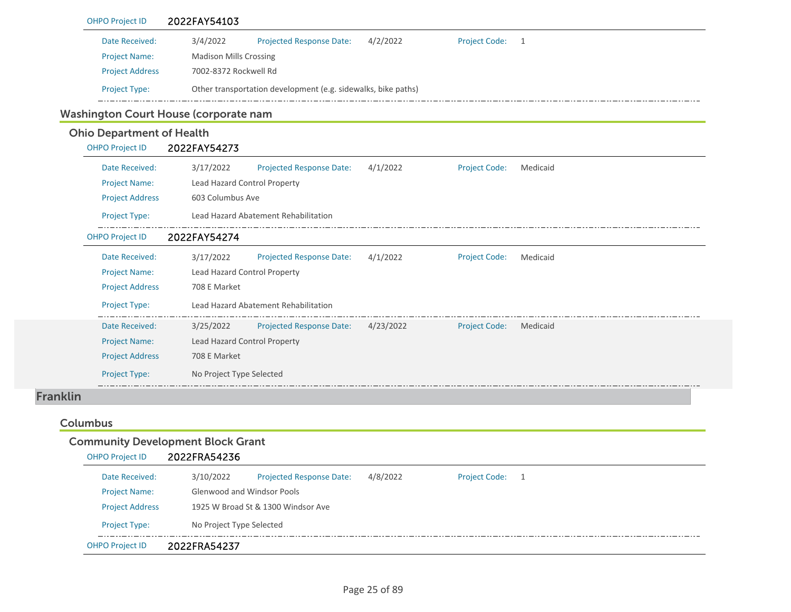|                 | <b>OHPO Project ID</b>           | 2022FAY54103                                                                                       |
|-----------------|----------------------------------|----------------------------------------------------------------------------------------------------|
|                 | Date Received:                   | 3/4/2022<br>4/2/2022<br><b>Project Code:</b><br><b>Projected Response Date:</b><br>$\overline{1}$  |
|                 | <b>Project Name:</b>             | <b>Madison Mills Crossing</b>                                                                      |
|                 | <b>Project Address</b>           | 7002-8372 Rockwell Rd                                                                              |
|                 | Project Type:                    | Other transportation development (e.g. sidewalks, bike paths)                                      |
|                 |                                  | Washington Court House (corporate nam                                                              |
|                 | <b>Ohio Department of Health</b> |                                                                                                    |
|                 | <b>OHPO Project ID</b>           | 2022FAY54273                                                                                       |
|                 | Date Received:                   | 3/17/2022<br><b>Projected Response Date:</b><br>4/1/2022<br><b>Project Code:</b><br>Medicaid       |
|                 | <b>Project Name:</b>             | Lead Hazard Control Property                                                                       |
|                 | <b>Project Address</b>           | 603 Columbus Ave                                                                                   |
|                 | Project Type:                    | Lead Hazard Abatement Rehabilitation                                                               |
|                 | <b>OHPO Project ID</b>           | 2022FAY54274                                                                                       |
|                 | Date Received:                   | 4/1/2022<br>3/17/2022<br><b>Projected Response Date:</b><br><b>Project Code:</b><br>Medicaid       |
|                 | <b>Project Name:</b>             | Lead Hazard Control Property                                                                       |
|                 | <b>Project Address</b>           | 708 E Market                                                                                       |
|                 | Project Type:                    | Lead Hazard Abatement Rehabilitation                                                               |
|                 | Date Received:                   | <b>Projected Response Date:</b><br>4/23/2022<br>3/25/2022<br><b>Project Code:</b><br>Medicaid      |
|                 | <b>Project Name:</b>             | Lead Hazard Control Property                                                                       |
|                 | <b>Project Address</b>           | 708 E Market                                                                                       |
|                 | Project Type:                    | No Project Type Selected                                                                           |
| <b>Franklin</b> |                                  |                                                                                                    |
|                 | <b>Columbus</b>                  |                                                                                                    |
|                 |                                  | <b>Community Development Block Grant</b>                                                           |
|                 | <b>OHPO Project ID</b>           | 2022FRA54236                                                                                       |
|                 | Date Received:                   | 3/10/2022<br>4/8/2022<br><b>Projected Response Date:</b><br><b>Project Code:</b><br>$\overline{1}$ |
|                 | <b>Project Name:</b>             | Glenwood and Windsor Pools                                                                         |
|                 | <b>Project Address</b>           | 1925 W Broad St & 1300 Windsor Ave                                                                 |
|                 | Project Type:                    | No Project Type Selected                                                                           |
|                 | <b>OHPO Project ID</b>           | 2022FRA54237                                                                                       |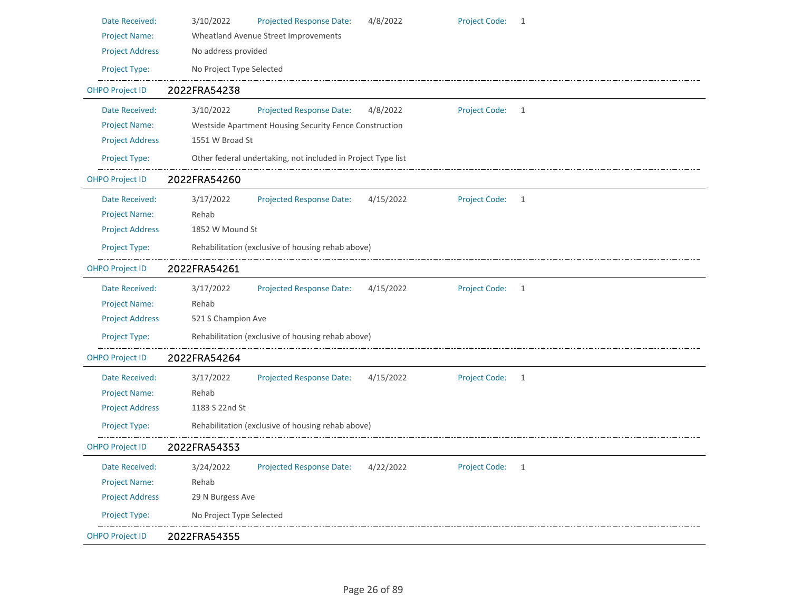| Date Received:         | 3/10/2022<br><b>Projected Response Date:</b><br>4/8/2022<br><b>Project Code:</b><br>-1              |
|------------------------|-----------------------------------------------------------------------------------------------------|
| <b>Project Name:</b>   | Wheatland Avenue Street Improvements                                                                |
| <b>Project Address</b> | No address provided                                                                                 |
| Project Type:          | No Project Type Selected                                                                            |
| <b>OHPO Project ID</b> | 2022FRA54238                                                                                        |
| Date Received:         | 3/10/2022<br><b>Projected Response Date:</b><br>4/8/2022<br><b>Project Code:</b><br>$\overline{1}$  |
| <b>Project Name:</b>   | Westside Apartment Housing Security Fence Construction                                              |
| <b>Project Address</b> | 1551 W Broad St                                                                                     |
| Project Type:          | Other federal undertaking, not included in Project Type list                                        |
| <b>OHPO Project ID</b> | 2022FRA54260                                                                                        |
| Date Received:         | 4/15/2022<br><b>Project Code:</b><br>3/17/2022<br><b>Projected Response Date:</b><br>$\overline{1}$ |
| <b>Project Name:</b>   | Rehab                                                                                               |
| <b>Project Address</b> | 1852 W Mound St                                                                                     |
| Project Type:          | Rehabilitation (exclusive of housing rehab above)                                                   |
| <b>OHPO Project ID</b> | 2022FRA54261                                                                                        |
| Date Received:         | 3/17/2022<br>Project Code: 1<br><b>Projected Response Date:</b><br>4/15/2022                        |
| <b>Project Name:</b>   | Rehab                                                                                               |
| <b>Project Address</b> | 521 S Champion Ave                                                                                  |
| Project Type:          | Rehabilitation (exclusive of housing rehab above)                                                   |
| <b>OHPO Project ID</b> | 2022FRA54264                                                                                        |
| Date Received:         | <b>Projected Response Date:</b><br>4/15/2022<br><b>Project Code:</b><br>3/17/2022<br>-1             |
| <b>Project Name:</b>   | Rehab                                                                                               |
| <b>Project Address</b> | 1183 S 22nd St                                                                                      |
| Project Type:          | Rehabilitation (exclusive of housing rehab above)                                                   |
| <b>OHPO Project ID</b> | 2022FRA54353                                                                                        |
| Date Received:         | <b>Projected Response Date:</b><br>Project Code: 1<br>3/24/2022<br>4/22/2022                        |
| <b>Project Name:</b>   | Rehab                                                                                               |
| <b>Project Address</b> | 29 N Burgess Ave                                                                                    |
| Project Type:          | No Project Type Selected                                                                            |
| <b>OHPO Project ID</b> | 2022FRA54355                                                                                        |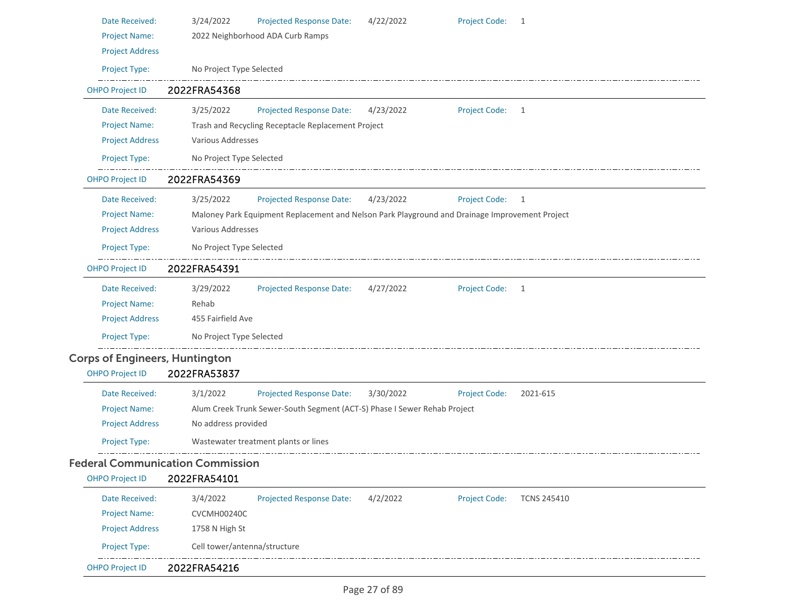| Date Received:                        | <b>Project Code:</b><br>3/24/2022<br><b>Projected Response Date:</b><br>4/22/2022<br>1                |
|---------------------------------------|-------------------------------------------------------------------------------------------------------|
| <b>Project Name:</b>                  | 2022 Neighborhood ADA Curb Ramps                                                                      |
| <b>Project Address</b>                |                                                                                                       |
| Project Type:                         | No Project Type Selected                                                                              |
| <b>OHPO Project ID</b>                | 2022FRA54368                                                                                          |
| Date Received:                        | 3/25/2022<br><b>Project Code:</b><br><b>Projected Response Date:</b><br>4/23/2022<br>1                |
| Project Name:                         | Trash and Recycling Receptacle Replacement Project                                                    |
| <b>Project Address</b>                | Various Addresses                                                                                     |
| Project Type:                         | No Project Type Selected                                                                              |
| <b>OHPO Project ID</b>                | 2022FRA54369                                                                                          |
| Date Received:                        | 3/25/2022<br><b>Projected Response Date:</b><br>4/23/2022<br>Project Code: 1                          |
| <b>Project Name:</b>                  | Maloney Park Equipment Replacement and Nelson Park Playground and Drainage Improvement Project        |
| <b>Project Address</b>                | Various Addresses                                                                                     |
| Project Type:                         | No Project Type Selected                                                                              |
| <b>OHPO Project ID</b>                | 2022FRA54391                                                                                          |
| Date Received:                        | 3/29/2022<br>Projected Response Date:<br>Project Code: 1<br>4/27/2022                                 |
| <b>Project Name:</b>                  | Rehab                                                                                                 |
| <b>Project Address</b>                | 455 Fairfield Ave                                                                                     |
| Project Type:                         | No Project Type Selected                                                                              |
| <b>Corps of Engineers, Huntington</b> |                                                                                                       |
| <b>OHPO Project ID</b>                | 2022FRA53837                                                                                          |
| Date Received:                        | 3/1/2022<br><b>Projected Response Date:</b><br><b>Project Code:</b><br>3/30/2022<br>2021-615          |
| <b>Project Name:</b>                  | Alum Creek Trunk Sewer-South Segment (ACT-S) Phase I Sewer Rehab Project                              |
| <b>Project Address</b>                | No address provided                                                                                   |
| Project Type:                         | Wastewater treatment plants or lines                                                                  |
|                                       | <b>Federal Communication Commission</b>                                                               |
| <b>OHPO Project ID</b>                | 2022FRA54101                                                                                          |
| Date Received:                        | <b>Projected Response Date:</b><br><b>Project Code:</b><br>3/4/2022<br>4/2/2022<br><b>TCNS 245410</b> |
| <b>Project Name:</b>                  | CVCMH00240C                                                                                           |
| <b>Project Address</b>                | 1758 N High St                                                                                        |
| Project Type:                         | Cell tower/antenna/structure                                                                          |
| <b>OHPO Project ID</b>                | 2022FRA54216                                                                                          |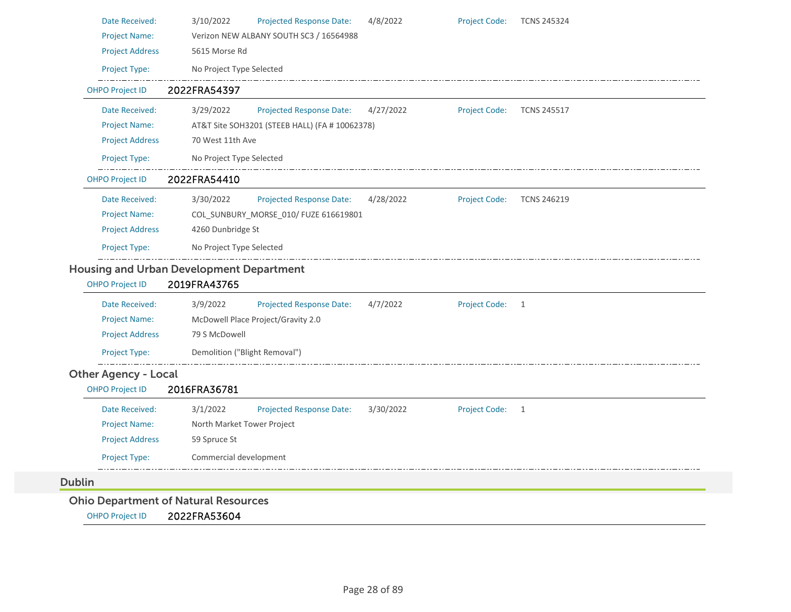| <b>Project Name:</b>        | Verizon NEW ALBANY SOUTH SC3 / 16564988                         |           |                      |                    |
|-----------------------------|-----------------------------------------------------------------|-----------|----------------------|--------------------|
| <b>Project Address</b>      | 5615 Morse Rd                                                   |           |                      |                    |
| Project Type:               | No Project Type Selected                                        |           |                      |                    |
| <b>OHPO Project ID</b>      | 2022FRA54397                                                    |           |                      |                    |
| Date Received:              | 3/29/2022<br>Projected Response Date:                           | 4/27/2022 | <b>Project Code:</b> | <b>TCNS 245517</b> |
| <b>Project Name:</b>        | AT&T Site SOH3201 (STEEB HALL) (FA # 10062378)                  |           |                      |                    |
| <b>Project Address</b>      | 70 West 11th Ave                                                |           |                      |                    |
| Project Type:               | No Project Type Selected                                        |           |                      |                    |
| <b>OHPO Project ID</b>      | 2022FRA54410                                                    |           |                      |                    |
| Date Received:              | 3/30/2022<br><b>Projected Response Date:</b>                    | 4/28/2022 | <b>Project Code:</b> | <b>TCNS 246219</b> |
| <b>Project Name:</b>        | COL_SUNBURY_MORSE_010/ FUZE 616619801                           |           |                      |                    |
|                             |                                                                 |           |                      |                    |
| <b>Project Address</b>      | 4260 Dunbridge St                                               |           |                      |                    |
| Project Type:               | No Project Type Selected                                        |           |                      |                    |
| <b>OHPO Project ID</b>      | <b>Housing and Urban Development Department</b><br>2019FRA43765 |           |                      |                    |
| Date Received:              | 3/9/2022<br><b>Projected Response Date:</b>                     | 4/7/2022  | Project Code: 1      |                    |
| <b>Project Name:</b>        | McDowell Place Project/Gravity 2.0                              |           |                      |                    |
| <b>Project Address</b>      | 79 S McDowell                                                   |           |                      |                    |
| Project Type:               | Demolition ("Blight Removal")                                   |           |                      |                    |
| <b>Other Agency - Local</b> |                                                                 |           |                      |                    |
| <b>OHPO Project ID</b>      | 2016FRA36781                                                    |           |                      |                    |
| Date Received:              | 3/1/2022<br><b>Projected Response Date:</b>                     | 3/30/2022 | Project Code: 1      |                    |
| <b>Project Name:</b>        | North Market Tower Project                                      |           |                      |                    |
| <b>Project Address</b>      | 59 Spruce St                                                    |           |                      |                    |
| Project Type:               | Commercial development                                          |           |                      |                    |

OHPO Project ID 2022FRA53604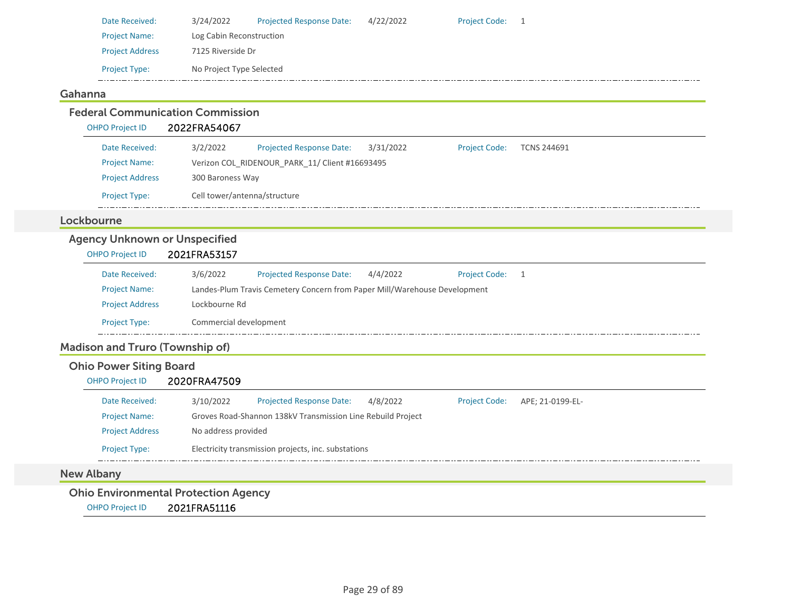| Date Received:         | 3/24/2022                | <b>Projected Response Date:</b> | 4/22/2022 | Project Code: 1 |  |
|------------------------|--------------------------|---------------------------------|-----------|-----------------|--|
| <b>Project Name:</b>   | Log Cabin Reconstruction |                                 |           |                 |  |
| <b>Project Address</b> | 7125 Riverside Dr        |                                 |           |                 |  |
| <b>Project Type:</b>   | No Project Type Selected |                                 |           |                 |  |
|                        |                          |                                 |           |                 |  |

#### Gahanna

Federal Communication CommissionOHPO Project ID 2022FRA54067 Date Received: 3/2/2022 Project Name: Verizon COL\_RIDENOUR\_PARK\_11/ Client #16693495 Projected Response Date: 3/31/2022 Project Address 300 Baroness Way Project Type: Cell tower/antenna/structure Project Code: TCNS 244691 LockbourneAgency Unknown or Unspecified OHPO Project ID 2021FRA53157 Date Received: 3/6/2022 Project Name: Landes‐Plum Travis Cemetery Concern from Paper Mill/Warehouse Development Projected Response Date: 4/4/2022 Project Address Lockbourne Rd Project Type: Commercial development Project Code: 1 Madison and Truro (Township of) Ohio Power Siting Board OHPO Project ID 2020FRA47509 Date Received: 3/10/2022 Project Name: Groves Road‐Shannon 138kV Transmission Line Rebuild Project Projected Response Date: 4/8/2022 Project Address No address provided Project Type: Electricity transmission projects, inc. substations Project Code: APE; 21‐0199‐EL‐ New Albany

Ohio Environmental Protection Agency

OHPO Project ID 2021FRA51116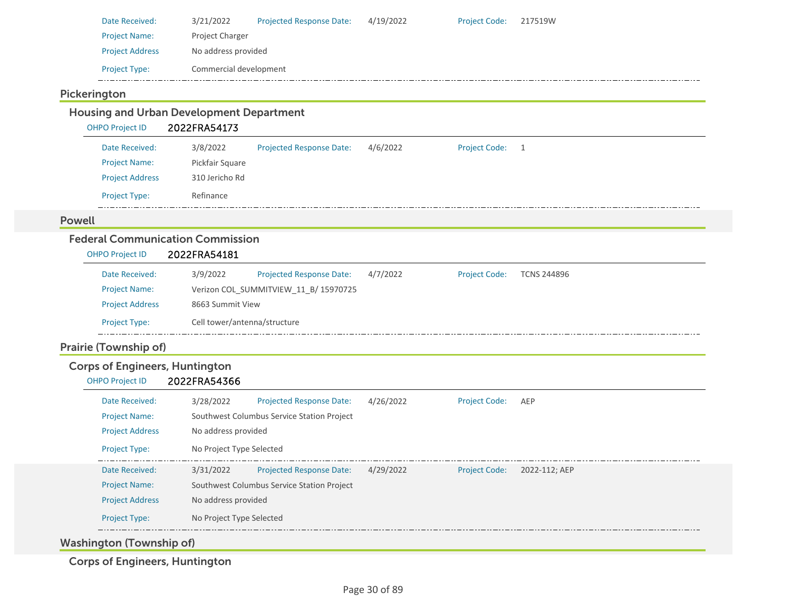| Date Received:         | 3/21/2022              | <b>Projected Response Date:</b> | 4/19/2022 | <b>Project Code:</b> | 217519W |
|------------------------|------------------------|---------------------------------|-----------|----------------------|---------|
| <b>Project Name:</b>   | <b>Project Charger</b> |                                 |           |                      |         |
| <b>Project Address</b> | No address provided    |                                 |           |                      |         |
| <b>Project Type:</b>   | Commercial development |                                 |           |                      |         |

## Pickerington

## Housing and Urban Development Department

OHPO Project ID 2022FRA54173

| Date Received:         | 3/8/2022        | <b>Projected Response Date:</b> | 4/6/2022 | <b>Project Code:</b> |  |
|------------------------|-----------------|---------------------------------|----------|----------------------|--|
| <b>Project Name:</b>   | Pickfair Square |                                 |          |                      |  |
| <b>Project Address</b> | 310 Jericho Rd  |                                 |          |                      |  |
| <b>Project Type:</b>   | Refinance       |                                 |          |                      |  |

#### Powell

## Federal Communication Commission

| <b>OHPO Project ID</b> | 2022FRA54181 |  |
|------------------------|--------------|--|
|                        |              |  |

| Date Received:         | 3/9/2022 | <b>Projected Response Date:</b>       | 4/7/2022 | <b>Project Code:</b> | <b>TCNS 244896</b> |  |  |  |
|------------------------|----------|---------------------------------------|----------|----------------------|--------------------|--|--|--|
| <b>Project Name:</b>   |          | Verizon COL SUMMITVIEW 11 B/ 15970725 |          |                      |                    |  |  |  |
| <b>Project Address</b> |          | 8663 Summit View                      |          |                      |                    |  |  |  |
| <b>Project Type:</b>   |          | Cell tower/antenna/structure          |          |                      |                    |  |  |  |

## Prairie (Township of)

## Corps of Engineers, Huntington

#### OHPO Project ID 2022FRA54366

| Date Received:         | 3/28/2022                | <b>Projected Response Date:</b>            | 4/26/2022 | <b>Project Code:</b> | AEP           |  |  |
|------------------------|--------------------------|--------------------------------------------|-----------|----------------------|---------------|--|--|
| <b>Project Name:</b>   |                          | Southwest Columbus Service Station Project |           |                      |               |  |  |
| <b>Project Address</b> |                          | No address provided                        |           |                      |               |  |  |
| <b>Project Type:</b>   |                          | No Project Type Selected                   |           |                      |               |  |  |
| Date Received:         | 3/31/2022                | <b>Projected Response Date:</b>            | 4/29/2022 | <b>Project Code:</b> | 2022-112: AEP |  |  |
| <b>Project Name:</b>   |                          | Southwest Columbus Service Station Project |           |                      |               |  |  |
| <b>Project Address</b> |                          | No address provided                        |           |                      |               |  |  |
| <b>Project Type:</b>   | No Project Type Selected |                                            |           |                      |               |  |  |
|                        |                          |                                            |           |                      |               |  |  |

Washington (Township of)

Corps of Engineers, Huntington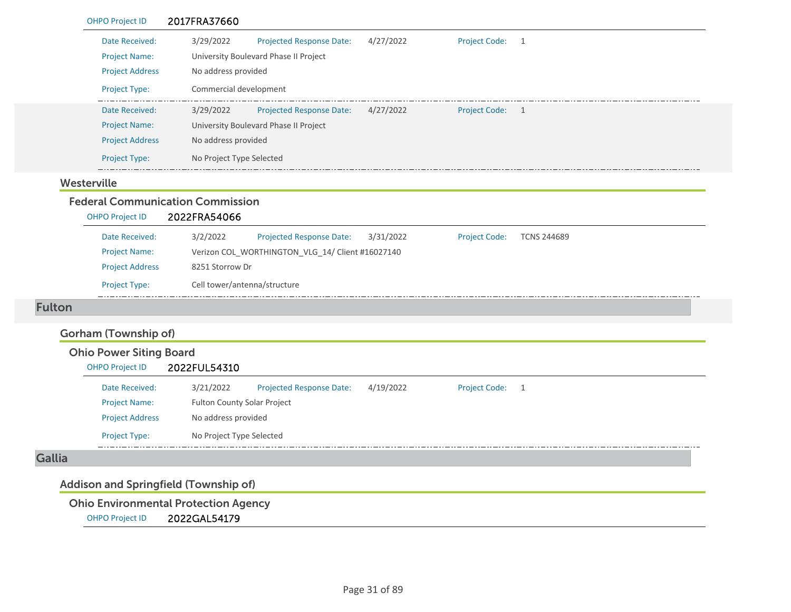| <b>OHPO Project ID</b> | 2017FRA37660                                 |           |                                        |
|------------------------|----------------------------------------------|-----------|----------------------------------------|
| Date Received:         | 3/29/2022<br><b>Projected Response Date:</b> | 4/27/2022 | <b>Project Code:</b><br>- 1            |
| <b>Project Name:</b>   | University Boulevard Phase II Project        |           |                                        |
| <b>Project Address</b> | No address provided                          |           |                                        |
| <b>Project Type:</b>   | Commercial development                       |           |                                        |
| Date Received:         | 3/29/2022<br><b>Projected Response Date:</b> | 4/27/2022 | <b>Project Code:</b><br>$\overline{1}$ |
| <b>Project Name:</b>   | University Boulevard Phase II Project        |           |                                        |
| <b>Project Address</b> | No address provided                          |           |                                        |
|                        |                                              |           |                                        |

#### Westerville

## Federal Communication Commission

| <b>OHPO Project ID</b> | 2022FRA54066                 |                                                  |           |                      |                    |
|------------------------|------------------------------|--------------------------------------------------|-----------|----------------------|--------------------|
| Date Received:         | 3/2/2022                     | <b>Projected Response Date:</b>                  | 3/31/2022 | <b>Project Code:</b> | <b>TCNS 244689</b> |
| <b>Project Name:</b>   |                              | Verizon COL WORTHINGTON_VLG_14/ Client #16027140 |           |                      |                    |
| <b>Project Address</b> | 8251 Storrow Dr              |                                                  |           |                      |                    |
| <b>Project Type:</b>   | Cell tower/antenna/structure |                                                  |           |                      |                    |
|                        |                              |                                                  |           |                      |                    |

#### Fulton

## Gorham (Township of)

Ohio Power Siting Board

| <b>OHPO Project ID</b> | 2022FUL54310                       |                                 |           |                      |  |  |
|------------------------|------------------------------------|---------------------------------|-----------|----------------------|--|--|
| Date Received:         | 3/21/2022                          | <b>Projected Response Date:</b> | 4/19/2022 | <b>Project Code:</b> |  |  |
| <b>Project Name:</b>   | <b>Fulton County Solar Project</b> |                                 |           |                      |  |  |
| <b>Project Address</b> | No address provided                |                                 |           |                      |  |  |
| <b>Project Type:</b>   | No Project Type Selected           |                                 |           |                      |  |  |

#### Gallia

## Addison and Springfield (Township of)

Ohio Environmental Protection Agency

OHPO Project ID 2022GAL54179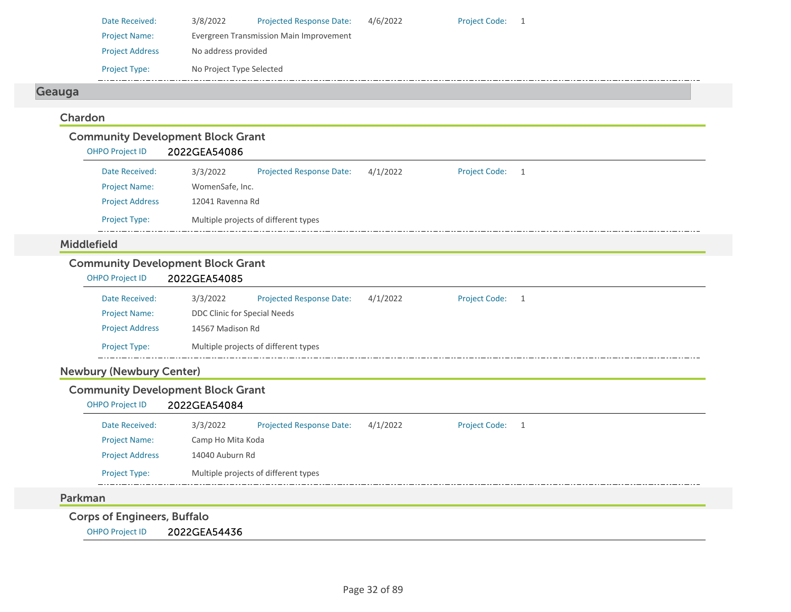| Date Received:         | 3/8/2022                 | <b>Projected Response Date:</b>         | 4/6/2022 | <b>Project Code:</b> | $\overline{1}$ |
|------------------------|--------------------------|-----------------------------------------|----------|----------------------|----------------|
| <b>Project Name:</b>   |                          | Evergreen Transmission Main Improvement |          |                      |                |
| <b>Project Address</b> | No address provided      |                                         |          |                      |                |
| <b>Project Type:</b>   | No Project Type Selected |                                         |          |                      |                |
|                        |                          |                                         |          |                      |                |

## Geauga

#### Chardon

| <b>Community Development Block Grant</b> |                  |                                      |          |                      |     |  |  |  |  |
|------------------------------------------|------------------|--------------------------------------|----------|----------------------|-----|--|--|--|--|
| <b>OHPO Project ID</b>                   | 2022GEA54086     |                                      |          |                      |     |  |  |  |  |
| Date Received:                           | 3/3/2022         | <b>Projected Response Date:</b>      | 4/1/2022 | <b>Project Code:</b> | - 1 |  |  |  |  |
| <b>Project Name:</b>                     | WomenSafe, Inc.  |                                      |          |                      |     |  |  |  |  |
| <b>Project Address</b>                   | 12041 Ravenna Rd |                                      |          |                      |     |  |  |  |  |
| <b>Project Type:</b>                     |                  | Multiple projects of different types |          |                      |     |  |  |  |  |

#### Middlefield

## Community Development Block Grant

| OHPO Project ID        | 2022GEA54085                 |                                      |          |                      |  |  |
|------------------------|------------------------------|--------------------------------------|----------|----------------------|--|--|
| Date Received:         | 3/3/2022                     | <b>Projected Response Date:</b>      | 4/1/2022 | <b>Project Code:</b> |  |  |
| <b>Project Name:</b>   | DDC Clinic for Special Needs |                                      |          |                      |  |  |
| <b>Project Address</b> | 14567 Madison Rd             |                                      |          |                      |  |  |
| <b>Project Type:</b>   |                              | Multiple projects of different types |          |                      |  |  |

## Newbury (Newbury Center)

## Community Development Block Grant

## OHPO Project ID 2022GEA54084

| Date Received:         | 3/3/2022          | <b>Projected Response Date:</b>      | 4/1/2022 | Project Code: 1 |  |
|------------------------|-------------------|--------------------------------------|----------|-----------------|--|
| <b>Project Name:</b>   | Camp Ho Mita Koda |                                      |          |                 |  |
| <b>Project Address</b> | 14040 Auburn Rd   |                                      |          |                 |  |
| <b>Project Type:</b>   |                   | Multiple projects of different types |          |                 |  |

#### Parkman

Corps of Engineers, Buffalo

OHPO Project ID 2022GEA54436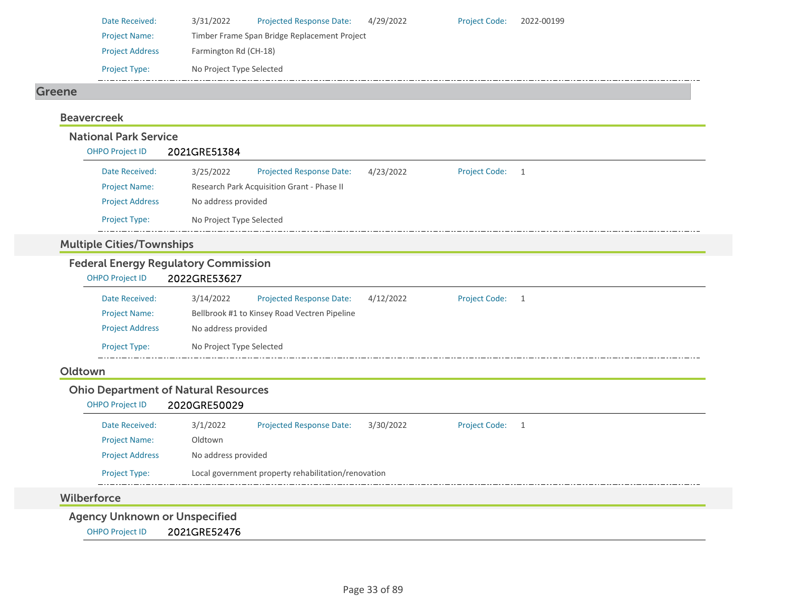| Date Received:         | 3/31/2022                | <b>Projected Response Date:</b>              | 4/29/2022 | <b>Project Code:</b> | 2022-00199 |
|------------------------|--------------------------|----------------------------------------------|-----------|----------------------|------------|
| <b>Project Name:</b>   |                          | Timber Frame Span Bridge Replacement Project |           |                      |            |
| <b>Project Address</b> | Farmington Rd (CH-18)    |                                              |           |                      |            |
| <b>Project Type:</b>   | No Project Type Selected |                                              |           |                      |            |

#### Greene

## BeavercreekNational Park Service

| <b>OHPO Project ID</b> | 2021GRE51384             |                                            |           |                      |                |  |  |
|------------------------|--------------------------|--------------------------------------------|-----------|----------------------|----------------|--|--|
| Date Received:         | 3/25/2022                | <b>Projected Response Date:</b>            | 4/23/2022 | <b>Project Code:</b> | $\overline{1}$ |  |  |
| <b>Project Name:</b>   |                          | Research Park Acquisition Grant - Phase II |           |                      |                |  |  |
| <b>Project Address</b> | No address provided      |                                            |           |                      |                |  |  |
| <b>Project Type:</b>   | No Project Type Selected |                                            |           |                      |                |  |  |

## Multiple Cities/Townships

## Federal Energy Regulatory Commission

| <b>OHPO Project ID</b> | 2022GRE53627             |                                              |           |                      |  |
|------------------------|--------------------------|----------------------------------------------|-----------|----------------------|--|
| Date Received:         | 3/14/2022                | <b>Projected Response Date:</b>              | 4/12/2022 | <b>Project Code:</b> |  |
| <b>Project Name:</b>   |                          | Bellbrook #1 to Kinsey Road Vectren Pipeline |           |                      |  |
| <b>Project Address</b> | No address provided      |                                              |           |                      |  |
| <b>Project Type:</b>   | No Project Type Selected |                                              |           |                      |  |
|                        |                          |                                              |           |                      |  |

#### Oldtown

## Ohio Department of Natural Resources

| <b>OHPO Project ID</b> | 2020GRE50029 |
|------------------------|--------------|
|                        |              |

| Date Received:         | 3/1/2022            | <b>Projected Response Date:</b>                     | 3/30/2022 | <b>Project Code:</b> |  |
|------------------------|---------------------|-----------------------------------------------------|-----------|----------------------|--|
| <b>Project Name:</b>   | Oldtown             |                                                     |           |                      |  |
| <b>Project Address</b> | No address provided |                                                     |           |                      |  |
| <b>Project Type:</b>   |                     | Local government property rehabilitation/renovation |           |                      |  |

#### Wilberforce

Agency Unknown or Unspecified

OHPO Project ID 2021GRE52476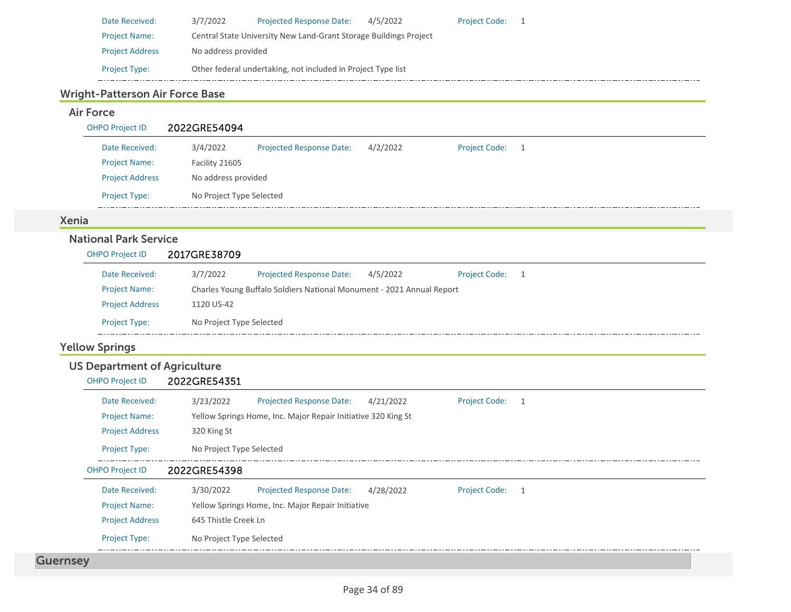| Date Received:         | 3/7/2022            | <b>Projected Response Date:</b>                                   | 4/5/2022 | <b>Project Code:</b> |  |
|------------------------|---------------------|-------------------------------------------------------------------|----------|----------------------|--|
| <b>Project Name:</b>   |                     | Central State University New Land-Grant Storage Buildings Project |          |                      |  |
| <b>Project Address</b> | No address provided |                                                                   |          |                      |  |
| <b>Project Type:</b>   |                     | Other federal undertaking, not included in Project Type list      |          |                      |  |

## Wright-Patterson Air Force Base

## Air Force

OHPO Project ID 2022GRE54094

| Date Received:         | 3/4/2022                 | <b>Projected Response Date:</b> | 4/2/2022 | <b>Project Code:</b> |  |
|------------------------|--------------------------|---------------------------------|----------|----------------------|--|
| <b>Project Name:</b>   | Facility 21605           |                                 |          |                      |  |
| <b>Project Address</b> | No address provided      |                                 |          |                      |  |
| <b>Project Type:</b>   | No Project Type Selected |                                 |          |                      |  |

## Xenia

## National Park Service

| OHPO Project ID        | 2017GRE38709             |                                                                       |          |                 |  |
|------------------------|--------------------------|-----------------------------------------------------------------------|----------|-----------------|--|
| Date Received:         | 3/7/2022                 | Projected Response Date:                                              | 4/5/2022 | Project Code: 1 |  |
| <b>Project Name:</b>   |                          | Charles Young Buffalo Soldiers National Monument - 2021 Annual Report |          |                 |  |
| <b>Project Address</b> | 1120 US-42               |                                                                       |          |                 |  |
| <b>Project Type:</b>   | No Project Type Selected |                                                                       |          |                 |  |
|                        |                          |                                                                       |          |                 |  |

## Yellow Springs

## US Department of Agriculture

OHPO Project ID 2022GRE54351

|                 | Date Received:         | 3/23/2022                | <b>Projected Response Date:</b>                               | 4/21/2022 | <b>Project Code:</b> |   |  |
|-----------------|------------------------|--------------------------|---------------------------------------------------------------|-----------|----------------------|---|--|
|                 | <b>Project Name:</b>   |                          | Yellow Springs Home, Inc. Major Repair Initiative 320 King St |           |                      |   |  |
|                 | <b>Project Address</b> | 320 King St              |                                                               |           |                      |   |  |
|                 | <b>Project Type:</b>   | No Project Type Selected |                                                               |           |                      |   |  |
|                 | <b>OHPO Project ID</b> | 2022GRE54398             |                                                               |           |                      |   |  |
|                 | Date Received:         | 3/30/2022                | <b>Projected Response Date:</b>                               | 4/28/2022 | <b>Project Code:</b> | 1 |  |
|                 | <b>Project Name:</b>   |                          | Yellow Springs Home, Inc. Major Repair Initiative             |           |                      |   |  |
|                 | <b>Project Address</b> | 645 Thistle Creek Ln     |                                                               |           |                      |   |  |
|                 | <b>Project Type:</b>   | No Project Type Selected |                                                               |           |                      |   |  |
| <b>Guernsey</b> |                        |                          |                                                               |           |                      |   |  |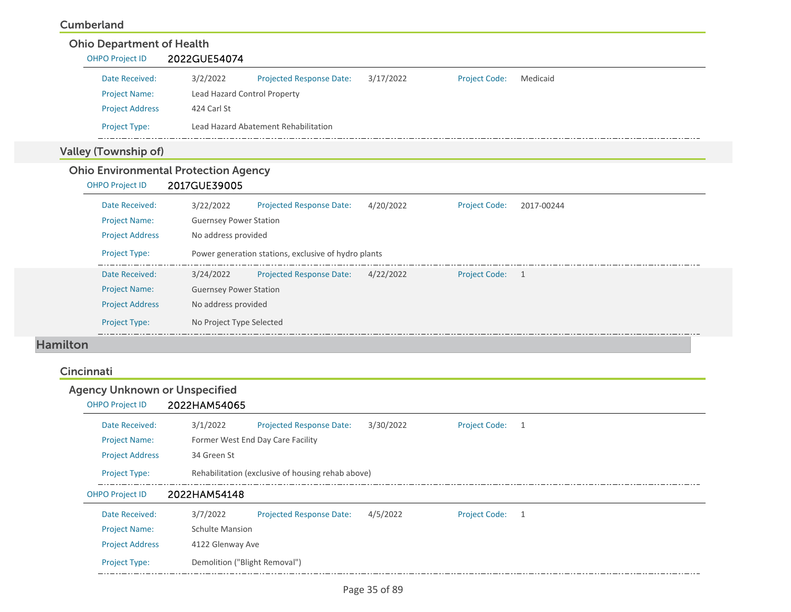#### Cumberland

| <b>Ohio Department of Health</b><br>OHPO Project ID | 2022GUE54074                  |                                                      |           |                      |            |
|-----------------------------------------------------|-------------------------------|------------------------------------------------------|-----------|----------------------|------------|
| Date Received:                                      | 3/2/2022                      | <b>Projected Response Date:</b>                      | 3/17/2022 | <b>Project Code:</b> | Medicaid   |
| <b>Project Name:</b>                                | Lead Hazard Control Property  |                                                      |           |                      |            |
| <b>Project Address</b>                              | 424 Carl St                   |                                                      |           |                      |            |
| Project Type:                                       |                               | Lead Hazard Abatement Rehabilitation                 |           |                      |            |
| <b>Valley (Township of)</b>                         |                               |                                                      |           |                      |            |
| <b>Ohio Environmental Protection Agency</b>         |                               |                                                      |           |                      |            |
| <b>OHPO Project ID</b>                              | 2017GUE39005                  |                                                      |           |                      |            |
| Date Received:                                      | 3/22/2022                     | <b>Projected Response Date:</b>                      | 4/20/2022 | <b>Project Code:</b> | 2017-00244 |
| <b>Project Name:</b>                                | <b>Guernsey Power Station</b> |                                                      |           |                      |            |
| <b>Project Address</b>                              | No address provided           |                                                      |           |                      |            |
| <b>Project Type:</b>                                |                               | Power generation stations, exclusive of hydro plants |           |                      |            |
| Date Received:                                      | 3/24/2022                     | Projected Response Date:                             | 4/22/2022 | Project Code: 1      |            |
| <b>Project Name:</b>                                | <b>Guernsey Power Station</b> |                                                      |           |                      |            |
| <b>Project Address</b>                              | No address provided           |                                                      |           |                      |            |
| <b>Project Type:</b>                                | No Project Type Selected      |                                                      |           |                      |            |

#### Hamilton

#### Cincinnati

| <b>Agency Unknown or Unspecified</b> |                               |                                                   |           |                      |                |  |  |
|--------------------------------------|-------------------------------|---------------------------------------------------|-----------|----------------------|----------------|--|--|
| <b>OHPO Project ID</b>               | 2022HAM54065                  |                                                   |           |                      |                |  |  |
| Date Received:                       | 3/1/2022                      | <b>Projected Response Date:</b>                   | 3/30/2022 | Project Code: 1      |                |  |  |
| <b>Project Name:</b>                 |                               | Former West End Day Care Facility                 |           |                      |                |  |  |
| <b>Project Address</b>               | 34 Green St                   |                                                   |           |                      |                |  |  |
| <b>Project Type:</b>                 |                               | Rehabilitation (exclusive of housing rehab above) |           |                      |                |  |  |
| <b>OHPO Project ID</b>               | 2022HAM54148                  |                                                   |           |                      |                |  |  |
| Date Received:                       | 3/7/2022                      | <b>Projected Response Date:</b>                   | 4/5/2022  | <b>Project Code:</b> | $\overline{1}$ |  |  |
| <b>Project Name:</b>                 |                               | <b>Schulte Mansion</b>                            |           |                      |                |  |  |
| <b>Project Address</b>               | 4122 Glenway Ave              |                                                   |           |                      |                |  |  |
| <b>Project Type:</b>                 | Demolition ("Blight Removal") |                                                   |           |                      |                |  |  |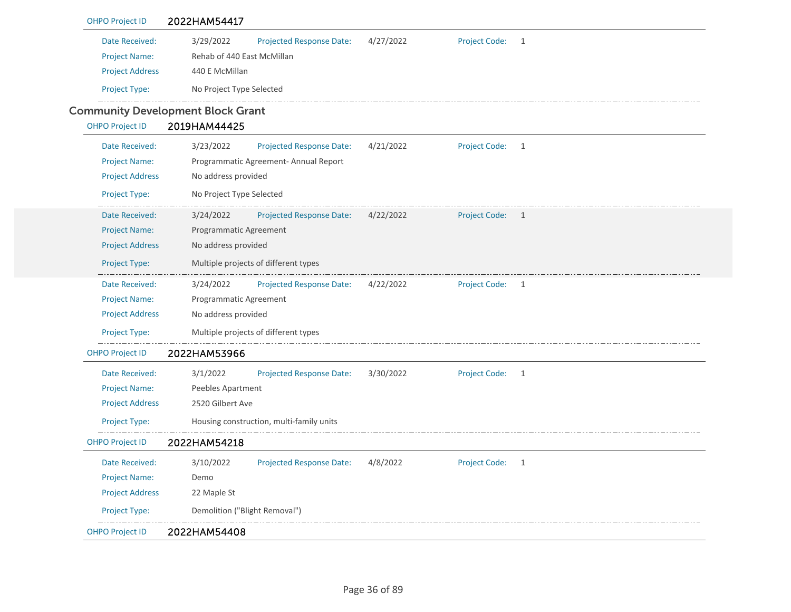| <b>OHPO Project ID</b> | 2022HAM54417                                                                                     |  |  |  |  |  |
|------------------------|--------------------------------------------------------------------------------------------------|--|--|--|--|--|
| Date Received:         | 3/29/2022<br><b>Projected Response Date:</b><br>4/27/2022<br><b>Project Code:</b><br>1           |  |  |  |  |  |
| <b>Project Name:</b>   | Rehab of 440 East McMillan                                                                       |  |  |  |  |  |
| <b>Project Address</b> | 440 E McMillan                                                                                   |  |  |  |  |  |
| Project Type:          | No Project Type Selected                                                                         |  |  |  |  |  |
|                        | <b>Community Development Block Grant</b>                                                         |  |  |  |  |  |
| <b>OHPO Project ID</b> | 2019HAM44425                                                                                     |  |  |  |  |  |
| Date Received:         | 3/23/2022<br><b>Project Code:</b><br>Projected Response Date:<br>4/21/2022<br>$\mathbf{1}$       |  |  |  |  |  |
| <b>Project Name:</b>   | Programmatic Agreement- Annual Report                                                            |  |  |  |  |  |
| <b>Project Address</b> | No address provided                                                                              |  |  |  |  |  |
| Project Type:          | No Project Type Selected                                                                         |  |  |  |  |  |
| Date Received:         | Projected Response Date:<br>4/22/2022<br>Project Code: 1<br>3/24/2022                            |  |  |  |  |  |
| <b>Project Name:</b>   | Programmatic Agreement                                                                           |  |  |  |  |  |
| <b>Project Address</b> | No address provided                                                                              |  |  |  |  |  |
| Project Type:          | Multiple projects of different types                                                             |  |  |  |  |  |
| Date Received:         | 3/24/2022<br><b>Projected Response Date:</b><br>4/22/2022<br>Project Code: 1                     |  |  |  |  |  |
| <b>Project Name:</b>   | Programmatic Agreement                                                                           |  |  |  |  |  |
| <b>Project Address</b> | No address provided                                                                              |  |  |  |  |  |
| Project Type:          | Multiple projects of different types                                                             |  |  |  |  |  |
| <b>OHPO Project ID</b> | 2022HAM53966                                                                                     |  |  |  |  |  |
| Date Received:         | 3/1/2022<br><b>Projected Response Date:</b><br>3/30/2022<br><b>Project Code:</b><br>$\mathbf{1}$ |  |  |  |  |  |
| <b>Project Name:</b>   | Peebles Apartment                                                                                |  |  |  |  |  |
| <b>Project Address</b> | 2520 Gilbert Ave                                                                                 |  |  |  |  |  |
| Project Type:          | Housing construction, multi-family units                                                         |  |  |  |  |  |
| <b>OHPO Project ID</b> | 2022HAM54218                                                                                     |  |  |  |  |  |
| Date Received:         | 3/10/2022<br>Projected Response Date: 4/8/2022<br>Project Code: 1                                |  |  |  |  |  |
| <b>Project Name:</b>   | Demo                                                                                             |  |  |  |  |  |
| <b>Project Address</b> | 22 Maple St                                                                                      |  |  |  |  |  |
| Project Type:          | Demolition ("Blight Removal")                                                                    |  |  |  |  |  |
| <b>OHPO Project ID</b> | 2022HAM54408                                                                                     |  |  |  |  |  |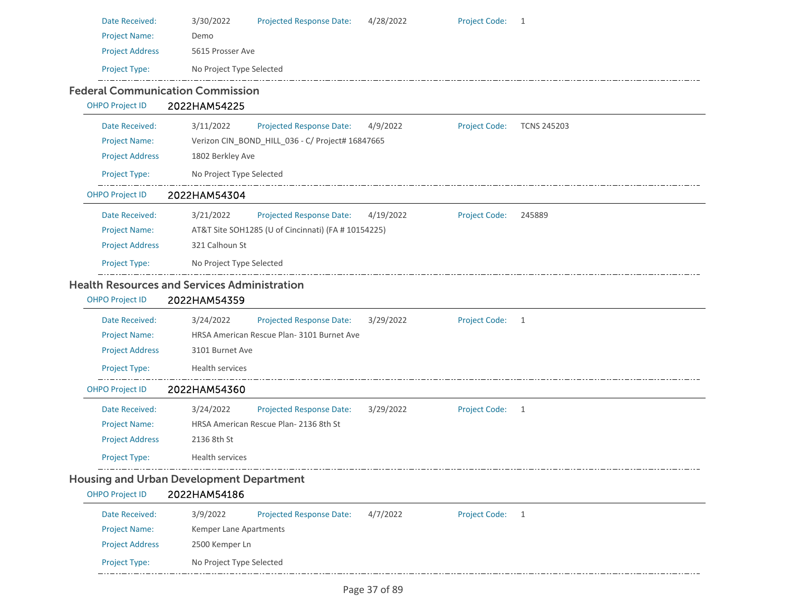| Date Received:         | 3/30/2022                                           | <b>Projected Response Date:</b>                     | 4/28/2022 | <b>Project Code:</b> | 1                  |  |
|------------------------|-----------------------------------------------------|-----------------------------------------------------|-----------|----------------------|--------------------|--|
| <b>Project Name:</b>   | Demo                                                |                                                     |           |                      |                    |  |
| <b>Project Address</b> | 5615 Prosser Ave                                    |                                                     |           |                      |                    |  |
| Project Type:          | No Project Type Selected                            |                                                     |           |                      |                    |  |
|                        | <b>Federal Communication Commission</b>             |                                                     |           |                      |                    |  |
| <b>OHPO Project ID</b> | 2022HAM54225                                        |                                                     |           |                      |                    |  |
| Date Received:         | 3/11/2022                                           | Projected Response Date:                            | 4/9/2022  | <b>Project Code:</b> | <b>TCNS 245203</b> |  |
| <b>Project Name:</b>   |                                                     | Verizon CIN_BOND_HILL_036 - C/ Project# 16847665    |           |                      |                    |  |
| <b>Project Address</b> | 1802 Berkley Ave                                    |                                                     |           |                      |                    |  |
| Project Type:          | No Project Type Selected                            |                                                     |           |                      |                    |  |
| <b>OHPO Project ID</b> | 2022HAM54304                                        |                                                     |           |                      |                    |  |
| Date Received:         | 3/21/2022                                           | <b>Projected Response Date:</b>                     | 4/19/2022 | <b>Project Code:</b> | 245889             |  |
| <b>Project Name:</b>   |                                                     | AT&T Site SOH1285 (U of Cincinnati) (FA # 10154225) |           |                      |                    |  |
| <b>Project Address</b> | 321 Calhoun St                                      |                                                     |           |                      |                    |  |
| Project Type:          | No Project Type Selected                            |                                                     |           |                      |                    |  |
|                        | <b>Health Resources and Services Administration</b> |                                                     |           |                      |                    |  |
| <b>OHPO Project ID</b> | 2022HAM54359                                        |                                                     |           |                      |                    |  |
| Date Received:         | 3/24/2022                                           | <b>Projected Response Date:</b>                     | 3/29/2022 | <b>Project Code:</b> | 1                  |  |
| <b>Project Name:</b>   |                                                     | HRSA American Rescue Plan-3101 Burnet Ave           |           |                      |                    |  |
| <b>Project Address</b> | 3101 Burnet Ave                                     |                                                     |           |                      |                    |  |
| Project Type:          | Health services                                     |                                                     |           |                      |                    |  |
| <b>OHPO Project ID</b> | 2022HAM54360                                        |                                                     |           |                      |                    |  |
| Date Received:         | 3/24/2022                                           | <b>Projected Response Date:</b>                     | 3/29/2022 | <b>Project Code:</b> | 1                  |  |
| <b>Project Name:</b>   |                                                     | HRSA American Rescue Plan-2136 8th St               |           |                      |                    |  |
| <b>Project Address</b> | 2136 8th St                                         |                                                     |           |                      |                    |  |
| Project Type:          | Health services                                     |                                                     |           |                      |                    |  |
|                        | <b>Housing and Urban Development Department</b>     |                                                     |           |                      |                    |  |
| <b>OHPO Project ID</b> | 2022HAM54186                                        |                                                     |           |                      |                    |  |
| Date Received:         | 3/9/2022                                            | Projected Response Date:                            | 4/7/2022  | <b>Project Code:</b> | 1                  |  |
| <b>Project Name:</b>   | Kemper Lane Apartments                              |                                                     |           |                      |                    |  |
| <b>Project Address</b> | 2500 Kemper Ln                                      |                                                     |           |                      |                    |  |
| Project Type:          | No Project Type Selected                            |                                                     |           |                      |                    |  |
|                        |                                                     |                                                     |           |                      |                    |  |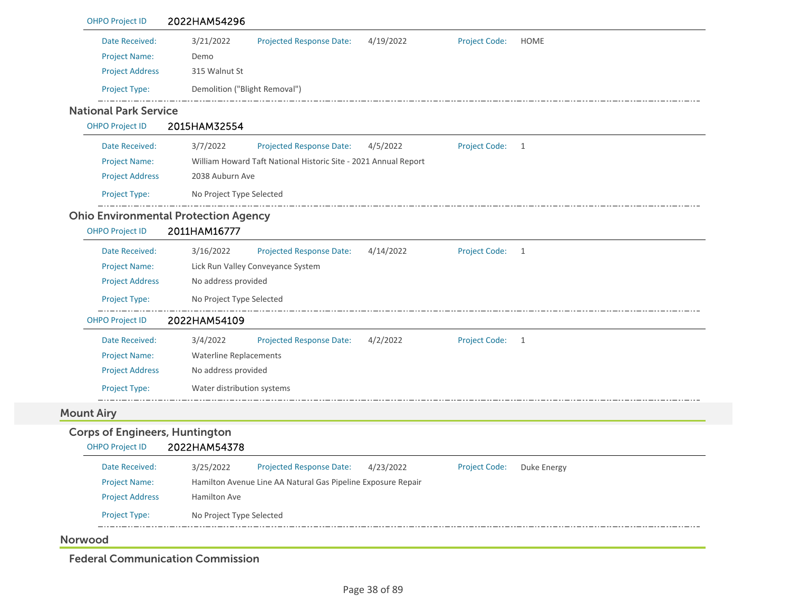| <b>OHPO Project ID</b>                | 2022HAM54296                                                                                      |
|---------------------------------------|---------------------------------------------------------------------------------------------------|
| Date Received:                        | 3/21/2022<br><b>Projected Response Date:</b><br>4/19/2022<br><b>Project Code:</b><br><b>HOME</b>  |
| <b>Project Name:</b>                  | Demo                                                                                              |
| <b>Project Address</b>                | 315 Walnut St                                                                                     |
| Project Type:                         | Demolition ("Blight Removal")                                                                     |
| <b>National Park Service</b>          |                                                                                                   |
| <b>OHPO Project ID</b>                | 2015HAM32554                                                                                      |
| Date Received:                        | 3/7/2022<br><b>Projected Response Date:</b><br><b>Project Code:</b><br>4/5/2022<br>$\overline{1}$ |
| <b>Project Name:</b>                  | William Howard Taft National Historic Site - 2021 Annual Report                                   |
| <b>Project Address</b>                | 2038 Auburn Ave                                                                                   |
| Project Type:                         | No Project Type Selected                                                                          |
|                                       | <b>Ohio Environmental Protection Agency</b>                                                       |
| <b>OHPO Project ID</b>                | 2011HAM16777                                                                                      |
| Date Received:                        | <b>Project Code:</b><br>3/16/2022<br>Projected Response Date:<br>4/14/2022<br>$\overline{1}$      |
| <b>Project Name:</b>                  | Lick Run Valley Conveyance System                                                                 |
| <b>Project Address</b>                | No address provided                                                                               |
| Project Type:                         | No Project Type Selected                                                                          |
| <b>OHPO Project ID</b>                | 2022HAM54109                                                                                      |
| Date Received:                        | 3/4/2022<br><b>Project Code:</b><br><b>Projected Response Date:</b><br>4/2/2022<br>$\overline{1}$ |
| <b>Project Name:</b>                  | <b>Waterline Replacements</b>                                                                     |
| <b>Project Address</b>                | No address provided                                                                               |
| Project Type:                         | Water distribution systems                                                                        |
| <b>Mount Airy</b>                     |                                                                                                   |
| <b>Corps of Engineers, Huntington</b> |                                                                                                   |
| <b>OHPO Project ID</b>                | 2022HAM54378                                                                                      |
| Date Received:                        | 3/25/2022<br><b>Projected Response Date:</b><br>4/23/2022<br>Project Code: Duke Energy            |
| <b>Project Name:</b>                  | Hamilton Avenue Line AA Natural Gas Pipeline Exposure Repair                                      |
| <b>Project Address</b>                | Hamilton Ave                                                                                      |
| Project Type:                         | No Project Type Selected                                                                          |
|                                       |                                                                                                   |

Federal Communication Commission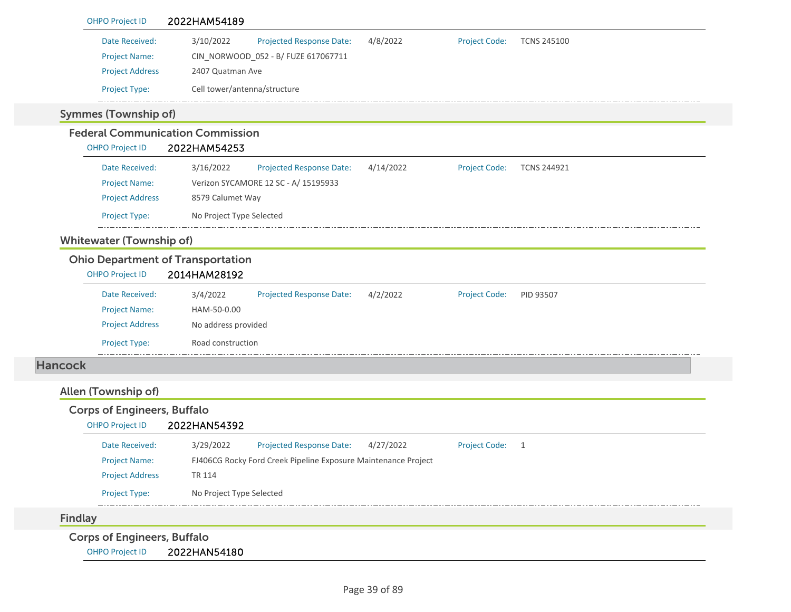| <b>OHPO Project ID</b>                   | 2022HAM54189                                                   |           |                      |                    |
|------------------------------------------|----------------------------------------------------------------|-----------|----------------------|--------------------|
| Date Received:                           | 3/10/2022<br>Projected Response Date:                          | 4/8/2022  | <b>Project Code:</b> | <b>TCNS 245100</b> |
| <b>Project Name:</b>                     | CIN_NORWOOD_052 - B/ FUZE 617067711                            |           |                      |                    |
| <b>Project Address</b>                   | 2407 Quatman Ave                                               |           |                      |                    |
| Project Type:                            | Cell tower/antenna/structure                                   |           |                      |                    |
| <b>Symmes (Township of)</b>              |                                                                |           |                      |                    |
|                                          | <b>Federal Communication Commission</b>                        |           |                      |                    |
| <b>OHPO Project ID</b>                   | 2022HAM54253                                                   |           |                      |                    |
| Date Received:                           | 3/16/2022<br>Projected Response Date:                          | 4/14/2022 | <b>Project Code:</b> | <b>TCNS 244921</b> |
| <b>Project Name:</b>                     | Verizon SYCAMORE 12 SC - A/ 15195933                           |           |                      |                    |
| <b>Project Address</b>                   | 8579 Calumet Way                                               |           |                      |                    |
| Project Type:                            | No Project Type Selected                                       |           |                      |                    |
| <b>Whitewater (Township of)</b>          |                                                                |           |                      |                    |
| <b>Ohio Department of Transportation</b> |                                                                |           |                      |                    |
| <b>OHPO Project ID</b>                   | 2014HAM28192                                                   |           |                      |                    |
| Date Received:                           | 3/4/2022<br>Projected Response Date:                           | 4/2/2022  | <b>Project Code:</b> | PID 93507          |
| <b>Project Name:</b>                     | HAM-50-0.00                                                    |           |                      |                    |
| <b>Project Address</b>                   | No address provided                                            |           |                      |                    |
| <b>Project Type:</b>                     | Road construction                                              |           |                      |                    |
| <b>Hancock</b>                           |                                                                |           |                      |                    |
| Allen (Township of)                      |                                                                |           |                      |                    |
| <b>Corps of Engineers, Buffalo</b>       |                                                                |           |                      |                    |
| <b>OHPO Project ID</b>                   | 2022HAN54392                                                   |           |                      |                    |
| Date Received:                           | <b>Projected Response Date:</b><br>3/29/2022                   | 4/27/2022 | <b>Project Code:</b> | $\overline{1}$     |
| <b>Project Name:</b>                     | FJ406CG Rocky Ford Creek Pipeline Exposure Maintenance Project |           |                      |                    |
| <b>Project Address</b>                   | TR 114                                                         |           |                      |                    |
| Project Type:                            | No Project Type Selected                                       |           |                      |                    |
| <b>Findlay</b>                           |                                                                |           |                      |                    |
| <b>Corps of Engineers, Buffalo</b>       |                                                                |           |                      |                    |
| <b>OHPO Project ID</b>                   | 2022HAN54180                                                   |           |                      |                    |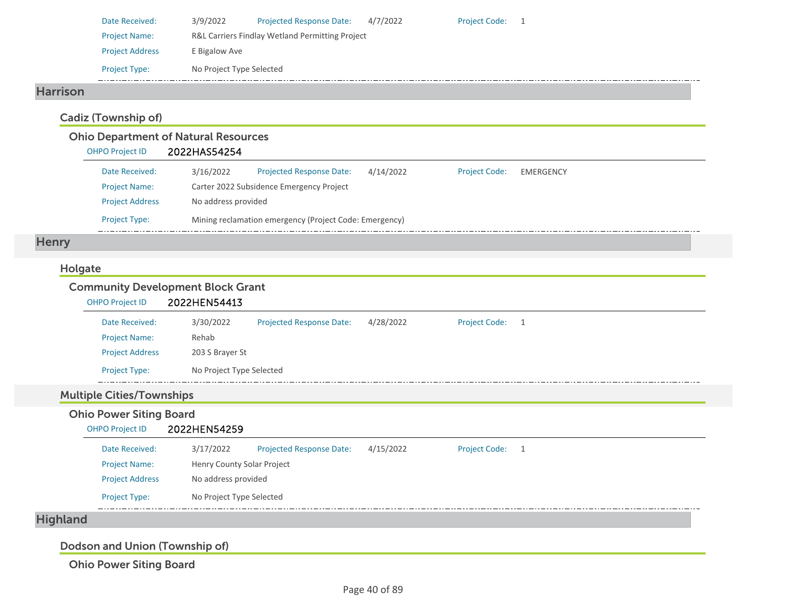| Date Received:         | 3/9/2022                 | <b>Projected Response Date:</b>                 | 4/7/2022 | <b>Project Code:</b> |  |
|------------------------|--------------------------|-------------------------------------------------|----------|----------------------|--|
| <b>Project Name:</b>   |                          | R&L Carriers Findlay Wetland Permitting Project |          |                      |  |
| <b>Project Address</b> | E Bigalow Ave            |                                                 |          |                      |  |
| <b>Project Type:</b>   | No Project Type Selected |                                                 |          |                      |  |

### Harrison

## Cadiz (Township of)

## Ohio Department of Natural Resources

| <b>OHPO Project ID</b> | 2022HAS54254 |
|------------------------|--------------|
|                        |              |

| Date Received:         | 3/16/2022           | <b>Projected Response Date:</b>                        | 4/14/2022 | <b>Project Code:</b> | EMERGENCY |
|------------------------|---------------------|--------------------------------------------------------|-----------|----------------------|-----------|
| <b>Project Name:</b>   |                     | Carter 2022 Subsidence Emergency Project               |           |                      |           |
| <b>Project Address</b> | No address provided |                                                        |           |                      |           |
| <b>Project Type:</b>   |                     | Mining reclamation emergency (Project Code: Emergency) |           |                      |           |

# **Henry**

### Holgate

### Community Development Block Grant

| <b>OHPO Project ID</b> | 2022HEN54413             |                                 |           |                 |  |
|------------------------|--------------------------|---------------------------------|-----------|-----------------|--|
| Date Received:         | 3/30/2022                | <b>Projected Response Date:</b> | 4/28/2022 | Project Code: 1 |  |
| <b>Project Name:</b>   | Rehab                    |                                 |           |                 |  |
| <b>Project Address</b> | 203 S Brayer St          |                                 |           |                 |  |
| <b>Project Type:</b>   | No Project Type Selected |                                 |           |                 |  |

### Multiple Cities/Townships

# Ohio Power Siting Board

| <b>OHPO Project ID</b> | 2022HEN54259               |                                 |           |                      |  |
|------------------------|----------------------------|---------------------------------|-----------|----------------------|--|
| Date Received:         | 3/17/2022                  | <b>Projected Response Date:</b> | 4/15/2022 | <b>Project Code:</b> |  |
| <b>Project Name:</b>   | Henry County Solar Project |                                 |           |                      |  |
| <b>Project Address</b> | No address provided        |                                 |           |                      |  |
| <b>Project Type:</b>   | No Project Type Selected   |                                 |           |                      |  |

# Highland

Dodson and Union (Township of)

Ohio Power Siting Board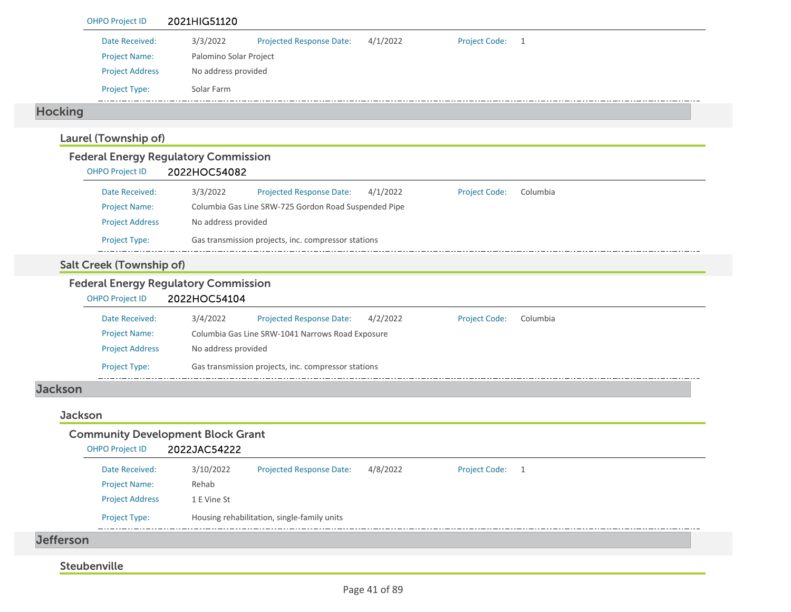| <b>OHPO Project ID</b>                                                | 2021HIG51120                                                                                      |
|-----------------------------------------------------------------------|---------------------------------------------------------------------------------------------------|
| Date Received:                                                        | 3/3/2022<br><b>Projected Response Date:</b><br>4/1/2022<br><b>Project Code:</b><br>$\overline{1}$ |
| <b>Project Name:</b>                                                  | Palomino Solar Project                                                                            |
| <b>Project Address</b>                                                | No address provided                                                                               |
| Project Type:                                                         | Solar Farm                                                                                        |
| <b>Hocking</b>                                                        |                                                                                                   |
| Laurel (Township of)                                                  |                                                                                                   |
| <b>Federal Energy Regulatory Commission</b><br><b>OHPO Project ID</b> | 2022HOC54082                                                                                      |
| Date Received:                                                        | 3/3/2022<br><b>Project Code:</b><br>Projected Response Date:<br>4/1/2022<br>Columbia              |
| <b>Project Name:</b>                                                  | Columbia Gas Line SRW-725 Gordon Road Suspended Pipe                                              |
| <b>Project Address</b>                                                | No address provided                                                                               |
| Project Type:                                                         | Gas transmission projects, inc. compressor stations                                               |
| <b>Salt Creek (Township of)</b>                                       |                                                                                                   |
| <b>Federal Energy Regulatory Commission</b><br><b>OHPO Project ID</b> | 2022HOC54104                                                                                      |
| Date Received:                                                        | 3/4/2022<br>4/2/2022<br><b>Project Code:</b><br><b>Projected Response Date:</b><br>Columbia       |
| <b>Project Name:</b>                                                  | Columbia Gas Line SRW-1041 Narrows Road Exposure                                                  |
| <b>Project Address</b>                                                | No address provided                                                                               |
| Project Type:                                                         | Gas transmission projects, inc. compressor stations                                               |
| <b>Jackson</b>                                                        |                                                                                                   |
| <b>Jackson</b>                                                        |                                                                                                   |
| <b>Community Development Block Grant</b><br><b>OHPO Project ID</b>    | 2022JAC54222                                                                                      |
| Date Received:                                                        | 4/8/2022<br>3/10/2022<br>Projected Response Date:<br><b>Project Code:</b><br>$\overline{1}$       |
| <b>Project Name:</b>                                                  | Rehab                                                                                             |
| <b>Project Address</b>                                                | 1 E Vine St                                                                                       |
| Project Type:                                                         | Housing rehabilitation, single-family units                                                       |
| <b>Jefferson</b>                                                      |                                                                                                   |
|                                                                       |                                                                                                   |
| Steubenville                                                          |                                                                                                   |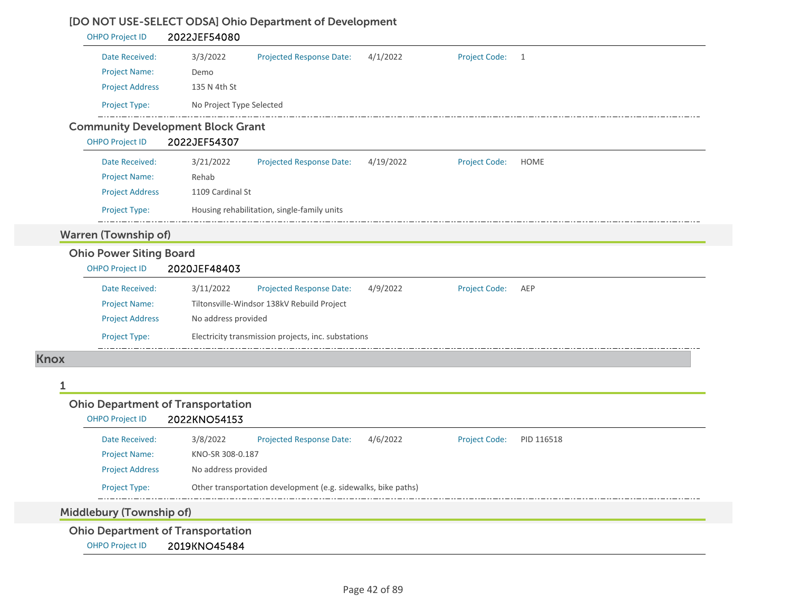## [DO NOT USE-SELECT ODSA] Ohio Department of Development

| 3/3/2022<br>Projected Response Date:<br>Demo<br>135 N 4th St<br>No Project Type Selected<br><b>Community Development Block Grant</b><br>2022JEF54307<br>3/21/2022<br><b>Projected Response Date:</b><br>Rehab<br>1109 Cardinal St<br>Housing rehabilitation, single-family units<br><b>Ohio Power Siting Board</b><br>2020JEF48403<br>3/11/2022<br><b>Projected Response Date:</b><br>Tiltonsville-Windsor 138kV Rebuild Project<br>No address provided | 4/1/2022<br>4/19/2022<br>4/9/2022                                                                                                                  | <b>Project Code:</b><br>Project Code:<br>Project Code:                    | $\overline{1}$<br><b>HOME</b><br>AEP |
|---------------------------------------------------------------------------------------------------------------------------------------------------------------------------------------------------------------------------------------------------------------------------------------------------------------------------------------------------------------------------------------------------------------------------------------------------------|----------------------------------------------------------------------------------------------------------------------------------------------------|---------------------------------------------------------------------------|--------------------------------------|
|                                                                                                                                                                                                                                                                                                                                                                                                                                                         |                                                                                                                                                    |                                                                           |                                      |
|                                                                                                                                                                                                                                                                                                                                                                                                                                                         |                                                                                                                                                    |                                                                           |                                      |
|                                                                                                                                                                                                                                                                                                                                                                                                                                                         |                                                                                                                                                    |                                                                           |                                      |
|                                                                                                                                                                                                                                                                                                                                                                                                                                                         |                                                                                                                                                    |                                                                           |                                      |
|                                                                                                                                                                                                                                                                                                                                                                                                                                                         |                                                                                                                                                    |                                                                           |                                      |
|                                                                                                                                                                                                                                                                                                                                                                                                                                                         |                                                                                                                                                    |                                                                           |                                      |
|                                                                                                                                                                                                                                                                                                                                                                                                                                                         |                                                                                                                                                    |                                                                           |                                      |
|                                                                                                                                                                                                                                                                                                                                                                                                                                                         |                                                                                                                                                    |                                                                           |                                      |
|                                                                                                                                                                                                                                                                                                                                                                                                                                                         |                                                                                                                                                    |                                                                           |                                      |
|                                                                                                                                                                                                                                                                                                                                                                                                                                                         |                                                                                                                                                    |                                                                           |                                      |
|                                                                                                                                                                                                                                                                                                                                                                                                                                                         |                                                                                                                                                    |                                                                           |                                      |
|                                                                                                                                                                                                                                                                                                                                                                                                                                                         |                                                                                                                                                    |                                                                           |                                      |
|                                                                                                                                                                                                                                                                                                                                                                                                                                                         |                                                                                                                                                    |                                                                           |                                      |
|                                                                                                                                                                                                                                                                                                                                                                                                                                                         |                                                                                                                                                    |                                                                           |                                      |
|                                                                                                                                                                                                                                                                                                                                                                                                                                                         |                                                                                                                                                    |                                                                           |                                      |
|                                                                                                                                                                                                                                                                                                                                                                                                                                                         |                                                                                                                                                    |                                                                           |                                      |
| Electricity transmission projects, inc. substations                                                                                                                                                                                                                                                                                                                                                                                                     |                                                                                                                                                    |                                                                           |                                      |
|                                                                                                                                                                                                                                                                                                                                                                                                                                                         |                                                                                                                                                    |                                                                           |                                      |
|                                                                                                                                                                                                                                                                                                                                                                                                                                                         |                                                                                                                                                    |                                                                           |                                      |
|                                                                                                                                                                                                                                                                                                                                                                                                                                                         |                                                                                                                                                    |                                                                           |                                      |
|                                                                                                                                                                                                                                                                                                                                                                                                                                                         |                                                                                                                                                    |                                                                           |                                      |
|                                                                                                                                                                                                                                                                                                                                                                                                                                                         |                                                                                                                                                    |                                                                           | PID 116518                           |
|                                                                                                                                                                                                                                                                                                                                                                                                                                                         |                                                                                                                                                    |                                                                           |                                      |
|                                                                                                                                                                                                                                                                                                                                                                                                                                                         |                                                                                                                                                    |                                                                           |                                      |
|                                                                                                                                                                                                                                                                                                                                                                                                                                                         |                                                                                                                                                    |                                                                           |                                      |
|                                                                                                                                                                                                                                                                                                                                                                                                                                                         |                                                                                                                                                    |                                                                           |                                      |
|                                                                                                                                                                                                                                                                                                                                                                                                                                                         |                                                                                                                                                    |                                                                           |                                      |
|                                                                                                                                                                                                                                                                                                                                                                                                                                                         | <b>Ohio Department of Transportation</b><br>2022KNO54153<br>3/8/2022<br><b>Projected Response Date:</b><br>KNO-SR 308-0.187<br>No address provided | 4/6/2022<br>Other transportation development (e.g. sidewalks, bike paths) | <b>Project Code:</b>                 |

OHPO Project ID 2019KNO45484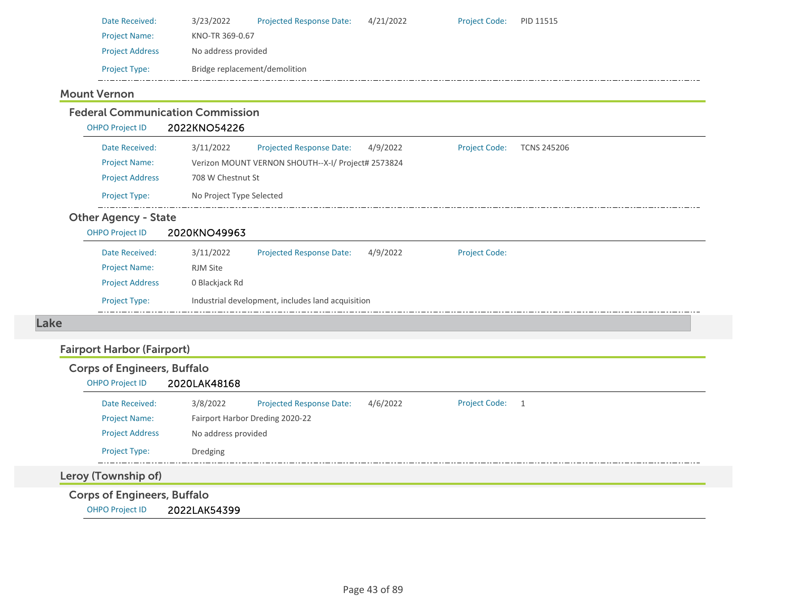| Date Received:         | 3/23/2022                     | <b>Projected Response Date:</b> | 4/21/2022 | <b>Project Code:</b> | PID 11515 |
|------------------------|-------------------------------|---------------------------------|-----------|----------------------|-----------|
| <b>Project Name:</b>   | KNO-TR 369-0.67               |                                 |           |                      |           |
| <b>Project Address</b> | No address provided           |                                 |           |                      |           |
| <b>Project Type:</b>   | Bridge replacement/demolition |                                 |           |                      |           |
|                        |                               |                                 |           |                      |           |

## Mount Vernon

|      | Date Received:                     | 3/11/2022                | Projected Response Date:                           | 4/9/2022 | <b>Project Code:</b> | <b>TCNS 245206</b> |
|------|------------------------------------|--------------------------|----------------------------------------------------|----------|----------------------|--------------------|
|      | <b>Project Name:</b>               |                          | Verizon MOUNT VERNON SHOUTH--X-I/ Project# 2573824 |          |                      |                    |
|      | <b>Project Address</b>             | 708 W Chestnut St        |                                                    |          |                      |                    |
|      | Project Type:                      | No Project Type Selected |                                                    |          |                      |                    |
|      | <b>Other Agency - State</b>        |                          |                                                    |          |                      |                    |
|      | <b>OHPO Project ID</b>             | 2020KNO49963             |                                                    |          |                      |                    |
|      | Date Received:                     | 3/11/2022                | Projected Response Date:                           | 4/9/2022 | <b>Project Code:</b> |                    |
|      | <b>Project Name:</b>               | <b>RJM Site</b>          |                                                    |          |                      |                    |
|      | <b>Project Address</b>             | 0 Blackjack Rd           |                                                    |          |                      |                    |
|      | <b>Project Type:</b>               |                          | Industrial development, includes land acquisition  |          |                      |                    |
| Lake |                                    |                          |                                                    |          |                      |                    |
|      | <b>Fairport Harbor (Fairport)</b>  |                          |                                                    |          |                      |                    |
|      | <b>Corps of Engineers, Buffalo</b> |                          |                                                    |          |                      |                    |
|      | <b>OHPO Project ID</b>             | 2020LAK48168             |                                                    |          |                      |                    |
|      | Date Received:                     | 3/8/2022                 | Projected Response Date:                           | 4/6/2022 | <b>Project Code:</b> | $\overline{1}$     |
|      | <b>Project Name:</b>               |                          | Fairport Harbor Dreding 2020-22                    |          |                      |                    |
|      | <b>Project Address</b>             | No address provided      |                                                    |          |                      |                    |
|      | Project Type:                      | Dredging                 |                                                    |          |                      |                    |
|      |                                    |                          |                                                    |          |                      |                    |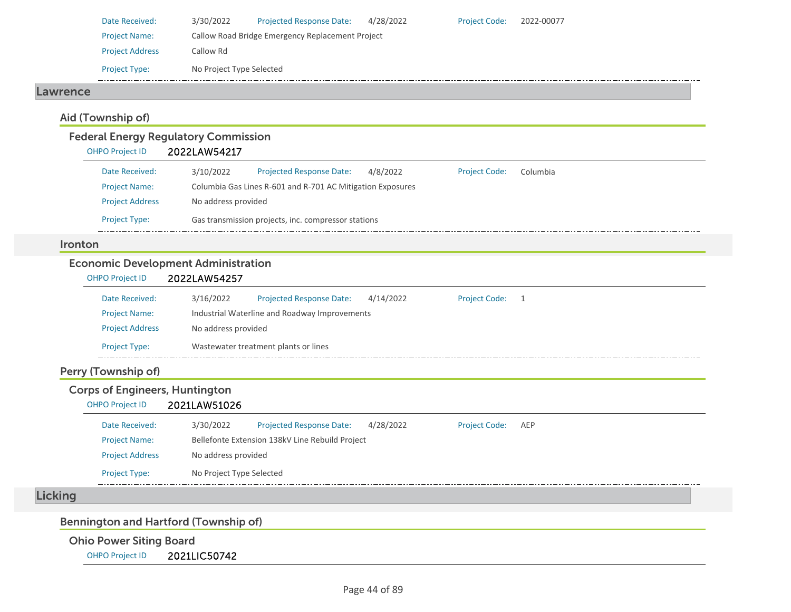| Date Received:         | 3/30/2022                                        | <b>Projected Response Date:</b> | 4/28/2022 | <b>Project Code:</b> | 2022-00077 |  |  |  |
|------------------------|--------------------------------------------------|---------------------------------|-----------|----------------------|------------|--|--|--|
| <b>Project Name:</b>   | Callow Road Bridge Emergency Replacement Project |                                 |           |                      |            |  |  |  |
| <b>Project Address</b> | Callow Rd                                        |                                 |           |                      |            |  |  |  |
| <b>Project Type:</b>   | No Project Type Selected                         |                                 |           |                      |            |  |  |  |

### Lawrence

## Aid (Township of)

# Federal Energy Regulatory Commission

| <b>OHPO Project ID</b> | 2022LAW54217 |
|------------------------|--------------|
|                        |              |

| Date Received:         | 3/10/2022                                                  | <b>Projected Response Date:</b> | 4/8/2022 | <b>Project Code:</b> | Columbia |  |  |  |
|------------------------|------------------------------------------------------------|---------------------------------|----------|----------------------|----------|--|--|--|
| <b>Project Name:</b>   | Columbia Gas Lines R-601 and R-701 AC Mitigation Exposures |                                 |          |                      |          |  |  |  |
| <b>Project Address</b> | No address provided                                        |                                 |          |                      |          |  |  |  |
| <b>Project Type:</b>   | Gas transmission projects, inc. compressor stations        |                                 |          |                      |          |  |  |  |

### Ironton

### Economic Development Administration

| <b>OHPO Project ID</b> | 2022LAW54257 |                                               |           |                      |  |  |  |  |
|------------------------|--------------|-----------------------------------------------|-----------|----------------------|--|--|--|--|
| Date Received:         | 3/16/2022    | <b>Projected Response Date:</b>               | 4/14/2022 | <b>Project Code:</b> |  |  |  |  |
| <b>Project Name:</b>   |              | Industrial Waterline and Roadway Improvements |           |                      |  |  |  |  |
| <b>Project Address</b> |              | No address provided                           |           |                      |  |  |  |  |
| <b>Project Type:</b>   |              | Wastewater treatment plants or lines          |           |                      |  |  |  |  |

# Perry (Township of)

## Corps of Engineers, Huntington

### OHPO Project ID 2021LAW51026

| Date Received:         | 3/30/2022                | <b>Projected Response Date:</b>                 | 4/28/2022 | <b>Project Code:</b> | AEP |  |  |  |
|------------------------|--------------------------|-------------------------------------------------|-----------|----------------------|-----|--|--|--|
| <b>Project Name:</b>   |                          | Bellefonte Extension 138kV Line Rebuild Project |           |                      |     |  |  |  |
| <b>Project Address</b> |                          | No address provided                             |           |                      |     |  |  |  |
| <b>Project Type:</b>   | No Project Type Selected |                                                 |           |                      |     |  |  |  |

# **Licking**

### Bennington and Hartford (Township of)

### Ohio Power Siting Board

OHPO Project ID 2021LIC50742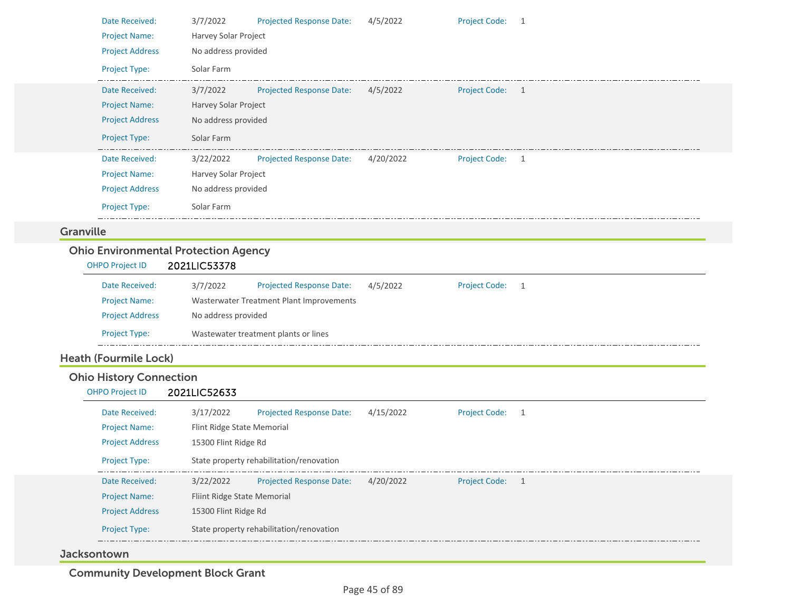|                  | Date Received:<br><b>Project Name:</b>      | 3/7/2022<br>Harvey Solar Project | <b>Projected Response Date:</b>          | 4/5/2022  | Project Code: 1      |   |
|------------------|---------------------------------------------|----------------------------------|------------------------------------------|-----------|----------------------|---|
|                  | <b>Project Address</b>                      | No address provided              |                                          |           |                      |   |
|                  | Project Type:                               | Solar Farm                       |                                          |           |                      |   |
|                  | Date Received:                              | 3/7/2022                         | <b>Projected Response Date:</b>          | 4/5/2022  | Project Code: 1      |   |
|                  | <b>Project Name:</b>                        | Harvey Solar Project             |                                          |           |                      |   |
|                  | <b>Project Address</b>                      | No address provided              |                                          |           |                      |   |
|                  | Project Type:                               | Solar Farm                       |                                          |           |                      |   |
|                  | Date Received:                              | 3/22/2022                        | <b>Projected Response Date:</b>          | 4/20/2022 | Project Code: 1      |   |
|                  | <b>Project Name:</b>                        | Harvey Solar Project             |                                          |           |                      |   |
|                  | <b>Project Address</b>                      | No address provided              |                                          |           |                      |   |
|                  | <b>Project Type:</b>                        | Solar Farm                       |                                          |           |                      |   |
| <b>Granville</b> |                                             |                                  |                                          |           |                      |   |
|                  | <b>Ohio Environmental Protection Agency</b> |                                  |                                          |           |                      |   |
|                  | <b>OHPO Project ID</b>                      | 2021LIC53378                     |                                          |           |                      |   |
|                  | Date Received:                              | 3/7/2022                         | Projected Response Date:                 | 4/5/2022  | Project Code: 1      |   |
|                  | <b>Project Name:</b>                        |                                  | Wasterwater Treatment Plant Improvements |           |                      |   |
|                  | <b>Project Address</b>                      | No address provided              |                                          |           |                      |   |
|                  | Project Type:                               |                                  | Wastewater treatment plants or lines     |           |                      |   |
|                  | <b>Heath (Fourmile Lock)</b>                |                                  |                                          |           |                      |   |
|                  | <b>Ohio History Connection</b>              |                                  |                                          |           |                      |   |
|                  | <b>OHPO Project ID</b>                      | 2021LIC52633                     |                                          |           |                      |   |
|                  | Date Received:                              | 3/17/2022                        | Projected Response Date:                 | 4/15/2022 | Project Code: 1      |   |
|                  | <b>Project Name:</b>                        | Flint Ridge State Memorial       |                                          |           |                      |   |
|                  | <b>Project Address</b>                      | 15300 Flint Ridge Rd             |                                          |           |                      |   |
|                  | Project Type:<br>___________                |                                  | State property rehabilitation/renovation |           |                      |   |
|                  | Date Received:                              | 3/22/2022                        | Projected Response Date:                 | 4/20/2022 | <b>Project Code:</b> | 1 |
|                  | <b>Project Name:</b>                        | Fliint Ridge State Memorial      |                                          |           |                      |   |
|                  | <b>Project Address</b>                      | 15300 Flint Ridge Rd             |                                          |           |                      |   |
|                  | Project Type:                               |                                  | State property rehabilitation/renovation |           |                      |   |
|                  |                                             |                                  |                                          |           |                      |   |

### Jacksontown

Community Development Block Grant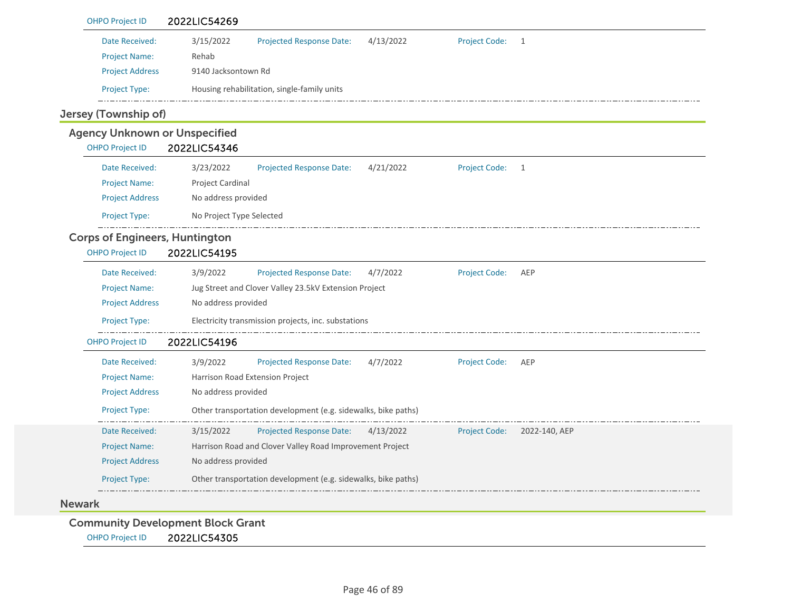| <b>OHPO Project ID</b>                | 2022LIC54269                                                                                       |
|---------------------------------------|----------------------------------------------------------------------------------------------------|
| Date Received:                        | 3/15/2022<br>4/13/2022<br><b>Project Code:</b><br>Projected Response Date:<br>1                    |
| <b>Project Name:</b>                  | Rehab                                                                                              |
| <b>Project Address</b>                | 9140 Jacksontown Rd                                                                                |
| Project Type:                         | Housing rehabilitation, single-family units                                                        |
| Jersey (Township of)                  |                                                                                                    |
| <b>Agency Unknown or Unspecified</b>  |                                                                                                    |
| <b>OHPO Project ID</b>                | 2022LIC54346                                                                                       |
| Date Received:                        | 4/21/2022<br>3/23/2022<br>Projected Response Date:<br><b>Project Code:</b><br>1                    |
| <b>Project Name:</b>                  | Project Cardinal                                                                                   |
| <b>Project Address</b>                | No address provided                                                                                |
| Project Type:                         | No Project Type Selected                                                                           |
| <b>Corps of Engineers, Huntington</b> |                                                                                                    |
| <b>OHPO Project ID</b>                | 2022LIC54195                                                                                       |
| Date Received:                        | 3/9/2022<br>Projected Response Date:<br>4/7/2022<br><b>Project Code:</b><br>AEP                    |
| <b>Project Name:</b>                  | Jug Street and Clover Valley 23.5kV Extension Project                                              |
| <b>Project Address</b>                | No address provided                                                                                |
| Project Type:                         | Electricity transmission projects, inc. substations                                                |
| <b>OHPO Project ID</b>                | 2022LIC54196                                                                                       |
| Date Received:                        | 3/9/2022<br><b>Project Code:</b><br><b>Projected Response Date:</b><br>4/7/2022<br>AEP             |
| <b>Project Name:</b>                  | Harrison Road Extension Project                                                                    |
| <b>Project Address</b>                | No address provided                                                                                |
| Project Type:                         | Other transportation development (e.g. sidewalks, bike paths)                                      |
| Date Received:                        | <b>Projected Response Date:</b><br>3/15/2022<br><b>Project Code:</b><br>4/13/2022<br>2022-140, AEP |
| <b>Project Name:</b>                  | Harrison Road and Clover Valley Road Improvement Project                                           |
| <b>Project Address</b>                | No address provided                                                                                |
| Project Type:                         | Other transportation development (e.g. sidewalks, bike paths)                                      |
| <b>Newark</b>                         |                                                                                                    |
|                                       |                                                                                                    |
| <b>OHPO Project ID</b>                | <b>Community Development Block Grant</b><br>2022LIC54305                                           |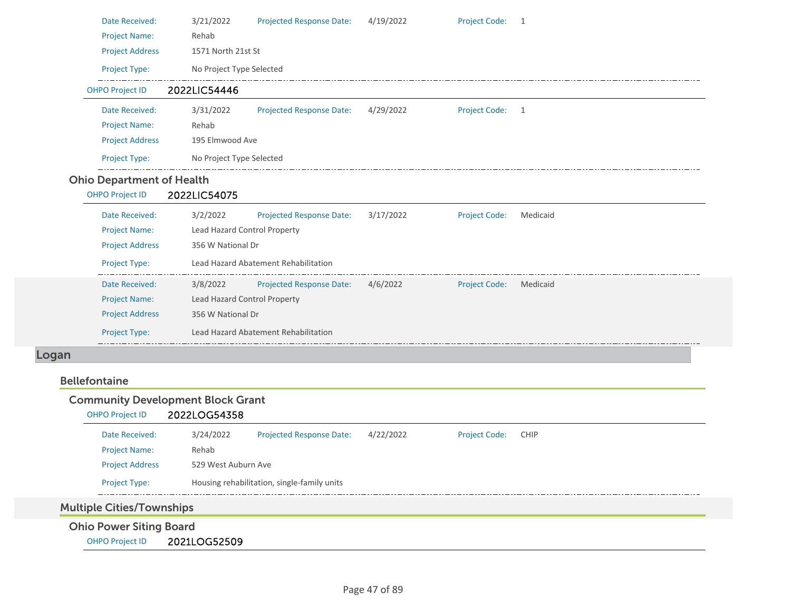|                        | Date Received:                   | 3/21/2022                    | Projected Response Date:             | 4/19/2022 | <b>Project Code:</b> | 1        |  |  |
|------------------------|----------------------------------|------------------------------|--------------------------------------|-----------|----------------------|----------|--|--|
|                        | <b>Project Name:</b>             | Rehab                        |                                      |           |                      |          |  |  |
|                        | <b>Project Address</b>           | 1571 North 21st St           |                                      |           |                      |          |  |  |
|                        | Project Type:                    | No Project Type Selected     |                                      |           |                      |          |  |  |
| <b>OHPO Project ID</b> |                                  | 2022LIC54446                 |                                      |           |                      |          |  |  |
|                        | Date Received:                   | 3/31/2022                    | <b>Projected Response Date:</b>      | 4/29/2022 | <b>Project Code:</b> | 1        |  |  |
|                        | <b>Project Name:</b>             | Rehab                        |                                      |           |                      |          |  |  |
|                        | <b>Project Address</b>           | 195 Elmwood Ave              |                                      |           |                      |          |  |  |
|                        | <b>Project Type:</b>             | No Project Type Selected     |                                      |           |                      |          |  |  |
|                        | <b>Ohio Department of Health</b> |                              |                                      |           |                      |          |  |  |
| <b>OHPO Project ID</b> |                                  | 2022LIC54075                 |                                      |           |                      |          |  |  |
|                        | Date Received:                   | 3/2/2022                     | Projected Response Date:             | 3/17/2022 | <b>Project Code:</b> | Medicaid |  |  |
|                        | <b>Project Name:</b>             | Lead Hazard Control Property |                                      |           |                      |          |  |  |
|                        | <b>Project Address</b>           | 356 W National Dr            |                                      |           |                      |          |  |  |
|                        | Project Type:                    |                              | Lead Hazard Abatement Rehabilitation |           |                      |          |  |  |
|                        | Date Received:                   | 3/8/2022                     | Projected Response Date: 4/6/2022    |           | <b>Project Code:</b> | Medicaid |  |  |
|                        | <b>Project Name:</b>             | Lead Hazard Control Property |                                      |           |                      |          |  |  |
|                        | <b>Project Address</b>           | 356 W National Dr            |                                      |           |                      |          |  |  |
|                        | <b>Project Type:</b>             |                              | Lead Hazard Abatement Rehabilitation |           |                      |          |  |  |

### Logan

### Bellefontaine

### Community Development Block Grant

| <b>OHPO Project ID</b>        | 2022LOG54358 |                                             |           |                      |             |  |  |
|-------------------------------|--------------|---------------------------------------------|-----------|----------------------|-------------|--|--|
| Date Received:                | 3/24/2022    | <b>Projected Response Date:</b>             | 4/22/2022 | <b>Project Code:</b> | <b>CHIP</b> |  |  |
| <b>Project Name:</b>          | Rehab        |                                             |           |                      |             |  |  |
| <b>Project Address</b>        |              | 529 West Auburn Ave                         |           |                      |             |  |  |
| <b>Project Type:</b>          |              | Housing rehabilitation, single-family units |           |                      |             |  |  |
| $1.1 \t1.1$ $2.1 \t1.1$ $1.1$ | . .          |                                             |           |                      |             |  |  |

# Multiple Cities/Townships

Ohio Power Siting Board

OHPO Project ID 2021LOG52509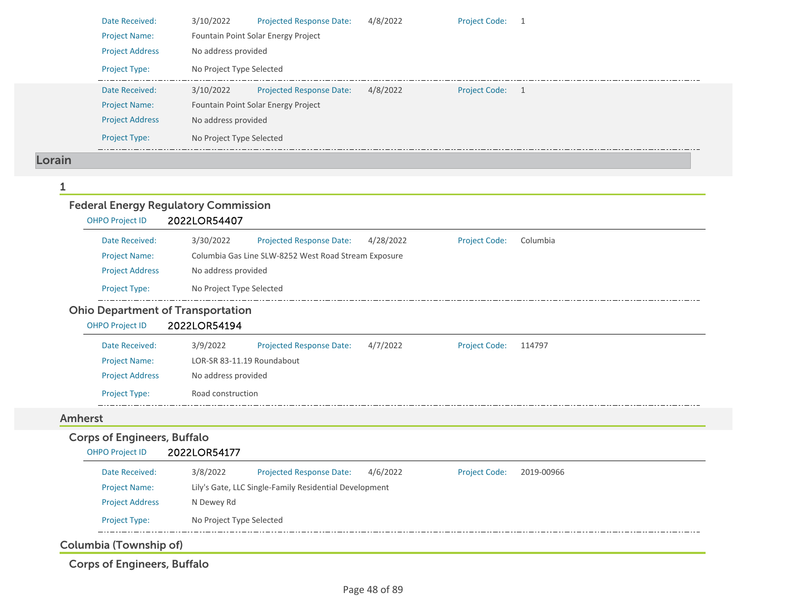|                | Date Received:                     | 3/10/2022<br><b>Projected Response Date:</b><br>4/8/2022<br><b>Project Code:</b><br>1         |
|----------------|------------------------------------|-----------------------------------------------------------------------------------------------|
|                | <b>Project Name:</b>               | Fountain Point Solar Energy Project                                                           |
|                | <b>Project Address</b>             | No address provided                                                                           |
|                | Project Type:                      | No Project Type Selected                                                                      |
|                | Date Received:                     | 3/10/2022<br>Projected Response Date:<br>4/8/2022<br><b>Project Code:</b>                     |
|                | <b>Project Name:</b>               | Fountain Point Solar Energy Project                                                           |
|                | <b>Project Address</b>             | No address provided                                                                           |
|                | Project Type:                      | No Project Type Selected                                                                      |
| Lorain         |                                    |                                                                                               |
|                |                                    |                                                                                               |
|                |                                    | <b>Federal Energy Regulatory Commission</b>                                                   |
|                | <b>OHPO Project ID</b>             | 2022LOR54407                                                                                  |
|                | Date Received:                     | 3/30/2022<br><b>Projected Response Date:</b><br>Columbia<br>4/28/2022<br><b>Project Code:</b> |
|                | <b>Project Name:</b>               | Columbia Gas Line SLW-8252 West Road Stream Exposure                                          |
|                | <b>Project Address</b>             | No address provided                                                                           |
|                | Project Type:                      | No Project Type Selected                                                                      |
|                |                                    | <b>Ohio Department of Transportation</b>                                                      |
|                | <b>OHPO Project ID</b>             | 2022LOR54194                                                                                  |
|                | Date Received:                     | 3/9/2022<br><b>Projected Response Date:</b><br>4/7/2022<br><b>Project Code:</b><br>114797     |
|                | <b>Project Name:</b>               | LOR-SR 83-11.19 Roundabout                                                                    |
|                | <b>Project Address</b>             | No address provided                                                                           |
|                | Project Type:                      | Road construction                                                                             |
| <b>Amherst</b> |                                    |                                                                                               |
|                | <b>Corps of Engineers, Buffalo</b> |                                                                                               |
|                | <b>OHPO Project ID</b>             | 2022LOR54177                                                                                  |
|                | Date Received:                     | 3/8/2022<br>4/6/2022<br><b>Projected Response Date:</b><br>Project Code:<br>2019-00966        |
|                | <b>Project Name:</b>               | Lily's Gate, LLC Single-Family Residential Development                                        |
|                | <b>Project Address</b>             | N Dewey Rd                                                                                    |
|                | Project Type:                      | No Project Type Selected                                                                      |

Columbia (Township of)

Corps of Engineers, Buffalo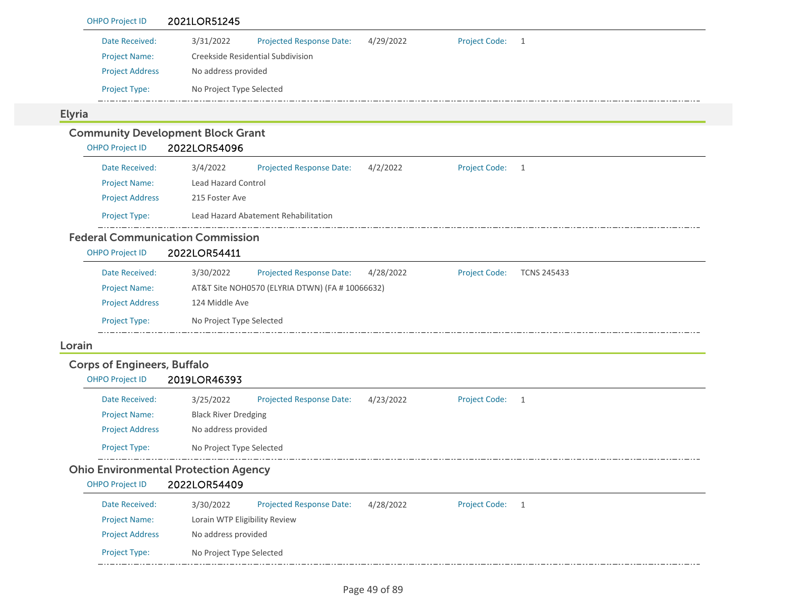| <b>OHPO Project ID</b>             | 2021LOR51245                                                                                        |  |  |  |  |  |  |  |  |
|------------------------------------|-----------------------------------------------------------------------------------------------------|--|--|--|--|--|--|--|--|
| Date Received:                     | 3/31/2022<br>4/29/2022<br><b>Project Code:</b><br><b>Projected Response Date:</b><br>$\overline{1}$ |  |  |  |  |  |  |  |  |
| <b>Project Name:</b>               | Creekside Residential Subdivision                                                                   |  |  |  |  |  |  |  |  |
| <b>Project Address</b>             | No address provided                                                                                 |  |  |  |  |  |  |  |  |
| Project Type:                      | No Project Type Selected                                                                            |  |  |  |  |  |  |  |  |
| <b>Elyria</b>                      |                                                                                                     |  |  |  |  |  |  |  |  |
|                                    | <b>Community Development Block Grant</b>                                                            |  |  |  |  |  |  |  |  |
| <b>OHPO Project ID</b>             | 2022LOR54096                                                                                        |  |  |  |  |  |  |  |  |
| Date Received:                     | 3/4/2022<br><b>Projected Response Date:</b><br>4/2/2022<br><b>Project Code:</b><br>$\overline{1}$   |  |  |  |  |  |  |  |  |
| <b>Project Name:</b>               | <b>Lead Hazard Control</b>                                                                          |  |  |  |  |  |  |  |  |
| <b>Project Address</b>             | 215 Foster Ave                                                                                      |  |  |  |  |  |  |  |  |
| <b>Project Type:</b>               | Lead Hazard Abatement Rehabilitation                                                                |  |  |  |  |  |  |  |  |
|                                    | <b>Federal Communication Commission</b>                                                             |  |  |  |  |  |  |  |  |
| <b>OHPO Project ID</b>             | 2022LOR54411                                                                                        |  |  |  |  |  |  |  |  |
| Date Received:                     | 3/30/2022<br>Projected Response Date:<br>4/28/2022<br><b>Project Code:</b><br><b>TCNS 245433</b>    |  |  |  |  |  |  |  |  |
| <b>Project Name:</b>               | AT&T Site NOH0570 (ELYRIA DTWN) (FA # 10066632)                                                     |  |  |  |  |  |  |  |  |
| <b>Project Address</b>             | 124 Middle Ave                                                                                      |  |  |  |  |  |  |  |  |
| Project Type:                      | No Project Type Selected                                                                            |  |  |  |  |  |  |  |  |
| Lorain                             |                                                                                                     |  |  |  |  |  |  |  |  |
| <b>Corps of Engineers, Buffalo</b> |                                                                                                     |  |  |  |  |  |  |  |  |
| <b>OHPO Project ID</b>             | 2019LOR46393                                                                                        |  |  |  |  |  |  |  |  |
| Date Received:                     | 3/25/2022<br><b>Projected Response Date:</b><br>4/23/2022<br><b>Project Code:</b><br>1              |  |  |  |  |  |  |  |  |
| <b>Project Name:</b>               | <b>Black River Dredging</b>                                                                         |  |  |  |  |  |  |  |  |
| <b>Project Address</b>             | No address provided                                                                                 |  |  |  |  |  |  |  |  |
| Project Type:                      | No Project Type Selected                                                                            |  |  |  |  |  |  |  |  |
|                                    | <b>Ohio Environmental Protection Agency</b>                                                         |  |  |  |  |  |  |  |  |
| <b>OHPO Project ID</b>             | 2022LOR54409                                                                                        |  |  |  |  |  |  |  |  |
| Date Received:                     | <b>Project Code:</b><br><b>Projected Response Date:</b><br>4/28/2022<br>3/30/2022<br>$\overline{1}$ |  |  |  |  |  |  |  |  |
| <b>Project Name:</b>               | Lorain WTP Eligibility Review                                                                       |  |  |  |  |  |  |  |  |
| <b>Project Address</b>             | No address provided                                                                                 |  |  |  |  |  |  |  |  |
| Project Type:                      | No Project Type Selected                                                                            |  |  |  |  |  |  |  |  |
|                                    |                                                                                                     |  |  |  |  |  |  |  |  |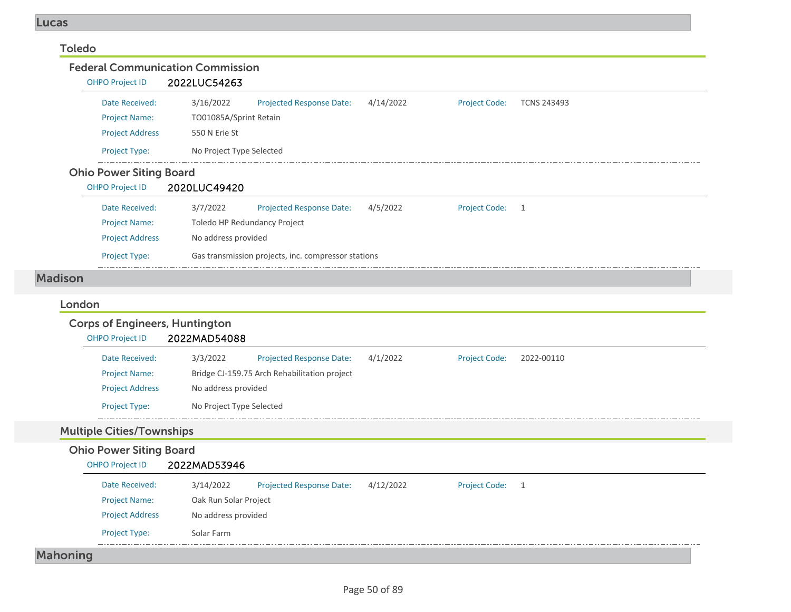### Toledo

Federal Communication CommissionOHPO Project ID 2022LUC54263 Date Received: 3/16/2022 Projected Response Date: 4/14/2022 Project Code: TCNS 243493 Project Name: TO01085A/Sprint Retain Project Address 550 N Erie St Project Type: No Project Type Selected <u>— . . . .</u> Ohio Power Siting Board OHPO Project ID 2020LUC49420 Date Received: 3/7/2022 Projected Response Date: 4/5/2022 Project Code: 1 Project Name: Toledo HP Redundancy Project Project Address No address provided Project Type: Gas transmission projects, inc. compressor stations

### Madison

# LondonCorps of Engineers, Huntington

| <b>OHPO Project ID</b> | 2022MAD54088             |                                              |          |                      |            |  |  |  |
|------------------------|--------------------------|----------------------------------------------|----------|----------------------|------------|--|--|--|
| Date Received:         | 3/3/2022                 | <b>Projected Response Date:</b>              | 4/1/2022 | <b>Project Code:</b> | 2022-00110 |  |  |  |
| <b>Project Name:</b>   |                          | Bridge CJ-159.75 Arch Rehabilitation project |          |                      |            |  |  |  |
| <b>Project Address</b> |                          | No address provided                          |          |                      |            |  |  |  |
| <b>Project Type:</b>   | No Project Type Selected |                                              |          |                      |            |  |  |  |

# Multiple Cities/Townships

### Ohio Power Siting Board OHPO Project ID 2022MAD53946 Date Received: 3/14/2022 Project Name: Oak Run Solar Project Projected Response Date: 4/12/2022 Project Address No address provided Project Type: Solar Farm Project Code: 1 Mahoning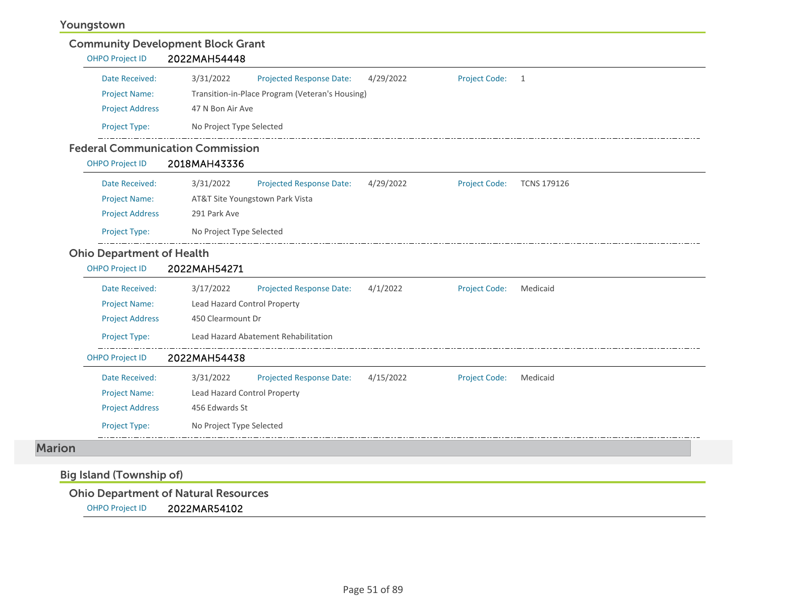### Youngstown

| <b>OHPO Project ID</b> | 2022MAH54448             |                                                 |           |                      |     |
|------------------------|--------------------------|-------------------------------------------------|-----------|----------------------|-----|
| Date Received:         | 3/31/2022                | <b>Projected Response Date:</b>                 | 4/29/2022 | <b>Project Code:</b> | - 1 |
| <b>Project Name:</b>   |                          | Transition-in-Place Program (Veteran's Housing) |           |                      |     |
| <b>Project Address</b> | 47 N Bon Air Ave         |                                                 |           |                      |     |
| <b>Project Type:</b>   | No Project Type Selected |                                                 |           |                      |     |

# Federal Communication Commission

| <b>OHPO Project ID</b> | 2018MAH43336             |                                 |           |                      |                    |
|------------------------|--------------------------|---------------------------------|-----------|----------------------|--------------------|
| Date Received:         | 3/31/2022                | <b>Projected Response Date:</b> | 4/29/2022 | <b>Project Code:</b> | <b>TCNS 179126</b> |
| <b>Project Name:</b>   |                          | AT&T Site Youngstown Park Vista |           |                      |                    |
| <b>Project Address</b> | 291 Park Ave             |                                 |           |                      |                    |
| <b>Project Type:</b>   | No Project Type Selected |                                 |           |                      |                    |

### Ohio Department of Health

| <b>OHPO Project ID</b> | 2022MAH54271                                                                                  |
|------------------------|-----------------------------------------------------------------------------------------------|
| Date Received:         | 4/1/2022<br>3/17/2022<br><b>Projected Response Date:</b><br><b>Project Code:</b><br>Medicaid  |
| <b>Project Name:</b>   | Lead Hazard Control Property                                                                  |
| <b>Project Address</b> | 450 Clearmount Dr                                                                             |
| <b>Project Type:</b>   | Lead Hazard Abatement Rehabilitation                                                          |
| <b>OHPO Project ID</b> | 2022MAH54438                                                                                  |
| Date Received:         | 4/15/2022<br>3/31/2022<br><b>Projected Response Date:</b><br><b>Project Code:</b><br>Medicaid |
| <b>Project Name:</b>   | Lead Hazard Control Property                                                                  |
| <b>Project Address</b> | 456 Edwards St                                                                                |
| <b>Project Type:</b>   | No Project Type Selected                                                                      |

### Marion

# Big Island (Township of)

### Ohio Department of Natural Resources

OHPO Project ID 2022MAR54102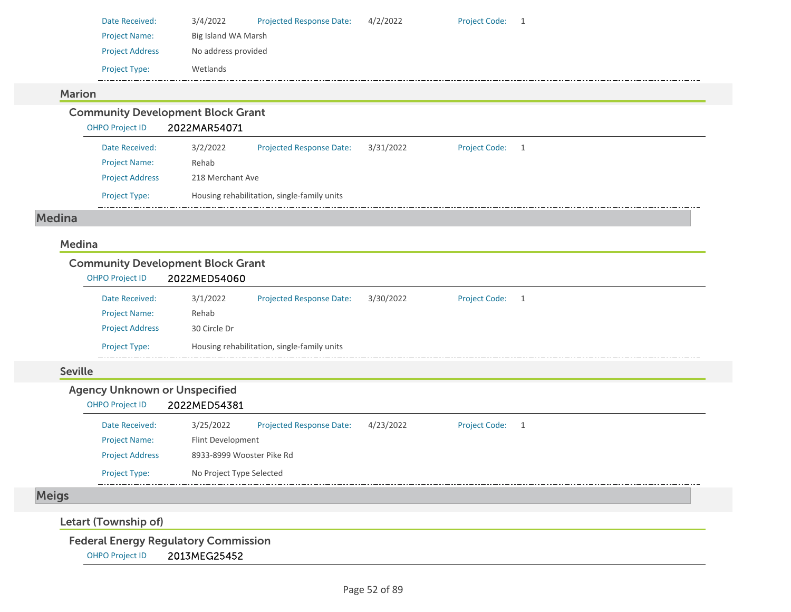| Date Received:         | 3/4/2022            | <b>Projected Response Date:</b> | 4/2/2022 | <b>Project Code:</b> |  |  |  |  |
|------------------------|---------------------|---------------------------------|----------|----------------------|--|--|--|--|
| <b>Project Name:</b>   | Big Island WA Marsh |                                 |          |                      |  |  |  |  |
| <b>Project Address</b> | No address provided |                                 |          |                      |  |  |  |  |
| <b>Project Type:</b>   | Wetlands            |                                 |          |                      |  |  |  |  |

### Marion

Community Development Block Grant

## OHPO Project ID 2022MAR54071

| Date Received:         | 3/2/2022 | <b>Projected Response Date:</b>             | 3/31/2022 | <b>Project Code:</b> |  |  |  |  |  |
|------------------------|----------|---------------------------------------------|-----------|----------------------|--|--|--|--|--|
| <b>Project Name:</b>   | Rehab    |                                             |           |                      |  |  |  |  |  |
| <b>Project Address</b> |          | 218 Merchant Ave                            |           |                      |  |  |  |  |  |
| <b>Project Type:</b>   |          | Housing rehabilitation, single-family units |           |                      |  |  |  |  |  |

### Medina

### Medina

### Community Development Block Grant

| <b>OHPO Project ID</b> | 2022MED54060 |                                             |           |                      |  |
|------------------------|--------------|---------------------------------------------|-----------|----------------------|--|
| Date Received:         | 3/1/2022     | Projected Response Date:                    | 3/30/2022 | <b>Project Code:</b> |  |
| <b>Project Name:</b>   | Rehab        |                                             |           |                      |  |
| <b>Project Address</b> | 30 Circle Dr |                                             |           |                      |  |
| <b>Project Type:</b>   |              | Housing rehabilitation, single-family units |           |                      |  |

### Seville

### Agency Unknown or Unspecified

### OHPO Project ID 2022MED54381

| Date Received:         | 3/25/2022                 | <b>Projected Response Date:</b> | 4/23/2022 | <b>Project Code:</b> | 1 |
|------------------------|---------------------------|---------------------------------|-----------|----------------------|---|
| <b>Project Name:</b>   | Flint Development         |                                 |           |                      |   |
| <b>Project Address</b> | 8933-8999 Wooster Pike Rd |                                 |           |                      |   |
| <b>Project Type:</b>   | No Project Type Selected  |                                 |           |                      |   |

# Meigs

### Letart (Township of)

### Federal Energy Regulatory Commission

OHPO Project ID 2013MEG25452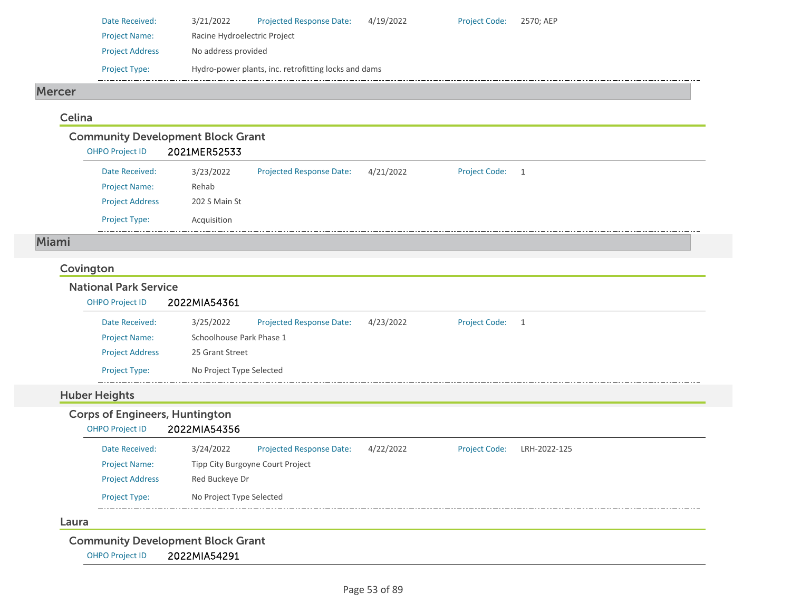| Date Received:         | 3/21/2022                                            | <b>Projected Response Date:</b> | 4/19/2022 | <b>Project Code:</b> | 2570: AEP |  |  |  |  |  |
|------------------------|------------------------------------------------------|---------------------------------|-----------|----------------------|-----------|--|--|--|--|--|
| <b>Project Name:</b>   | Racine Hydroelectric Project                         |                                 |           |                      |           |  |  |  |  |  |
| <b>Project Address</b> | No address provided                                  |                                 |           |                      |           |  |  |  |  |  |
| <b>Project Type:</b>   | Hydro-power plants, inc. retrofitting locks and dams |                                 |           |                      |           |  |  |  |  |  |
|                        |                                                      |                                 |           |                      |           |  |  |  |  |  |

### Mercer

### Celina

|                        | <b>Community Development Block Grant</b> |                                 |           |                      |   |
|------------------------|------------------------------------------|---------------------------------|-----------|----------------------|---|
| <b>OHPO Project ID</b> | 2021MER52533                             |                                 |           |                      |   |
| Date Received:         | 3/23/2022                                | <b>Projected Response Date:</b> | 4/21/2022 | <b>Project Code:</b> | 1 |
| <b>Project Name:</b>   | Rehab                                    |                                 |           |                      |   |
| <b>Project Address</b> | 202 S Main St                            |                                 |           |                      |   |
| <b>Project Type:</b>   | Acquisition                              |                                 |           |                      |   |

### Miami

### Covington

| 3/25/2022                |                                 |                          |                      |    |
|--------------------------|---------------------------------|--------------------------|----------------------|----|
|                          | <b>Projected Response Date:</b> | 4/23/2022                | <b>Project Code:</b> | -1 |
| Schoolhouse Park Phase 1 |                                 |                          |                      |    |
| 25 Grant Street          |                                 |                          |                      |    |
|                          |                                 |                          |                      |    |
|                          |                                 | No Project Type Selected |                      |    |

# Corps of Engineers, Huntington

| <b>OHPO Project ID</b> | 2022MIA54356             |                                  |           |                      |              |  |
|------------------------|--------------------------|----------------------------------|-----------|----------------------|--------------|--|
| Date Received:         | 3/24/2022                | <b>Projected Response Date:</b>  | 4/22/2022 | <b>Project Code:</b> | LRH-2022-125 |  |
| <b>Project Name:</b>   |                          | Tipp City Burgoyne Court Project |           |                      |              |  |
| <b>Project Address</b> | Red Buckeye Dr           |                                  |           |                      |              |  |
| <b>Project Type:</b>   | No Project Type Selected |                                  |           |                      |              |  |
|                        |                          |                                  |           |                      |              |  |

### Laura

Community Development Block Grant

OHPO Project ID 2022MIA54291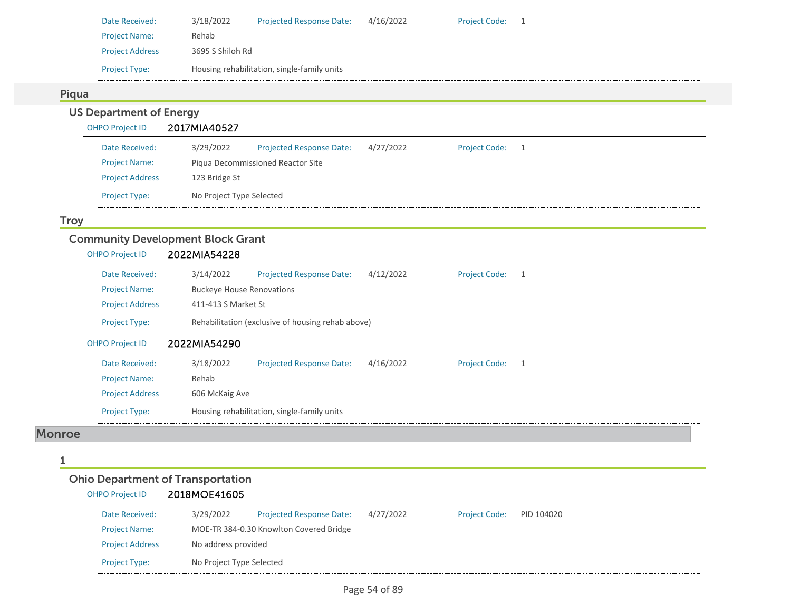| Date Received:         | 3/18/2022                                   | <b>Projected Response Date:</b> | 4/16/2022 | <b>Project Code:</b> |  |  |  |  |  |  |
|------------------------|---------------------------------------------|---------------------------------|-----------|----------------------|--|--|--|--|--|--|
| <b>Project Name:</b>   | Rehab                                       |                                 |           |                      |  |  |  |  |  |  |
| <b>Project Address</b> |                                             | 3695 S Shiloh Rd                |           |                      |  |  |  |  |  |  |
| <b>Project Type:</b>   | Housing rehabilitation, single-family units |                                 |           |                      |  |  |  |  |  |  |

### Piqua

# US Department of Energy<br>OHPO Project ID 2017MIA40527

| <b>OHPO Project ID</b> | 2017MIA40527             |                                   |           |                      |  |
|------------------------|--------------------------|-----------------------------------|-----------|----------------------|--|
| Date Received:         | 3/29/2022                | <b>Projected Response Date:</b>   | 4/27/2022 | <b>Project Code:</b> |  |
| <b>Project Name:</b>   |                          | Piqua Decommissioned Reactor Site |           |                      |  |
| <b>Project Address</b> | 123 Bridge St            |                                   |           |                      |  |
| <b>Project Type:</b>   | No Project Type Selected |                                   |           |                      |  |

### **Troy**

## Community Development Block Grant

| <b>OHPO Project ID</b> | 2022MIA54228                                                                                        |
|------------------------|-----------------------------------------------------------------------------------------------------|
| Date Received:         | 4/12/2022<br>3/14/2022<br><b>Projected Response Date:</b><br><b>Project Code:</b><br>$\overline{1}$ |
| <b>Project Name:</b>   | <b>Buckeye House Renovations</b>                                                                    |
| <b>Project Address</b> | 411-413 S Market St                                                                                 |
| <b>Project Type:</b>   | Rehabilitation (exclusive of housing rehab above)                                                   |
| <b>OHPO Project ID</b> | 2022MIA54290                                                                                        |
| Date Received:         | 3/18/2022<br>4/16/2022<br><b>Projected Response Date:</b><br><b>Project Code:</b>                   |
| <b>Project Name:</b>   | Rehab                                                                                               |
| <b>Project Address</b> | 606 McKaig Ave                                                                                      |
| <b>Project Type:</b>   | Housing rehabilitation, single-family units                                                         |

### Monroe

1

# Ohio Department of Transportation

# OHPO Project ID 2018MOE41605

| Date Received:         | 3/29/2022                | <b>Projected Response Date:</b>         | 4/27/2022 | <b>Project Code:</b> | PID 104020 |
|------------------------|--------------------------|-----------------------------------------|-----------|----------------------|------------|
| <b>Project Name:</b>   |                          | MOE-TR 384-0.30 Knowlton Covered Bridge |           |                      |            |
| <b>Project Address</b> | No address provided      |                                         |           |                      |            |
| <b>Project Type:</b>   | No Project Type Selected |                                         |           |                      |            |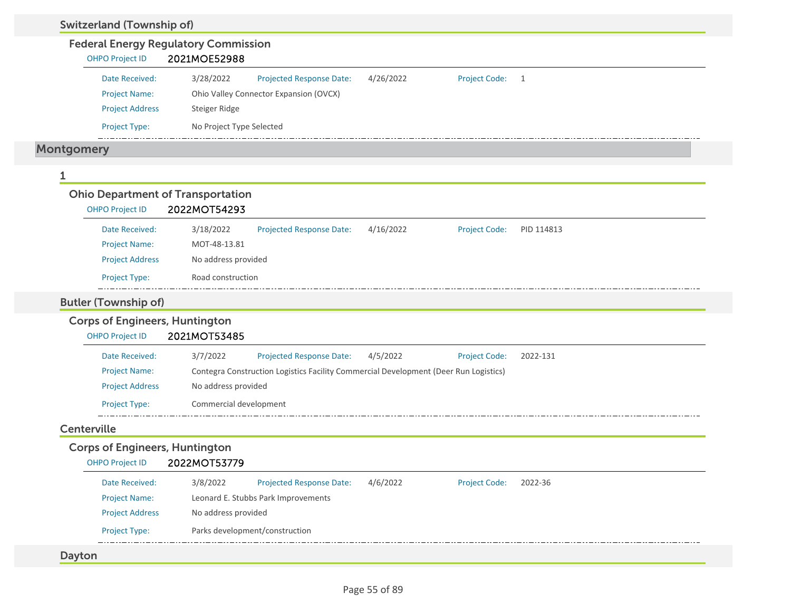| <b>Federal Energy Regulatory Commission</b>                     |                                                                                      |                                 |           |                      |            |
|-----------------------------------------------------------------|--------------------------------------------------------------------------------------|---------------------------------|-----------|----------------------|------------|
| <b>OHPO Project ID</b>                                          | 2021MOE52988                                                                         |                                 |           |                      |            |
| Date Received:                                                  | 3/28/2022                                                                            | <b>Projected Response Date:</b> | 4/26/2022 | <b>Project Code:</b> | 1          |
| <b>Project Name:</b>                                            | Ohio Valley Connector Expansion (OVCX)                                               |                                 |           |                      |            |
| <b>Project Address</b>                                          | Steiger Ridge                                                                        |                                 |           |                      |            |
| Project Type:                                                   | No Project Type Selected                                                             |                                 |           |                      |            |
| <b>Montgomery</b>                                               |                                                                                      |                                 |           |                      |            |
|                                                                 |                                                                                      |                                 |           |                      |            |
| <b>Ohio Department of Transportation</b>                        |                                                                                      |                                 |           |                      |            |
| <b>OHPO Project ID</b>                                          | 2022MOT54293                                                                         |                                 |           |                      |            |
| Date Received:                                                  | 3/18/2022                                                                            | <b>Projected Response Date:</b> | 4/16/2022 | <b>Project Code:</b> | PID 114813 |
| <b>Project Name:</b>                                            | MOT-48-13.81                                                                         |                                 |           |                      |            |
|                                                                 |                                                                                      |                                 |           |                      |            |
| <b>Project Address</b>                                          | No address provided                                                                  |                                 |           |                      |            |
| Project Type:                                                   | Road construction                                                                    |                                 |           |                      |            |
| <b>Butler (Township of)</b>                                     |                                                                                      |                                 |           |                      |            |
| <b>Corps of Engineers, Huntington</b><br><b>OHPO Project ID</b> | 2021MOT53485                                                                         |                                 |           |                      |            |
| Date Received:                                                  | 3/7/2022                                                                             | <b>Projected Response Date:</b> | 4/5/2022  | <b>Project Code:</b> | 2022-131   |
| <b>Project Name:</b>                                            | Contegra Construction Logistics Facility Commercial Development (Deer Run Logistics) |                                 |           |                      |            |
| <b>Project Address</b>                                          | No address provided                                                                  |                                 |           |                      |            |
| Project Type:                                                   | Commercial development                                                               |                                 |           |                      |            |
| Centerville                                                     |                                                                                      |                                 |           |                      |            |
| <b>Corps of Engineers, Huntington</b>                           |                                                                                      |                                 |           |                      |            |
| OHPO Project ID 2022MOT53779                                    |                                                                                      |                                 |           |                      |            |
| Date Received:                                                  | 3/8/2022                                                                             | Projected Response Date:        | 4/6/2022  | <b>Project Code:</b> | 2022-36    |
| <b>Project Name:</b>                                            | Leonard E. Stubbs Park Improvements                                                  |                                 |           |                      |            |
| <b>Project Address</b>                                          | No address provided                                                                  |                                 |           |                      |            |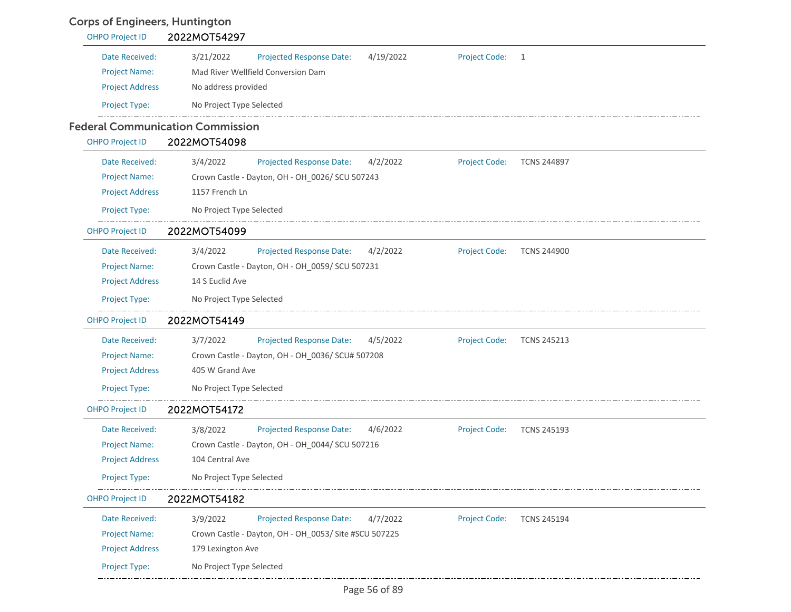# Corps of Engineers, Huntington

| <b>OHPO Project ID</b> | 2022MOT54297                                                                                          |
|------------------------|-------------------------------------------------------------------------------------------------------|
| Date Received:         | 3/21/2022<br>4/19/2022<br><b>Project Code:</b><br><b>Projected Response Date:</b><br>1                |
| <b>Project Name:</b>   | Mad River Wellfield Conversion Dam                                                                    |
| <b>Project Address</b> | No address provided                                                                                   |
| Project Type:          | No Project Type Selected                                                                              |
|                        | <b>Federal Communication Commission</b>                                                               |
| <b>OHPO Project ID</b> | 2022MOT54098                                                                                          |
| Date Received:         | 3/4/2022<br><b>Projected Response Date:</b><br>4/2/2022<br><b>Project Code:</b><br><b>TCNS 244897</b> |
| <b>Project Name:</b>   | Crown Castle - Dayton, OH - OH_0026/ SCU 507243                                                       |
| <b>Project Address</b> | 1157 French Ln                                                                                        |
| Project Type:          | No Project Type Selected                                                                              |
| <b>OHPO Project ID</b> | 2022MOT54099                                                                                          |
| Date Received:         | 3/4/2022<br><b>Projected Response Date:</b><br>4/2/2022<br><b>Project Code:</b><br><b>TCNS 244900</b> |
| <b>Project Name:</b>   | Crown Castle - Dayton, OH - OH_0059/ SCU 507231                                                       |
| <b>Project Address</b> | 14 S Euclid Ave                                                                                       |
| Project Type:          | No Project Type Selected                                                                              |
| <b>OHPO Project ID</b> | 2022MOT54149                                                                                          |
| Date Received:         | 3/7/2022<br><b>Projected Response Date:</b><br>4/5/2022<br><b>Project Code:</b><br><b>TCNS 245213</b> |
| <b>Project Name:</b>   | Crown Castle - Dayton, OH - OH_0036/ SCU# 507208                                                      |
| <b>Project Address</b> | 405 W Grand Ave                                                                                       |
| Project Type:          | No Project Type Selected                                                                              |
| <b>OHPO Project ID</b> | 2022MOT54172                                                                                          |
| Date Received:         | <b>Project Code:</b><br>3/8/2022<br><b>Projected Response Date:</b><br>4/6/2022<br><b>TCNS 245193</b> |
| <b>Project Name:</b>   | Crown Castle - Dayton, OH - OH_0044/ SCU 507216                                                       |
| <b>Project Address</b> | 104 Central Ave                                                                                       |
| Project Type:          | No Project Type Selected                                                                              |
| <b>OHPO Project ID</b> | 2022MOT54182                                                                                          |
| Date Received:         | 3/9/2022<br><b>Projected Response Date:</b><br>4/7/2022<br><b>Project Code:</b><br><b>TCNS 245194</b> |
| <b>Project Name:</b>   | Crown Castle - Dayton, OH - OH 0053/ Site #SCU 507225                                                 |
| <b>Project Address</b> | 179 Lexington Ave                                                                                     |
| Project Type:          | No Project Type Selected                                                                              |
|                        |                                                                                                       |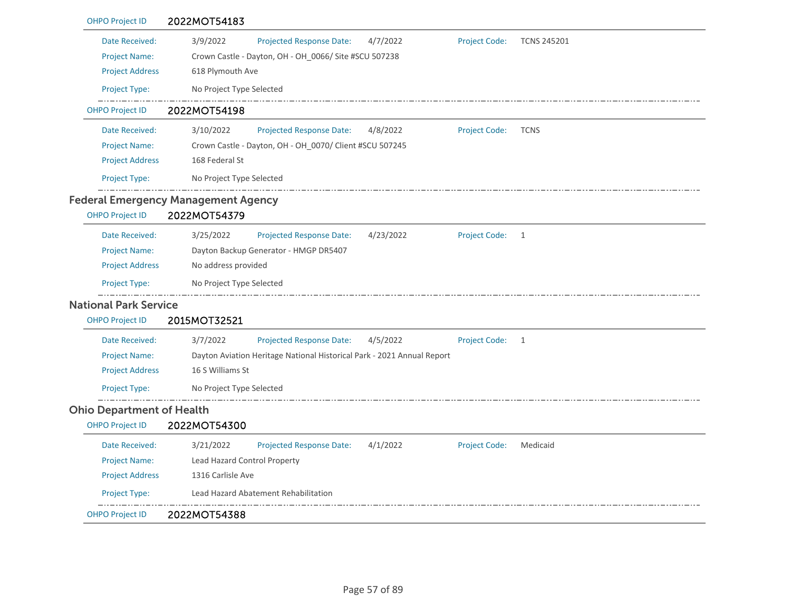| <b>OHPO Project ID</b>           | 2022MOT54183                                                           |                      |                    |
|----------------------------------|------------------------------------------------------------------------|----------------------|--------------------|
| Date Received:                   | 3/9/2022<br><b>Projected Response Date:</b><br>4/7/2022                | <b>Project Code:</b> | <b>TCNS 245201</b> |
| <b>Project Name:</b>             | Crown Castle - Dayton, OH - OH_0066/ Site #SCU 507238                  |                      |                    |
| <b>Project Address</b>           | 618 Plymouth Ave                                                       |                      |                    |
| Project Type:                    | No Project Type Selected                                               |                      |                    |
| <b>OHPO Project ID</b>           | 2022MOT54198                                                           |                      |                    |
| Date Received:                   | 3/10/2022<br>Projected Response Date:<br>4/8/2022                      | <b>Project Code:</b> | <b>TCNS</b>        |
| <b>Project Name:</b>             | Crown Castle - Dayton, OH - OH_0070/ Client #SCU 507245                |                      |                    |
| <b>Project Address</b>           | 168 Federal St                                                         |                      |                    |
| Project Type:                    | No Project Type Selected                                               |                      |                    |
|                                  | <b>Federal Emergency Management Agency</b>                             |                      |                    |
| <b>OHPO Project ID</b>           | 2022MOT54379                                                           |                      |                    |
| Date Received:                   | 3/25/2022<br><b>Projected Response Date:</b><br>4/23/2022              | <b>Project Code:</b> | 1                  |
| <b>Project Name:</b>             | Dayton Backup Generator - HMGP DR5407                                  |                      |                    |
| <b>Project Address</b>           | No address provided                                                    |                      |                    |
| Project Type:                    | No Project Type Selected                                               |                      |                    |
| <b>National Park Service</b>     |                                                                        |                      |                    |
| <b>OHPO Project ID</b>           | 2015MOT32521                                                           |                      |                    |
| Date Received:                   | 3/7/2022<br><b>Projected Response Date:</b><br>4/5/2022                | <b>Project Code:</b> | $\overline{1}$     |
| <b>Project Name:</b>             | Dayton Aviation Heritage National Historical Park - 2021 Annual Report |                      |                    |
| <b>Project Address</b>           | 16 S Williams St                                                       |                      |                    |
| Project Type:                    | No Project Type Selected                                               |                      |                    |
| <b>Ohio Department of Health</b> |                                                                        |                      |                    |
| <b>OHPO Project ID</b>           | 2022MOT54300                                                           |                      |                    |
| Date Received:                   | 3/21/2022<br><b>Projected Response Date:</b><br>4/1/2022               | <b>Project Code:</b> | Medicaid           |
| <b>Project Name:</b>             | Lead Hazard Control Property                                           |                      |                    |
| <b>Project Address</b>           | 1316 Carlisle Ave                                                      |                      |                    |
| Project Type:                    | Lead Hazard Abatement Rehabilitation                                   |                      |                    |
| <b>OHPO Project ID</b>           | 2022MOT54388                                                           |                      |                    |
|                                  |                                                                        |                      |                    |

Page 57 of 89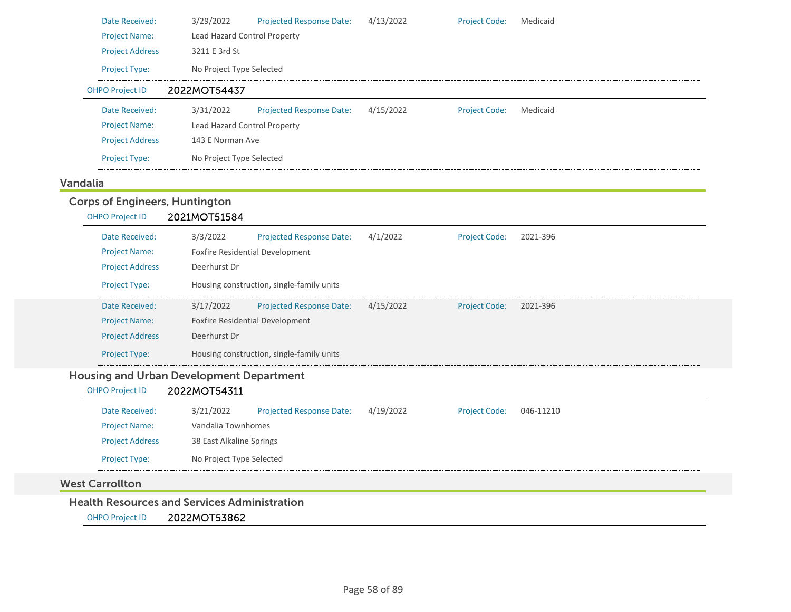| Date Received:         | 3/29/2022                    | <b>Projected Response Date:</b> | 4/13/2022 | <b>Project Code:</b> | Medicaid |  |
|------------------------|------------------------------|---------------------------------|-----------|----------------------|----------|--|
| <b>Project Name:</b>   | Lead Hazard Control Property |                                 |           |                      |          |  |
| <b>Project Address</b> | 3211 E 3rd St                |                                 |           |                      |          |  |
| <b>Project Type:</b>   | No Project Type Selected     |                                 |           |                      |          |  |
| <b>OHPO Project ID</b> | 2022MOT54437                 |                                 |           |                      |          |  |
| Date Received:         | 3/31/2022                    | <b>Projected Response Date:</b> | 4/15/2022 | <b>Project Code:</b> | Medicaid |  |
| <b>Project Name:</b>   | Lead Hazard Control Property |                                 |           |                      |          |  |
| <b>Project Address</b> | 143 E Norman Ave             |                                 |           |                      |          |  |
| <b>Project Type:</b>   | No Project Type Selected     |                                 |           |                      |          |  |
|                        |                              |                                 |           |                      |          |  |

### Vandalia

### Corps of Engineers, Huntington

| <b>OHPO Project ID</b> | 2021MOT51584 |                                           |           |                      |          |
|------------------------|--------------|-------------------------------------------|-----------|----------------------|----------|
| Date Received:         | 3/3/2022     | <b>Projected Response Date:</b>           | 4/1/2022  | <b>Project Code:</b> | 2021-396 |
| <b>Project Name:</b>   |              | <b>Foxfire Residential Development</b>    |           |                      |          |
| <b>Project Address</b> | Deerhurst Dr |                                           |           |                      |          |
| <b>Project Type:</b>   |              | Housing construction, single-family units |           |                      |          |
| Date Received:         | 3/17/2022    | <b>Projected Response Date:</b>           | 4/15/2022 | <b>Project Code:</b> | 2021-396 |
| <b>Project Name:</b>   |              | <b>Foxfire Residential Development</b>    |           |                      |          |
| <b>Project Address</b> | Deerhurst Dr |                                           |           |                      |          |
| <b>Project Type:</b>   |              | Housing construction, single-family units |           |                      |          |

### Housing and Urban Development Department

| <b>OHPO Project ID</b> | 2022MOT54311             |                                 |           |                      |           |
|------------------------|--------------------------|---------------------------------|-----------|----------------------|-----------|
| Date Received:         | 3/21/2022                | <b>Projected Response Date:</b> | 4/19/2022 | <b>Project Code:</b> | 046-11210 |
| <b>Project Name:</b>   | Vandalia Townhomes       |                                 |           |                      |           |
| <b>Project Address</b> | 38 East Alkaline Springs |                                 |           |                      |           |
| <b>Project Type:</b>   | No Project Type Selected |                                 |           |                      |           |

### West Carrollton

### Health Resources and Services Administration

OHPO Project ID 2022MOT53862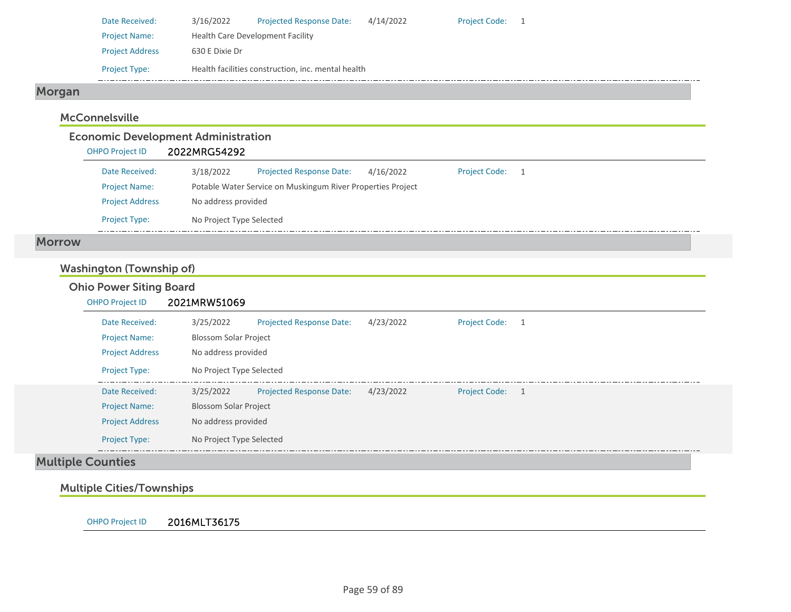| Date Received:         | 3/16/2022                               | <b>Projected Response Date:</b>                    | 4/14/2022 | <b>Project Code:</b> |  |
|------------------------|-----------------------------------------|----------------------------------------------------|-----------|----------------------|--|
| <b>Project Name:</b>   | <b>Health Care Development Facility</b> |                                                    |           |                      |  |
| <b>Project Address</b> | 630 E Dixie Dr                          |                                                    |           |                      |  |
| <b>Project Type:</b>   |                                         | Health facilities construction, inc. mental health |           |                      |  |

# Morgan

### **McConnelsville**

### Economic Development Administration

| <b>OHPO Project ID</b> | 2022MRG54292             |                                                             |           |                      |                |
|------------------------|--------------------------|-------------------------------------------------------------|-----------|----------------------|----------------|
| Date Received:         | 3/18/2022                | <b>Projected Response Date:</b>                             | 4/16/2022 | <b>Project Code:</b> | $\overline{1}$ |
| <b>Project Name:</b>   |                          | Potable Water Service on Muskingum River Properties Project |           |                      |                |
| <b>Project Address</b> | No address provided      |                                                             |           |                      |                |
| <b>Project Type:</b>   | No Project Type Selected |                                                             |           |                      |                |

### Morrow

# Washington (Township of)

| <b>OHPO Project ID</b> | 2021MRW51069                 |                                 |           |                 |  |
|------------------------|------------------------------|---------------------------------|-----------|-----------------|--|
| Date Received:         | 3/25/2022                    | <b>Projected Response Date:</b> | 4/23/2022 | Project Code: 1 |  |
| <b>Project Name:</b>   | <b>Blossom Solar Project</b> |                                 |           |                 |  |
| <b>Project Address</b> | No address provided          |                                 |           |                 |  |
| <b>Project Type:</b>   | No Project Type Selected     |                                 |           |                 |  |
| Date Received:         | 3/25/2022                    | <b>Projected Response Date:</b> | 4/23/2022 | Project Code: 1 |  |
| <b>Project Name:</b>   | <b>Blossom Solar Project</b> |                                 |           |                 |  |
| <b>Project Address</b> | No address provided          |                                 |           |                 |  |
| <b>Project Type:</b>   | No Project Type Selected     |                                 |           |                 |  |

# Multiple Cities/Townships

OHPO Project ID 2016MLT36175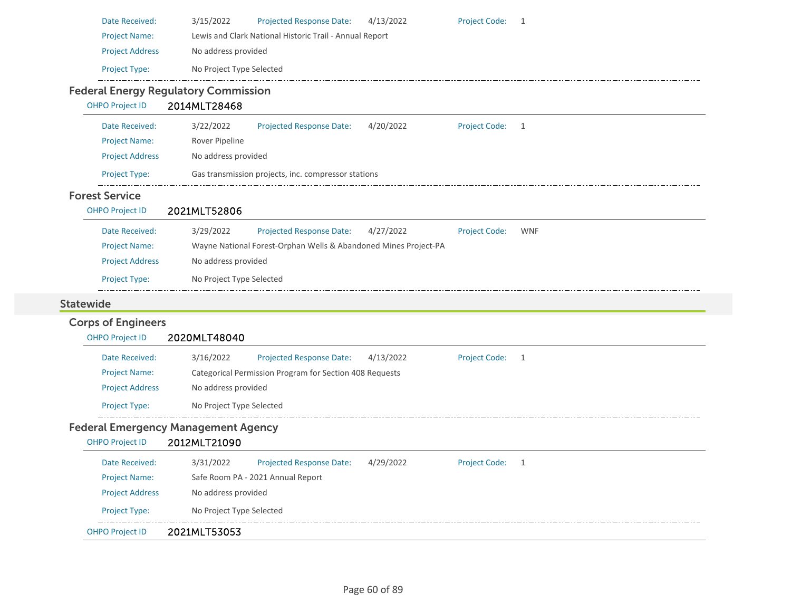| Date Received:            | 3/15/2022<br>4/13/2022<br><b>Project Code:</b><br><b>Projected Response Date:</b><br>$\overline{1}$ |
|---------------------------|-----------------------------------------------------------------------------------------------------|
| <b>Project Name:</b>      | Lewis and Clark National Historic Trail - Annual Report                                             |
| <b>Project Address</b>    | No address provided                                                                                 |
| Project Type:             | No Project Type Selected                                                                            |
|                           | <b>Federal Energy Regulatory Commission</b>                                                         |
| <b>OHPO Project ID</b>    | 2014MLT28468                                                                                        |
| Date Received:            | <b>Project Code:</b><br>3/22/2022<br><b>Projected Response Date:</b><br>4/20/2022<br>$\overline{1}$ |
| <b>Project Name:</b>      | Rover Pipeline                                                                                      |
| <b>Project Address</b>    | No address provided                                                                                 |
| Project Type:             | Gas transmission projects, inc. compressor stations                                                 |
| <b>Forest Service</b>     |                                                                                                     |
| <b>OHPO Project ID</b>    | 2021MLT52806                                                                                        |
| Date Received:            | 3/29/2022<br><b>Projected Response Date:</b><br>4/27/2022<br><b>Project Code:</b><br><b>WNF</b>     |
| <b>Project Name:</b>      | Wayne National Forest-Orphan Wells & Abandoned Mines Project-PA                                     |
| <b>Project Address</b>    | No address provided                                                                                 |
| Project Type:             | No Project Type Selected                                                                            |
| <b>Statewide</b>          |                                                                                                     |
| <b>Corps of Engineers</b> |                                                                                                     |
| <b>OHPO Project ID</b>    | 2020MLT48040                                                                                        |
| Date Received:            | 3/16/2022<br><b>Project Code:</b><br><b>Projected Response Date:</b><br>4/13/2022<br>$\overline{1}$ |
| <b>Project Name:</b>      | Categorical Permission Program for Section 408 Requests                                             |
| <b>Project Address</b>    | No address provided                                                                                 |
| Project Type:             | No Project Type Selected                                                                            |
|                           | <b>Federal Emergency Management Agency</b>                                                          |
| <b>OHPO Project ID</b>    | 2012MLT21090                                                                                        |
| Date Received:            | 3/31/2022<br>Projected Response Date: 4/29/2022<br>Project Code: 1                                  |
| <b>Project Name:</b>      | Safe Room PA - 2021 Annual Report                                                                   |
|                           |                                                                                                     |
| <b>Project Address</b>    | No address provided                                                                                 |
| Project Type:             | No Project Type Selected                                                                            |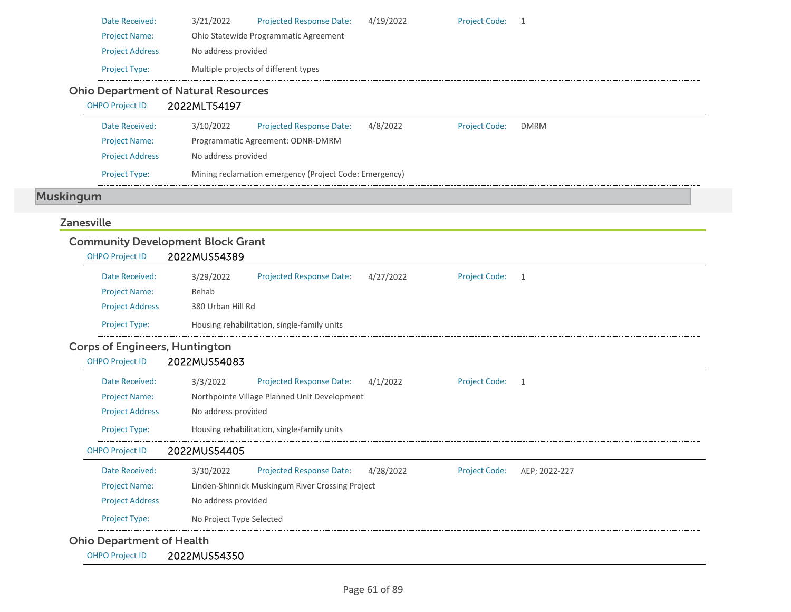| Date Received:                              | 3/21/2022           | <b>Projected Response Date:</b>       | 4/19/2022 | <b>Project Code: 1</b> |             |  |
|---------------------------------------------|---------------------|---------------------------------------|-----------|------------------------|-------------|--|
| <b>Project Name:</b>                        |                     | Ohio Statewide Programmatic Agreement |           |                        |             |  |
| <b>Project Address</b>                      | No address provided |                                       |           |                        |             |  |
| <b>Project Type:</b>                        |                     | Multiple projects of different types  |           |                        |             |  |
| <b>Ohio Department of Natural Resources</b> |                     |                                       |           |                        |             |  |
|                                             |                     |                                       |           |                        |             |  |
| <b>OHPO Project ID</b>                      | 2022MLT54197        |                                       |           |                        |             |  |
| Date Received:                              | 3/10/2022           | <b>Projected Response Date:</b>       | 4/8/2022  | <b>Project Code:</b>   | <b>DMRM</b> |  |
| <b>Project Name:</b>                        |                     | Programmatic Agreement: ODNR-DMRM     |           |                        |             |  |
| <b>Project Address</b>                      | No address provided |                                       |           |                        |             |  |

### Zanesville

|                                       | <b>Community Development Block Grant</b>                                                           |
|---------------------------------------|----------------------------------------------------------------------------------------------------|
| <b>OHPO Project ID</b>                | 2022MUS54389                                                                                       |
| Date Received:                        | 3/29/2022<br><b>Projected Response Date:</b><br><b>Project Code:</b><br>4/27/2022<br>1             |
| <b>Project Name:</b>                  | Rehab                                                                                              |
| <b>Project Address</b>                | 380 Urban Hill Rd                                                                                  |
| Project Type:                         | Housing rehabilitation, single-family units                                                        |
| <b>Corps of Engineers, Huntington</b> |                                                                                                    |
| <b>OHPO Project ID</b>                | 2022MUS54083                                                                                       |
| Date Received:                        | <b>Projected Response Date:</b><br><b>Project Code:</b><br>3/3/2022<br>4/1/2022<br>1               |
| <b>Project Name:</b>                  | Northpointe Village Planned Unit Development                                                       |
| <b>Project Address</b>                | No address provided                                                                                |
| <b>Project Type:</b>                  | Housing rehabilitation, single-family units                                                        |
| <b>OHPO Project ID</b>                | 2022MUS54405                                                                                       |
| Date Received:                        | 3/30/2022<br><b>Projected Response Date:</b><br>4/28/2022<br><b>Project Code:</b><br>AEP; 2022-227 |
| <b>Project Name:</b>                  | Linden-Shinnick Muskingum River Crossing Project                                                   |
| <b>Project Address</b>                | No address provided                                                                                |
| Project Type:                         | No Project Type Selected                                                                           |
| <b>Ohio Department of Health</b>      |                                                                                                    |
| <b>OHPO Project ID</b>                | 2022MUS54350                                                                                       |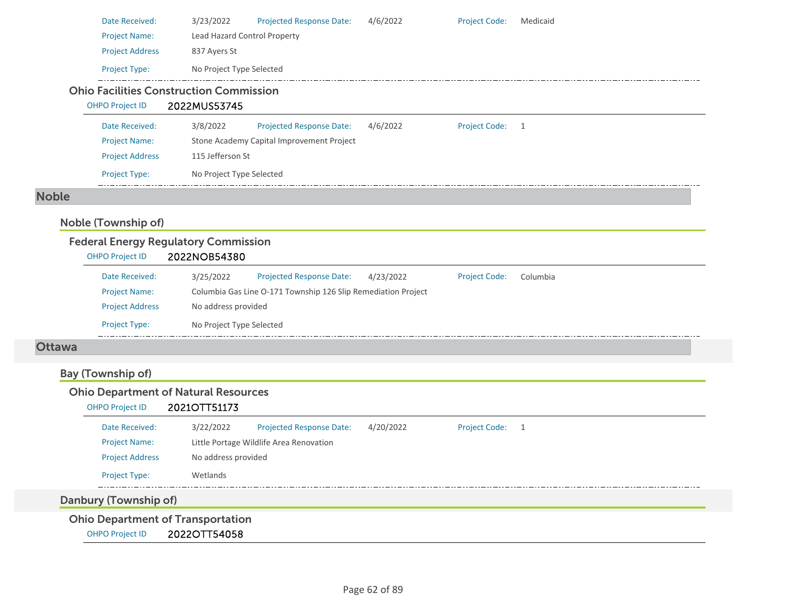| Date Received:         | 3/23/2022                                                      | <b>Projected Response Date:</b>           | 4/6/2022 | <b>Project Code:</b> | Medicaid |
|------------------------|----------------------------------------------------------------|-------------------------------------------|----------|----------------------|----------|
| <b>Project Name:</b>   | Lead Hazard Control Property                                   |                                           |          |                      |          |
| <b>Project Address</b> | 837 Ayers St                                                   |                                           |          |                      |          |
| <b>Project Type:</b>   | No Project Type Selected                                       |                                           |          |                      |          |
| <b>OHPO Project ID</b> | <b>Ohio Facilities Construction Commission</b><br>2022MUS53745 |                                           |          |                      |          |
| Date Received:         | 3/8/2022                                                       | <b>Projected Response Date:</b>           | 4/6/2022 | <b>Project Code:</b> | -1       |
|                        |                                                                |                                           |          |                      |          |
| <b>Project Name:</b>   |                                                                | Stone Academy Capital Improvement Project |          |                      |          |

### Noble

## Noble (Township of)

|                        | <b>Federal Energy Regulatory Commission</b> |                          |                                                               |           |                      |          |  |
|------------------------|---------------------------------------------|--------------------------|---------------------------------------------------------------|-----------|----------------------|----------|--|
| <b>OHPO Project ID</b> |                                             | 2022NOB54380             |                                                               |           |                      |          |  |
|                        | Date Received:                              | 3/25/2022                | <b>Projected Response Date:</b>                               | 4/23/2022 | <b>Project Code:</b> | Columbia |  |
|                        | <b>Project Name:</b>                        |                          | Columbia Gas Line O-171 Township 126 Slip Remediation Project |           |                      |          |  |
|                        | <b>Project Address</b>                      | No address provided      |                                                               |           |                      |          |  |
|                        | <b>Project Type:</b>                        | No Project Type Selected |                                                               |           |                      |          |  |

### Ottawa

# Bay (Township of)

# Ohio Department of Natural Resources

Project Type: No Project Type Selected

OHPO Project ID 2021OTT51173

| Date Received:                           | 3/22/2022           | <b>Projected Response Date:</b>         | 4/20/2022 | <b>Project Code:</b> |  |
|------------------------------------------|---------------------|-----------------------------------------|-----------|----------------------|--|
| <b>Project Name:</b>                     |                     | Little Portage Wildlife Area Renovation |           |                      |  |
| <b>Project Address</b>                   | No address provided |                                         |           |                      |  |
| <b>Project Type:</b>                     | Wetlands            |                                         |           |                      |  |
| Danbury (Township of)                    |                     |                                         |           |                      |  |
| <b>Ohio Department of Transportation</b> |                     |                                         |           |                      |  |

OHPO Project ID 2022OTT54058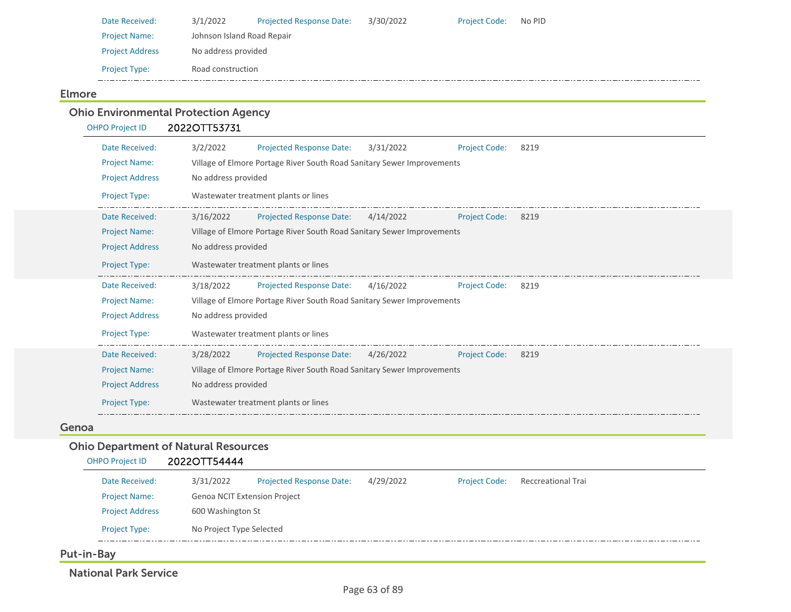| Date Received:         | 3/1/2022                   | <b>Projected Response Date:</b> | 3/30/2022 | <b>Project Code:</b> | No PID |
|------------------------|----------------------------|---------------------------------|-----------|----------------------|--------|
| <b>Project Name:</b>   | Johnson Island Road Repair |                                 |           |                      |        |
| <b>Project Address</b> | No address provided        |                                 |           |                      |        |
| <b>Project Type:</b>   | Road construction          |                                 |           |                      |        |

### Elmore

### Ohio Environmental Protection Agency OHPO Project ID 2022OTT53731 Date Received: 3/2/2022 Project Name: Village of Elmore Portage River South Road Sanitary Sewer Improvements Projected Response Date: 3/31/2022 Project Address No address provided Project Type: Wastewater treatment plants or lines Project Code: 8219 Date Received: 3/16/2022 Project Name: Village of Elmore Portage River South Road Sanitary Sewer Improvements Projected Response Date: 4/14/2022 Project Address No address provided Project Type: Wastewater treatment plants or lines Project Code: 8219 Date Received: 3/18/2022 Project Name: Village of Elmore Portage River South Road Sanitary Sewer Improvements Projected Response Date: 4/16/2022 Project Address No address provided Project Type: Wastewater treatment plants or lines Project Code: 8219 Date Received: 3/28/2022 Project Name: Village of Elmore Portage River South Road Sanitary Sewer Improvements Projected Response Date: 4/26/2022 Project Address No address provided Project Type: Wastewater treatment plants or lines Project Code: 8219

### Genoa

### Ohio Department of Natural Resources

| 2022OTT54444<br>OHPO Project ID |  |
|---------------------------------|--|
|---------------------------------|--|

| Date Received:         | 3/31/2022                           | <b>Projected Response Date:</b> | 4/29/2022 | <b>Project Code:</b> | Reccreational Trai |  |  |
|------------------------|-------------------------------------|---------------------------------|-----------|----------------------|--------------------|--|--|
| <b>Project Name:</b>   | <b>Genoa NCIT Extension Project</b> |                                 |           |                      |                    |  |  |
| <b>Project Address</b> | 600 Washington St                   |                                 |           |                      |                    |  |  |
| <b>Project Type:</b>   | No Project Type Selected            |                                 |           |                      |                    |  |  |
|                        |                                     |                                 |           |                      |                    |  |  |

Put-in-Bay

National Park Service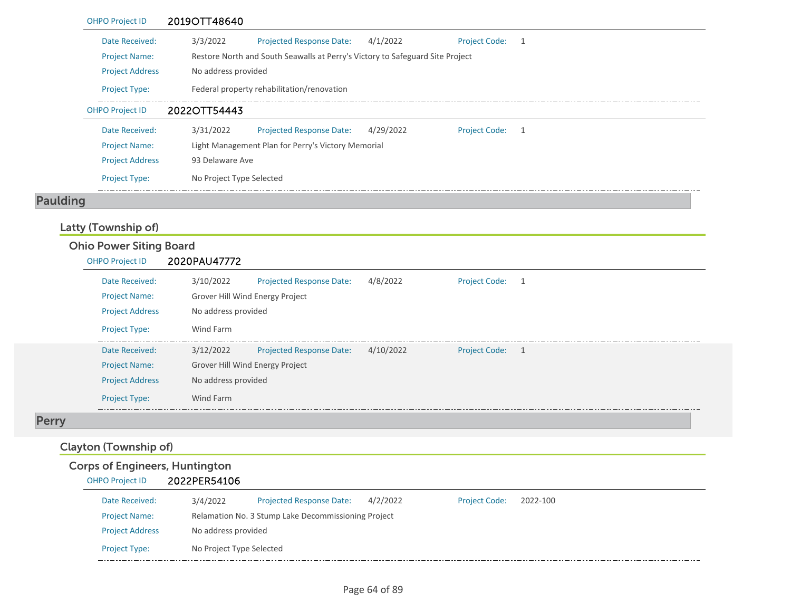| <b>OHPO Project ID</b> | 2019OTT48640                                                                                        |  |  |
|------------------------|-----------------------------------------------------------------------------------------------------|--|--|
| Date Received:         | 3/3/2022<br><b>Projected Response Date:</b><br>4/1/2022<br><b>Project Code:</b><br>$\overline{1}$   |  |  |
| <b>Project Name:</b>   | Restore North and South Seawalls at Perry's Victory to Safeguard Site Project                       |  |  |
| <b>Project Address</b> | No address provided                                                                                 |  |  |
| <b>Project Type:</b>   | Federal property rehabilitation/renovation                                                          |  |  |
| <b>OHPO Project ID</b> | 2022OTT54443                                                                                        |  |  |
| Date Received:         | 3/31/2022<br>4/29/2022<br><b>Projected Response Date:</b><br><b>Project Code:</b><br>$\overline{1}$ |  |  |
| <b>Project Name:</b>   | Light Management Plan for Perry's Victory Memorial                                                  |  |  |
| <b>Project Address</b> | 93 Delaware Ave                                                                                     |  |  |
| <b>Project Type:</b>   | No Project Type Selected                                                                            |  |  |
|                        |                                                                                                     |  |  |

# Paulding

# Latty (Township of)

| <b>Ohio Power Siting Board</b> |                                 |                                 |           |                      |                |
|--------------------------------|---------------------------------|---------------------------------|-----------|----------------------|----------------|
| <b>OHPO Project ID</b>         | 2020PAU47772                    |                                 |           |                      |                |
| Date Received:                 | 3/10/2022                       | <b>Projected Response Date:</b> | 4/8/2022  | <b>Project Code:</b> | -1             |
| <b>Project Name:</b>           | Grover Hill Wind Energy Project |                                 |           |                      |                |
| <b>Project Address</b>         | No address provided             |                                 |           |                      |                |
| <b>Project Type:</b>           | Wind Farm                       |                                 |           |                      |                |
| Date Received:                 | 3/12/2022                       | <b>Projected Response Date:</b> | 4/10/2022 | <b>Project Code:</b> | $\overline{1}$ |
| <b>Project Name:</b>           | Grover Hill Wind Energy Project |                                 |           |                      |                |
| <b>Project Address</b>         | No address provided             |                                 |           |                      |                |
| <b>Project Type:</b>           | Wind Farm                       |                                 |           |                      |                |

# Perry

# Clayton (Township of)

| <b>Corps of Engineers, Huntington</b> |  |
|---------------------------------------|--|
|---------------------------------------|--|

| <b>OHPO Project ID</b> | 2022PER54106             |                                                     |          |                      |          |  |  |  |
|------------------------|--------------------------|-----------------------------------------------------|----------|----------------------|----------|--|--|--|
| Date Received:         | 3/4/2022                 | <b>Projected Response Date:</b>                     | 4/2/2022 | <b>Project Code:</b> | 2022-100 |  |  |  |
| <b>Project Name:</b>   |                          | Relamation No. 3 Stump Lake Decommissioning Project |          |                      |          |  |  |  |
| <b>Project Address</b> |                          | No address provided                                 |          |                      |          |  |  |  |
| <b>Project Type:</b>   | No Project Type Selected |                                                     |          |                      |          |  |  |  |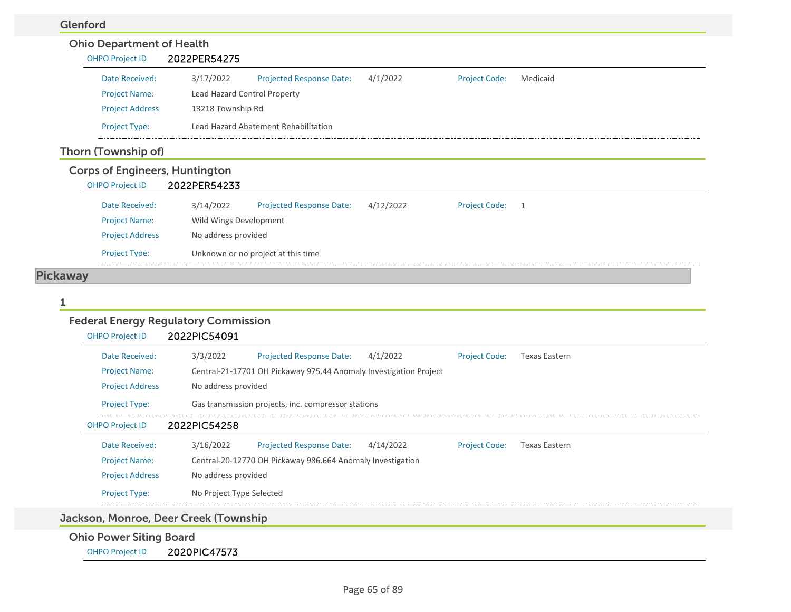### Glenford

| ulluu |                                  |                                       |                                      |           |                      |          |  |
|-------|----------------------------------|---------------------------------------|--------------------------------------|-----------|----------------------|----------|--|
|       | <b>Ohio Department of Health</b> |                                       |                                      |           |                      |          |  |
|       | <b>OHPO Project ID</b>           | 2022PER54275                          |                                      |           |                      |          |  |
|       | Date Received:                   | 3/17/2022                             | <b>Projected Response Date:</b>      | 4/1/2022  | <b>Project Code:</b> | Medicaid |  |
|       | <b>Project Name:</b>             | Lead Hazard Control Property          |                                      |           |                      |          |  |
|       | <b>Project Address</b>           | 13218 Township Rd                     |                                      |           |                      |          |  |
|       | <b>Project Type:</b>             |                                       | Lead Hazard Abatement Rehabilitation |           |                      |          |  |
|       | Thorn (Township of)              |                                       |                                      |           |                      |          |  |
|       |                                  | <b>Corps of Engineers, Huntington</b> |                                      |           |                      |          |  |
|       | <b>OHPO Project ID</b>           | 2022PER54233                          |                                      |           |                      |          |  |
|       | Date Received:                   | 3/14/2022                             | <b>Projected Response Date:</b>      | 4/12/2022 | <b>Project Code:</b> | -1       |  |
|       | <b>Project Name:</b>             | Wild Wings Development                |                                      |           |                      |          |  |
|       | <b>Project Address</b>           | No address provided                   |                                      |           |                      |          |  |
|       | <b>Project Type:</b>             |                                       | Unknown or no project at this time   |           |                      |          |  |
|       |                                  |                                       |                                      |           |                      |          |  |

# Pickaway

### 1

# Federal Energy Regulatory Commission

| <b>OHPO Project ID</b>         |                                       | 2022PIC54091             |                                                                   |           |                      |                      |  |  |
|--------------------------------|---------------------------------------|--------------------------|-------------------------------------------------------------------|-----------|----------------------|----------------------|--|--|
|                                | Date Received:                        | 3/3/2022                 | <b>Projected Response Date:</b>                                   | 4/1/2022  | <b>Project Code:</b> | <b>Texas Eastern</b> |  |  |
| <b>Project Name:</b>           |                                       |                          | Central-21-17701 OH Pickaway 975.44 Anomaly Investigation Project |           |                      |                      |  |  |
|                                | <b>Project Address</b>                | No address provided      |                                                                   |           |                      |                      |  |  |
| <b>Project Type:</b>           |                                       |                          | Gas transmission projects, inc. compressor stations               |           |                      |                      |  |  |
| <b>OHPO Project ID</b>         |                                       | 2022PIC54258             |                                                                   |           |                      |                      |  |  |
|                                | Date Received:                        | 3/16/2022                | <b>Projected Response Date:</b>                                   | 4/14/2022 | <b>Project Code:</b> | <b>Texas Eastern</b> |  |  |
| <b>Project Name:</b>           |                                       |                          | Central-20-12770 OH Pickaway 986.664 Anomaly Investigation        |           |                      |                      |  |  |
|                                | <b>Project Address</b>                | No address provided      |                                                                   |           |                      |                      |  |  |
| <b>Project Type:</b>           |                                       | No Project Type Selected |                                                                   |           |                      |                      |  |  |
|                                | Jackson, Monroe, Deer Creek (Township |                          |                                                                   |           |                      |                      |  |  |
| <b>Ohio Power Siting Board</b> |                                       |                          |                                                                   |           |                      |                      |  |  |

OHPO Project ID 2020PIC47573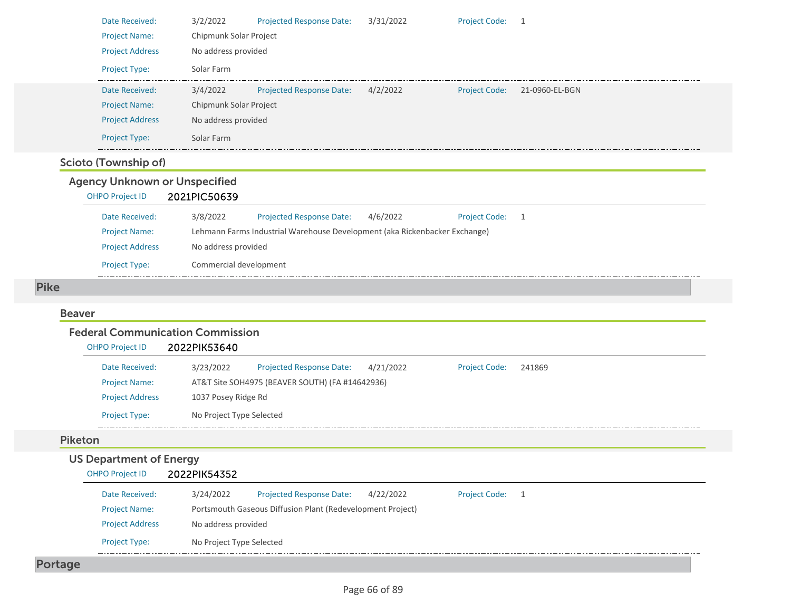| Date Received:                          | 3/2/2022<br><b>Projected Response Date:</b><br>3/31/2022<br><b>Project Code:</b><br>$\overline{1}$  |
|-----------------------------------------|-----------------------------------------------------------------------------------------------------|
| <b>Project Name:</b>                    | Chipmunk Solar Project                                                                              |
| <b>Project Address</b>                  | No address provided                                                                                 |
| Project Type:                           | Solar Farm                                                                                          |
| Date Received:                          | 3/4/2022<br><b>Projected Response Date:</b><br>4/2/2022<br><b>Project Code:</b><br>21-0960-EL-BGN   |
| <b>Project Name:</b>                    | Chipmunk Solar Project                                                                              |
| <b>Project Address</b>                  | No address provided                                                                                 |
| Project Type:                           | Solar Farm                                                                                          |
| <b>Scioto (Township of)</b>             |                                                                                                     |
| <b>Agency Unknown or Unspecified</b>    |                                                                                                     |
| <b>OHPO Project ID</b>                  | 2021PIC50639                                                                                        |
| Date Received:                          | 3/8/2022<br><b>Projected Response Date:</b><br>4/6/2022<br>Project Code: 1                          |
| <b>Project Name:</b>                    | Lehmann Farms Industrial Warehouse Development (aka Rickenbacker Exchange)                          |
| <b>Project Address</b>                  | No address provided                                                                                 |
| Project Type:                           | Commercial development                                                                              |
| <b>Pike</b>                             |                                                                                                     |
|                                         |                                                                                                     |
| <b>Beaver</b>                           |                                                                                                     |
| <b>Federal Communication Commission</b> |                                                                                                     |
|                                         |                                                                                                     |
| <b>OHPO Project ID</b>                  | 2022PIK53640                                                                                        |
| Date Received:                          | 3/23/2022<br><b>Projected Response Date:</b><br>4/21/2022<br><b>Project Code:</b><br>241869         |
| <b>Project Name:</b>                    | AT&T Site SOH4975 (BEAVER SOUTH) (FA #14642936)                                                     |
| <b>Project Address</b>                  | 1037 Posey Ridge Rd                                                                                 |
| Project Type:                           | No Project Type Selected                                                                            |
| <b>Piketon</b>                          |                                                                                                     |
| <b>US Department of Energy</b>          |                                                                                                     |
| <b>OHPO Project ID</b>                  | 2022PIK54352                                                                                        |
| Date Received:                          | 3/24/2022<br><b>Projected Response Date:</b><br>4/22/2022<br><b>Project Code:</b><br>$\overline{1}$ |
| <b>Project Name:</b>                    | Portsmouth Gaseous Diffusion Plant (Redevelopment Project)                                          |
| <b>Project Address</b>                  | No address provided                                                                                 |
| Project Type:                           | No Project Type Selected                                                                            |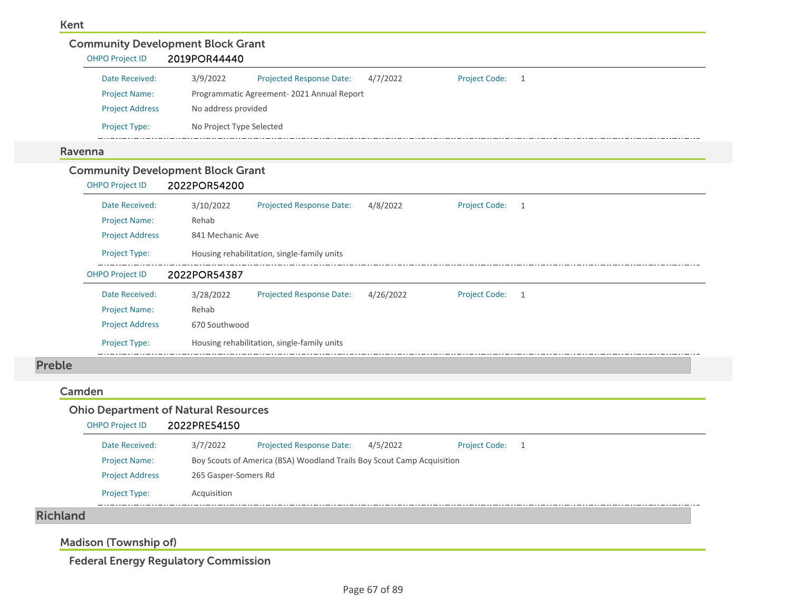| <b>OHPO Project ID</b>                   | 2019POR44440             |                                             |           |                      |                |
|------------------------------------------|--------------------------|---------------------------------------------|-----------|----------------------|----------------|
| Date Received:                           | 3/9/2022                 | Projected Response Date:                    | 4/7/2022  | <b>Project Code:</b> | $\overline{1}$ |
| <b>Project Name:</b>                     |                          | Programmatic Agreement-2021 Annual Report   |           |                      |                |
| <b>Project Address</b>                   | No address provided      |                                             |           |                      |                |
| Project Type:                            | No Project Type Selected |                                             |           |                      |                |
| Ravenna                                  |                          |                                             |           |                      |                |
| <b>Community Development Block Grant</b> |                          |                                             |           |                      |                |
| <b>OHPO Project ID</b>                   | 2022POR54200             |                                             |           |                      |                |
| Date Received:                           | 3/10/2022                | <b>Projected Response Date:</b>             | 4/8/2022  | <b>Project Code:</b> | $\overline{1}$ |
| <b>Project Name:</b>                     | Rehab                    |                                             |           |                      |                |
| <b>Project Address</b>                   | 841 Mechanic Ave         |                                             |           |                      |                |
| Project Type:                            |                          | Housing rehabilitation, single-family units |           |                      |                |
| <b>OHPO Project ID</b>                   | 2022POR54387             |                                             |           |                      |                |
| Date Received:                           | 3/28/2022                | Projected Response Date:                    | 4/26/2022 | <b>Project Code:</b> | 1              |
| <b>Project Name:</b>                     | Rehab                    |                                             |           |                      |                |
|                                          |                          |                                             |           |                      |                |
| <b>Project Address</b>                   | 670 Southwood            |                                             |           |                      |                |

### Camden

|        |                        | <b>Ohio Department of Natural Resources</b> |                                                                        |          |                      |     |
|--------|------------------------|---------------------------------------------|------------------------------------------------------------------------|----------|----------------------|-----|
|        | <b>OHPO Project ID</b> | 2022PRE54150                                |                                                                        |          |                      |     |
|        | Date Received:         | 3/7/2022                                    | <b>Projected Response Date:</b>                                        | 4/5/2022 | <b>Project Code:</b> | - 1 |
|        | <b>Project Name:</b>   |                                             | Boy Scouts of America (BSA) Woodland Trails Boy Scout Camp Acquisition |          |                      |     |
|        | <b>Project Address</b> | 265 Gasper-Somers Rd                        |                                                                        |          |                      |     |
|        | <b>Project Type:</b>   | Acquisition                                 |                                                                        |          |                      |     |
| المحبح |                        |                                             |                                                                        |          |                      |     |

Richland

Madison (Township of)

Federal Energy Regulatory Commission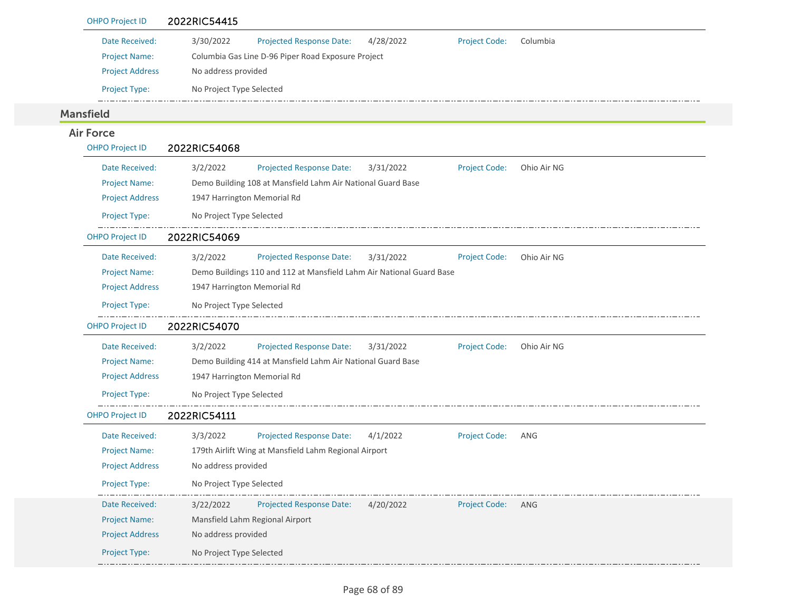| <b>OHPO Project ID</b> | 2022RIC54415                                                                                    |
|------------------------|-------------------------------------------------------------------------------------------------|
| Date Received:         | 3/30/2022<br><b>Projected Response Date:</b><br>4/28/2022<br><b>Project Code:</b><br>Columbia   |
| <b>Project Name:</b>   | Columbia Gas Line D-96 Piper Road Exposure Project                                              |
| <b>Project Address</b> | No address provided                                                                             |
| Project Type:          | No Project Type Selected                                                                        |
| <b>Mansfield</b>       |                                                                                                 |
| <b>Air Force</b>       |                                                                                                 |
| <b>OHPO Project ID</b> | 2022RIC54068                                                                                    |
| Date Received:         | 3/2/2022<br><b>Projected Response Date:</b><br>3/31/2022<br><b>Project Code:</b><br>Ohio Air NG |
| <b>Project Name:</b>   | Demo Building 108 at Mansfield Lahm Air National Guard Base                                     |
| <b>Project Address</b> | 1947 Harrington Memorial Rd                                                                     |
| Project Type:          | No Project Type Selected                                                                        |
| <b>OHPO Project ID</b> | 2022RIC54069                                                                                    |
| Date Received:         | 3/2/2022<br><b>Projected Response Date:</b><br>3/31/2022<br><b>Project Code:</b><br>Ohio Air NG |
| <b>Project Name:</b>   | Demo Buildings 110 and 112 at Mansfield Lahm Air National Guard Base                            |
| <b>Project Address</b> | 1947 Harrington Memorial Rd                                                                     |
| Project Type:          | No Project Type Selected                                                                        |
| <b>OHPO Project ID</b> | 2022RIC54070                                                                                    |
| Date Received:         | 3/2/2022<br><b>Projected Response Date:</b><br>3/31/2022<br><b>Project Code:</b><br>Ohio Air NG |
| <b>Project Name:</b>   | Demo Building 414 at Mansfield Lahm Air National Guard Base                                     |
| <b>Project Address</b> | 1947 Harrington Memorial Rd                                                                     |
| Project Type:          | No Project Type Selected                                                                        |
| <b>OHPO Project ID</b> | 2022RIC54111                                                                                    |
| Date Received:         | 3/3/2022<br>Projected Response Date:<br><b>Project Code:</b><br>4/1/2022<br>ANG                 |
| <b>Project Name:</b>   | 179th Airlift Wing at Mansfield Lahm Regional Airport                                           |
| <b>Project Address</b> | No address provided                                                                             |
| Project Type:          | No Project Type Selected                                                                        |
| Date Received:         | Projected Response Date:<br>3/22/2022<br>4/20/2022<br><b>Project Code:</b><br>ANG               |
| <b>Project Name:</b>   | Mansfield Lahm Regional Airport                                                                 |
| <b>Project Address</b> | No address provided                                                                             |
| Project Type:          | No Project Type Selected                                                                        |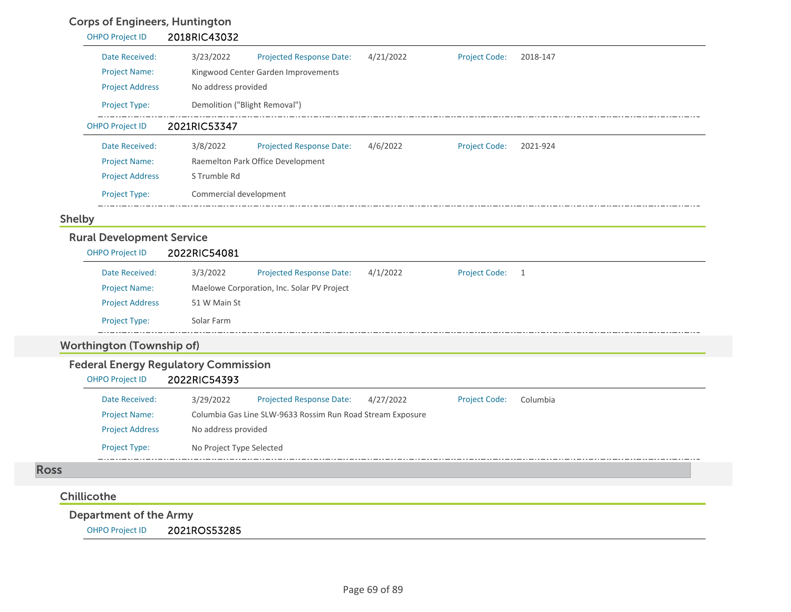## Corps of Engineers, Huntington

| <u>sorps or Engineers, nantinglon</u><br><b>OHPO Project ID</b> | 2018RIC43032                                                                                      |
|-----------------------------------------------------------------|---------------------------------------------------------------------------------------------------|
| Date Received:                                                  | 3/23/2022<br>4/21/2022<br><b>Project Code:</b><br>Projected Response Date:<br>2018-147            |
| <b>Project Name:</b>                                            | Kingwood Center Garden Improvements                                                               |
| <b>Project Address</b>                                          | No address provided                                                                               |
| Project Type:                                                   | Demolition ("Blight Removal")                                                                     |
| <b>OHPO Project ID</b>                                          | 2021RIC53347                                                                                      |
| Date Received:                                                  | 3/8/2022<br>4/6/2022<br>Projected Response Date:<br><b>Project Code:</b><br>2021-924              |
| <b>Project Name:</b>                                            | Raemelton Park Office Development                                                                 |
| <b>Project Address</b>                                          | S Trumble Rd                                                                                      |
| Project Type:                                                   | Commercial development                                                                            |
| <b>Shelby</b>                                                   |                                                                                                   |
| <b>Rural Development Service</b>                                |                                                                                                   |
| <b>OHPO Project ID</b>                                          | 2022RIC54081                                                                                      |
| Date Received:                                                  | 3/3/2022<br><b>Projected Response Date:</b><br>4/1/2022<br><b>Project Code:</b><br>$\overline{1}$ |
| <b>Project Name:</b>                                            | Maelowe Corporation, Inc. Solar PV Project                                                        |
| <b>Project Address</b>                                          | 51 W Main St                                                                                      |
| Project Type:                                                   | Solar Farm                                                                                        |
| <b>Worthington (Township of)</b>                                |                                                                                                   |
|                                                                 | <b>Federal Energy Regulatory Commission</b>                                                       |
| <b>OHPO Project ID</b>                                          | 2022RIC54393                                                                                      |
| Date Received:                                                  | Projected Response Date:<br><b>Project Code:</b><br>3/29/2022<br>4/27/2022<br>Columbia            |
| <b>Project Name:</b>                                            | Columbia Gas Line SLW-9633 Rossim Run Road Stream Exposure                                        |
| <b>Project Address</b>                                          | No address provided                                                                               |
| Project Type:                                                   | No Project Type Selected                                                                          |
| <b>Ross</b>                                                     |                                                                                                   |
|                                                                 |                                                                                                   |
| Chillicothe                                                     |                                                                                                   |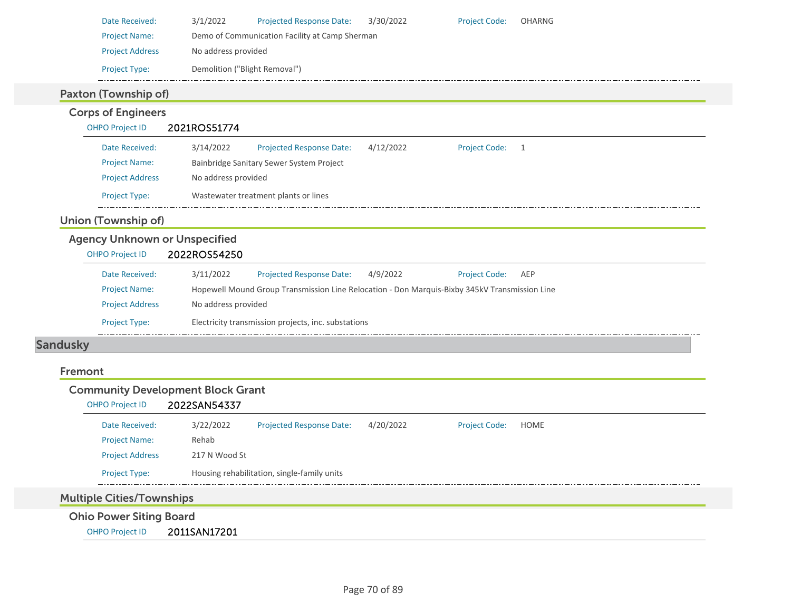| Date Received:                       | 3/1/2022<br>Projected Response Date:<br>3/30/2022<br><b>Project Code:</b><br>OHARNG                 |  |  |  |  |  |  |  |
|--------------------------------------|-----------------------------------------------------------------------------------------------------|--|--|--|--|--|--|--|
| <b>Project Name:</b>                 | Demo of Communication Facility at Camp Sherman                                                      |  |  |  |  |  |  |  |
| <b>Project Address</b>               | No address provided                                                                                 |  |  |  |  |  |  |  |
| Project Type:                        | Demolition ("Blight Removal")                                                                       |  |  |  |  |  |  |  |
| Paxton (Township of)                 |                                                                                                     |  |  |  |  |  |  |  |
| <b>Corps of Engineers</b>            |                                                                                                     |  |  |  |  |  |  |  |
| <b>OHPO Project ID</b>               | 2021ROS51774                                                                                        |  |  |  |  |  |  |  |
| Date Received:                       | 3/14/2022<br><b>Projected Response Date:</b><br>4/12/2022<br><b>Project Code:</b><br>$\overline{1}$ |  |  |  |  |  |  |  |
| <b>Project Name:</b>                 | Bainbridge Sanitary Sewer System Project                                                            |  |  |  |  |  |  |  |
| <b>Project Address</b>               | No address provided                                                                                 |  |  |  |  |  |  |  |
| Project Type:                        | Wastewater treatment plants or lines                                                                |  |  |  |  |  |  |  |
| <b>Union (Township of)</b>           |                                                                                                     |  |  |  |  |  |  |  |
| <b>Agency Unknown or Unspecified</b> |                                                                                                     |  |  |  |  |  |  |  |
| <b>OHPO Project ID</b>               | 2022ROS54250                                                                                        |  |  |  |  |  |  |  |
| Date Received:                       | 3/11/2022<br><b>Projected Response Date:</b><br>4/9/2022<br><b>Project Code:</b><br>AEP             |  |  |  |  |  |  |  |
| <b>Project Name:</b>                 | Hopewell Mound Group Transmission Line Relocation - Don Marquis-Bixby 345kV Transmission Line       |  |  |  |  |  |  |  |
| <b>Project Address</b>               | No address provided                                                                                 |  |  |  |  |  |  |  |
| <b>Project Type:</b>                 | Electricity transmission projects, inc. substations                                                 |  |  |  |  |  |  |  |
| <b>Sandusky</b>                      |                                                                                                     |  |  |  |  |  |  |  |
|                                      |                                                                                                     |  |  |  |  |  |  |  |
| Fremont                              |                                                                                                     |  |  |  |  |  |  |  |
|                                      | <b>Community Development Block Grant</b>                                                            |  |  |  |  |  |  |  |

# OHPO Project ID 2022SAN54337

| Date Received:         | 3/22/2022     | <b>Projected Response Date:</b>             | 4/20/2022 | <b>Project Code:</b> | HOME |
|------------------------|---------------|---------------------------------------------|-----------|----------------------|------|
| <b>Project Name:</b>   | Rehab         |                                             |           |                      |      |
| <b>Project Address</b> | 217 N Wood St |                                             |           |                      |      |
| <b>Project Type:</b>   |               | Housing rehabilitation, single-family units |           |                      |      |
| ________<br>____       |               |                                             |           |                      |      |

# Multiple Cities/Townships

Ohio Power Siting Board

OHPO Project ID 2011SAN17201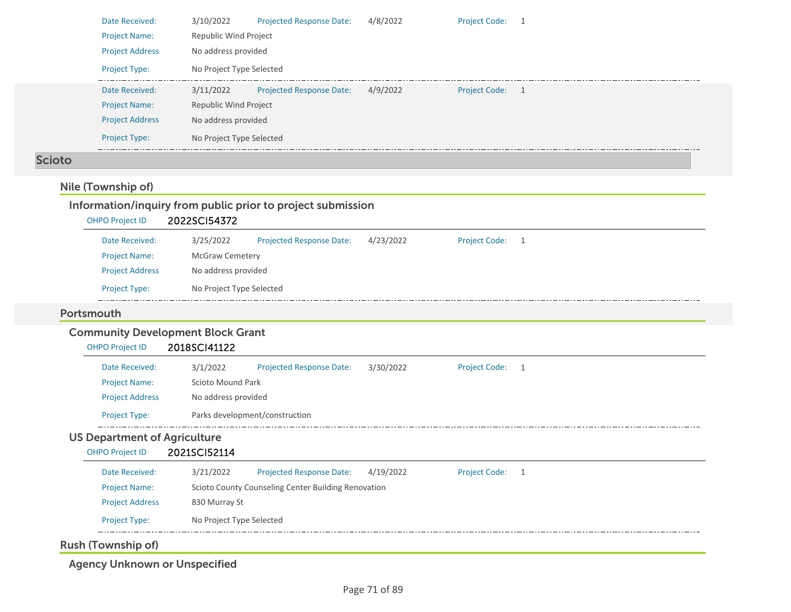|                                     | Date Received:         | 3/10/2022                                | <b>Projected Response Date:</b>                             | 4/8/2022  | <b>Project Code:</b> | 1 |
|-------------------------------------|------------------------|------------------------------------------|-------------------------------------------------------------|-----------|----------------------|---|
| <b>Project Name:</b>                |                        | Republic Wind Project                    |                                                             |           |                      |   |
|                                     | <b>Project Address</b> | No address provided                      |                                                             |           |                      |   |
| Project Type:                       |                        | No Project Type Selected                 |                                                             |           |                      |   |
|                                     | Date Received:         | 3/11/2022                                | <b>Projected Response Date:</b>                             | 4/9/2022  | <b>Project Code:</b> |   |
| <b>Project Name:</b>                |                        | Republic Wind Project                    |                                                             |           |                      |   |
|                                     | <b>Project Address</b> | No address provided                      |                                                             |           |                      |   |
| Project Type:                       |                        | No Project Type Selected                 |                                                             |           |                      |   |
| <b>Scioto</b>                       |                        |                                          |                                                             |           |                      |   |
| Nile (Township of)                  |                        |                                          |                                                             |           |                      |   |
|                                     |                        |                                          |                                                             |           |                      |   |
| <b>OHPO Project ID</b>              |                        | 2022SCI54372                             | Information/inquiry from public prior to project submission |           |                      |   |
|                                     |                        |                                          |                                                             |           |                      |   |
|                                     | Date Received:         | 3/25/2022                                | <b>Projected Response Date:</b>                             | 4/23/2022 | <b>Project Code:</b> | 1 |
| <b>Project Name:</b>                |                        | <b>McGraw Cemetery</b>                   |                                                             |           |                      |   |
|                                     | <b>Project Address</b> | No address provided                      |                                                             |           |                      |   |
| <b>Project Type:</b>                |                        | No Project Type Selected                 |                                                             |           |                      |   |
| Portsmouth                          |                        |                                          |                                                             |           |                      |   |
|                                     |                        | <b>Community Development Block Grant</b> |                                                             |           |                      |   |
| <b>OHPO Project ID</b>              |                        | 2018SCI41122                             |                                                             |           |                      |   |
|                                     | Date Received:         | 3/1/2022                                 | <b>Projected Response Date:</b>                             | 3/30/2022 | <b>Project Code:</b> | 1 |
| Project Name:                       |                        | Scioto Mound Park                        |                                                             |           |                      |   |
|                                     | <b>Project Address</b> | No address provided                      |                                                             |           |                      |   |
| Project Type:                       |                        | Parks development/construction           |                                                             |           |                      |   |
| <b>US Department of Agriculture</b> |                        |                                          |                                                             |           |                      |   |
| <b>OHPO Project ID</b>              |                        | 2021SCI52114                             |                                                             |           |                      |   |
|                                     | Date Received:         | 3/21/2022                                | <b>Projected Response Date:</b>                             | 4/19/2022 | Project Code: 1      |   |
| <b>Project Name:</b>                |                        |                                          | Scioto County Counseling Center Building Renovation         |           |                      |   |
|                                     | <b>Project Address</b> | 830 Murray St                            |                                                             |           |                      |   |
| Project Type:                       |                        | No Project Type Selected                 |                                                             |           |                      |   |
|                                     |                        |                                          |                                                             |           |                      |   |
| <b>Rush (Township of)</b>           |                        |                                          |                                                             |           |                      |   |

Agency Unknown or Unspecified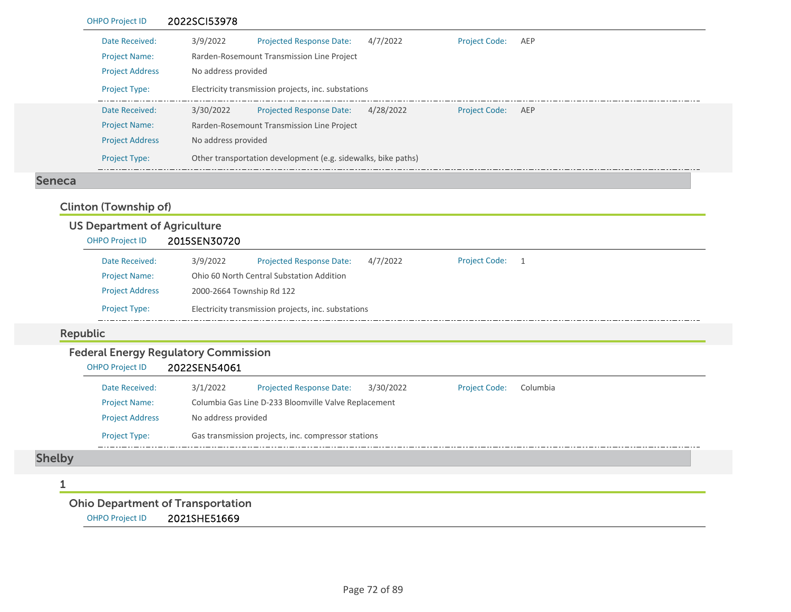|        | <b>OHPO Project ID</b>                                                      | 2022SCI53978 |                                                               |           |                      |     |  |  |  |
|--------|-----------------------------------------------------------------------------|--------------|---------------------------------------------------------------|-----------|----------------------|-----|--|--|--|
|        | Date Received:                                                              | 3/9/2022     | <b>Projected Response Date:</b>                               | 4/7/2022  | <b>Project Code:</b> | AEP |  |  |  |
|        | <b>Project Name:</b>                                                        |              | Rarden-Rosemount Transmission Line Project                    |           |                      |     |  |  |  |
|        | <b>Project Address</b>                                                      |              | No address provided                                           |           |                      |     |  |  |  |
|        | Electricity transmission projects, inc. substations<br><b>Project Type:</b> |              |                                                               |           |                      |     |  |  |  |
|        | Date Received:                                                              | 3/30/2022    | <b>Projected Response Date:</b>                               | 4/28/2022 | <b>Project Code:</b> | AEP |  |  |  |
|        | <b>Project Name:</b>                                                        |              | Rarden-Rosemount Transmission Line Project                    |           |                      |     |  |  |  |
|        | <b>Project Address</b>                                                      |              | No address provided                                           |           |                      |     |  |  |  |
|        | <b>Project Type:</b>                                                        |              | Other transportation development (e.g. sidewalks, bike paths) |           |                      |     |  |  |  |
| Seneca |                                                                             |              |                                                               |           |                      |     |  |  |  |

## Clinton (Township of)

### US Department of Agriculture OHPO Project ID 2015SEN30720 3/9/2022 Projected Response Date: 4/7/2022 Project Code: 1 Date Received:Project Name: Ohio 60 North Central Substation Addition Project Address 2000‐2664 Township Rd 122 Project Type: Electricity transmission projects, inc. substations  $\frac{1}{2} \left( \frac{1}{2} \right) \left( \frac{1}{2} \right) \left( \frac{1}{2} \right) \left( \frac{1}{2} \right) \left( \frac{1}{2} \right) \left( \frac{1}{2} \right) \left( \frac{1}{2} \right) \left( \frac{1}{2} \right) \left( \frac{1}{2} \right) \left( \frac{1}{2} \right) \left( \frac{1}{2} \right) \left( \frac{1}{2} \right) \left( \frac{1}{2} \right) \left( \frac{1}{2} \right) \left( \frac{1}{2} \right) \left( \frac{1}{2} \right) \left( \frac$

### Republic

L

# Federal Energy Regulatory Commission

| OHPO Project ID | 2022SEN54061 |
|-----------------|--------------|
|                 |              |

| Date Received:         | 3/1/2022                                             | <b>Projected Response Date:</b> | 3/30/2022 | <b>Project Code:</b> | Columbia |  |  |  |
|------------------------|------------------------------------------------------|---------------------------------|-----------|----------------------|----------|--|--|--|
| <b>Project Name:</b>   | Columbia Gas Line D-233 Bloomville Valve Replacement |                                 |           |                      |          |  |  |  |
| <b>Project Address</b> | No address provided                                  |                                 |           |                      |          |  |  |  |
| <b>Project Type:</b>   | Gas transmission projects, inc. compressor stations  |                                 |           |                      |          |  |  |  |

# Shelby

### 1

# Ohio Department of Transportation

OHPO Project ID 2021SHE51669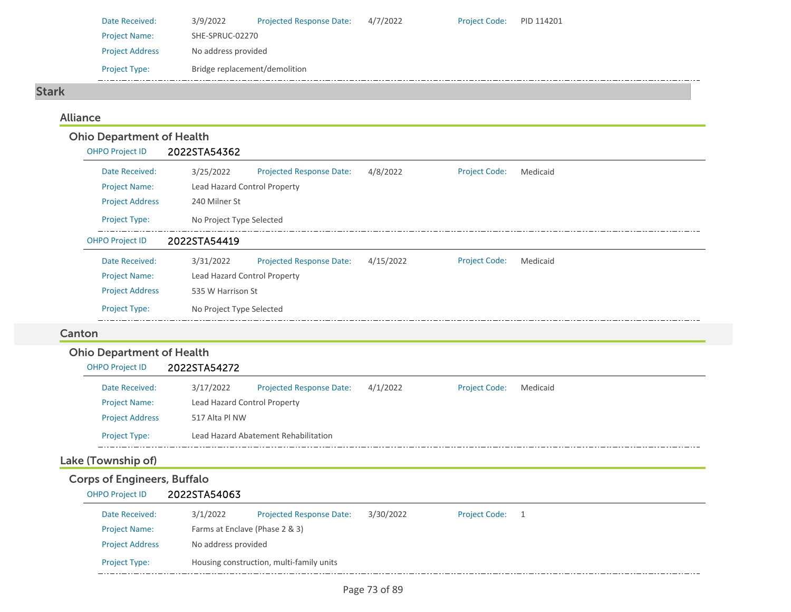| Date Received:         | 3/9/2022                      | <b>Projected Response Date:</b> | 4/7/2022 | <b>Project Code:</b> | PID 114201 |
|------------------------|-------------------------------|---------------------------------|----------|----------------------|------------|
| <b>Project Name:</b>   | SHE-SPRUC-02270               |                                 |          |                      |            |
| <b>Project Address</b> | No address provided           |                                 |          |                      |            |
| <b>Project Type:</b>   | Bridge replacement/demolition |                                 |          |                      |            |

#### Stark

## Alliance

| <b>Ohio Department of Health</b> |                              |                                 |           |                      |          |  |
|----------------------------------|------------------------------|---------------------------------|-----------|----------------------|----------|--|
| <b>OHPO Project ID</b>           | 2022STA54362                 |                                 |           |                      |          |  |
| Date Received:                   | 3/25/2022                    | <b>Projected Response Date:</b> | 4/8/2022  | <b>Project Code:</b> | Medicaid |  |
| <b>Project Name:</b>             | Lead Hazard Control Property |                                 |           |                      |          |  |
| <b>Project Address</b>           | 240 Milner St                |                                 |           |                      |          |  |
| <b>Project Type:</b>             | No Project Type Selected     |                                 |           |                      |          |  |
| <b>OHPO Project ID</b>           | 2022STA54419                 |                                 |           |                      |          |  |
| Date Received:                   | 3/31/2022                    | <b>Projected Response Date:</b> | 4/15/2022 | <b>Project Code:</b> | Medicaid |  |
| <b>Project Name:</b>             | Lead Hazard Control Property |                                 |           |                      |          |  |
| <b>Project Address</b>           | 535 W Harrison St            |                                 |           |                      |          |  |
| Project Type:                    | No Project Type Selected     |                                 |           |                      |          |  |
| Canton                           |                              |                                 |           |                      |          |  |
| <b>Ohio Department of Health</b> |                              |                                 |           |                      |          |  |
| <b>OHPO Project ID</b>           | 2022STA54272                 |                                 |           |                      |          |  |
|                                  |                              |                                 |           |                      |          |  |

| Date Received:         | 3/17/2022                    | <b>Projected Response Date:</b>      | 4/1/2022 | <b>Project Code:</b> | Medicaid |
|------------------------|------------------------------|--------------------------------------|----------|----------------------|----------|
| <b>Project Name:</b>   | Lead Hazard Control Property |                                      |          |                      |          |
| <b>Project Address</b> | 517 Alta Pl NW               |                                      |          |                      |          |
| <b>Project Type:</b>   |                              | Lead Hazard Abatement Rehabilitation |          |                      |          |

# Lake (Township of)

# Corps of Engineers, Buffalo

## OHPO Project ID 2022STA54063

| Date Received:         | 3/1/2022            | <b>Projected Response Date:</b>          | 3/30/2022 | <b>Project Code:</b> |  |
|------------------------|---------------------|------------------------------------------|-----------|----------------------|--|
| <b>Project Name:</b>   |                     | Farms at Enclave (Phase 2 & 3)           |           |                      |  |
| <b>Project Address</b> | No address provided |                                          |           |                      |  |
| <b>Project Type:</b>   |                     | Housing construction, multi-family units |           |                      |  |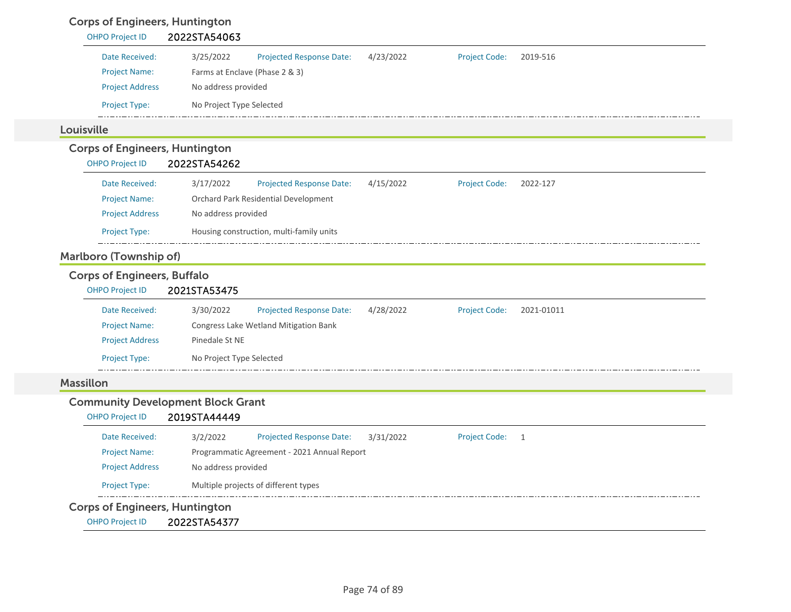# Corps of Engineers, Huntington

| <b>OHPO Project ID</b>                   | 2022STA54063                                |           |                      |            |
|------------------------------------------|---------------------------------------------|-----------|----------------------|------------|
| Date Received:                           | 3/25/2022<br>Projected Response Date:       | 4/23/2022 | <b>Project Code:</b> | 2019-516   |
| <b>Project Name:</b>                     | Farms at Enclave (Phase 2 & 3)              |           |                      |            |
| <b>Project Address</b>                   | No address provided                         |           |                      |            |
| Project Type:                            | No Project Type Selected                    |           |                      |            |
| Louisville                               |                                             |           |                      |            |
| <b>Corps of Engineers, Huntington</b>    |                                             |           |                      |            |
| <b>OHPO Project ID</b>                   | 2022STA54262                                |           |                      |            |
| Date Received:                           | 3/17/2022<br>Projected Response Date:       | 4/15/2022 | <b>Project Code:</b> | 2022-127   |
| <b>Project Name:</b>                     | Orchard Park Residential Development        |           |                      |            |
| <b>Project Address</b>                   | No address provided                         |           |                      |            |
| Project Type:                            | Housing construction, multi-family units    |           |                      |            |
| <b>Marlboro (Township of)</b>            |                                             |           |                      |            |
| <b>Corps of Engineers, Buffalo</b>       |                                             |           |                      |            |
| <b>OHPO Project ID</b>                   | 2021STA53475                                |           |                      |            |
| Date Received:                           | 3/30/2022<br>Projected Response Date:       | 4/28/2022 | <b>Project Code:</b> | 2021-01011 |
| <b>Project Name:</b>                     | Congress Lake Wetland Mitigation Bank       |           |                      |            |
| <b>Project Address</b>                   | Pinedale St NE                              |           |                      |            |
| Project Type:                            | No Project Type Selected                    |           |                      |            |
|                                          |                                             |           |                      |            |
| <b>Massillon</b>                         |                                             |           |                      |            |
| <b>Community Development Block Grant</b> |                                             |           |                      |            |
| <b>OHPO Project ID</b>                   | 2019STA44449                                |           |                      |            |
| Date Received:                           | Projected Response Date:<br>3/2/2022        | 3/31/2022 | Project Code: 1      |            |
| <b>Project Name:</b>                     | Programmatic Agreement - 2021 Annual Report |           |                      |            |
| <b>Project Address</b>                   | No address provided                         |           |                      |            |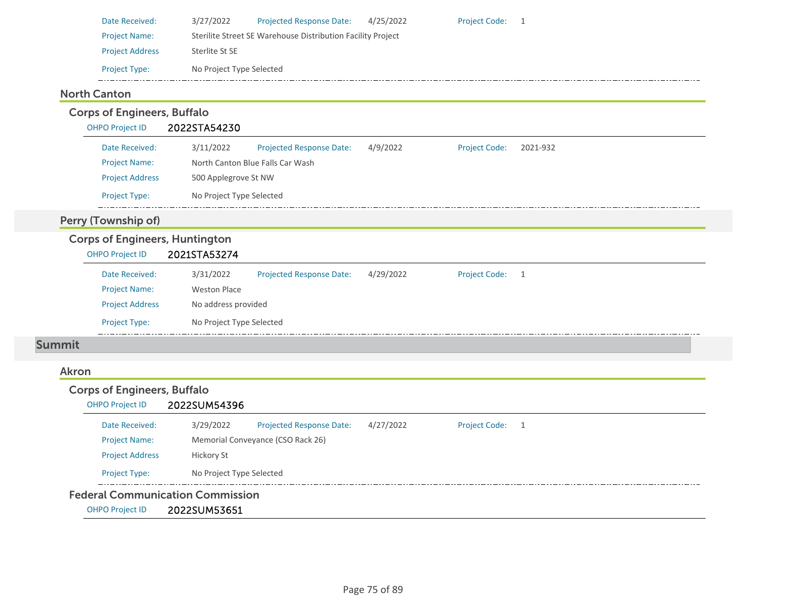| Date Received:         | 3/27/2022                | <b>Projected Response Date:</b>                             | 4/25/2022 | <b>Project Code:</b> |  |
|------------------------|--------------------------|-------------------------------------------------------------|-----------|----------------------|--|
| <b>Project Name:</b>   |                          | Sterilite Street SE Warehouse Distribution Facility Project |           |                      |  |
| <b>Project Address</b> | Sterlite St SE           |                                                             |           |                      |  |
| <b>Project Type:</b>   | No Project Type Selected |                                                             |           |                      |  |

## North Canton

| <b>Corps of Engineers, Buffalo</b>    |                                                                                       |  |
|---------------------------------------|---------------------------------------------------------------------------------------|--|
| <b>OHPO Project ID</b>                | 2022STA54230                                                                          |  |
| Date Received:                        | 3/11/2022<br>Projected Response Date:<br>4/9/2022<br><b>Project Code:</b><br>2021-932 |  |
| <b>Project Name:</b>                  | North Canton Blue Falls Car Wash                                                      |  |
| <b>Project Address</b>                | 500 Applegrove St NW                                                                  |  |
| Project Type:                         | No Project Type Selected                                                              |  |
| Perry (Township of)                   |                                                                                       |  |
| <b>Corps of Engineers, Huntington</b> |                                                                                       |  |
| <b>OHPO Project ID</b>                | 2021STA53274                                                                          |  |
| Date Received:                        | 3/31/2022<br>Projected Response Date:<br>4/29/2022<br><b>Project Code:</b><br>-1      |  |
| <b>Project Name:</b>                  | <b>Weston Place</b>                                                                   |  |
| <b>Project Address</b>                | No address provided                                                                   |  |
| <b>Project Type:</b>                  | No Project Type Selected                                                              |  |
| <b>Summit</b>                         |                                                                                       |  |
| Akron                                 |                                                                                       |  |
| <b>Corps of Engineers, Buffalo</b>    |                                                                                       |  |
| <b>OHPO Project ID</b>                | 2022SUM54396                                                                          |  |
| Date Received:                        | <b>Project Code:</b><br>3/29/2022<br>Projected Response Date:<br>4/27/2022<br>- 1     |  |
| <b>Project Name:</b>                  | Memorial Conveyance (CSO Rack 26)                                                     |  |
| <b>Project Address</b>                | Hickory St                                                                            |  |
| Project Type:                         | No Project Type Selected                                                              |  |
|                                       |                                                                                       |  |

#### Federal Communication Commission

OHPO Project ID 2022SUM53651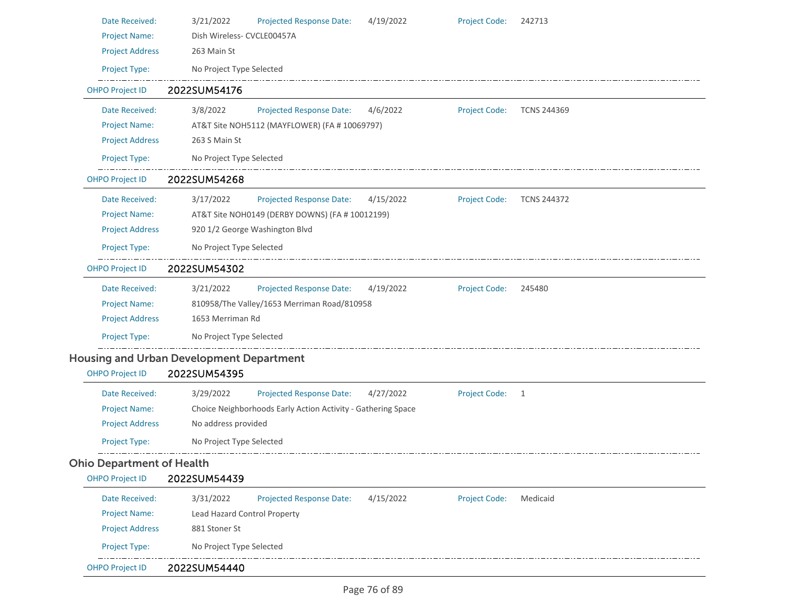| Date Received:                   | <b>Projected Response Date:</b><br>3/21/2022<br>4/19/2022    | <b>Project Code:</b> | 242713             |
|----------------------------------|--------------------------------------------------------------|----------------------|--------------------|
| <b>Project Name:</b>             | Dish Wireless- CVCLE00457A                                   |                      |                    |
| <b>Project Address</b>           | 263 Main St                                                  |                      |                    |
| Project Type:                    | No Project Type Selected                                     |                      |                    |
| <b>OHPO Project ID</b>           | 2022SUM54176                                                 |                      |                    |
| Date Received:                   | 3/8/2022<br><b>Projected Response Date:</b><br>4/6/2022      | <b>Project Code:</b> | <b>TCNS 244369</b> |
| <b>Project Name:</b>             | AT&T Site NOH5112 (MAYFLOWER) (FA # 10069797)                |                      |                    |
| <b>Project Address</b>           | 263 S Main St                                                |                      |                    |
| Project Type:                    | No Project Type Selected                                     |                      |                    |
| <b>OHPO Project ID</b>           | 2022SUM54268                                                 |                      |                    |
| Date Received:                   | 3/17/2022<br><b>Projected Response Date:</b><br>4/15/2022    | <b>Project Code:</b> | <b>TCNS 244372</b> |
| <b>Project Name:</b>             | AT&T Site NOH0149 (DERBY DOWNS) (FA # 10012199)              |                      |                    |
| <b>Project Address</b>           | 920 1/2 George Washington Blvd                               |                      |                    |
| Project Type:                    | No Project Type Selected                                     |                      |                    |
| <b>OHPO Project ID</b>           | 2022SUM54302                                                 |                      |                    |
| Date Received:                   | 3/21/2022<br><b>Projected Response Date:</b><br>4/19/2022    | <b>Project Code:</b> | 245480             |
| <b>Project Name:</b>             | 810958/The Valley/1653 Merriman Road/810958                  |                      |                    |
| <b>Project Address</b>           | 1653 Merriman Rd                                             |                      |                    |
| Project Type:                    | No Project Type Selected                                     |                      |                    |
|                                  | <b>Housing and Urban Development Department</b>              |                      |                    |
| <b>OHPO Project ID</b>           | 2022SUM54395                                                 |                      |                    |
| Date Received:                   | 3/29/2022<br><b>Projected Response Date:</b><br>4/27/2022    | <b>Project Code:</b> | 1                  |
| <b>Project Name:</b>             | Choice Neighborhoods Early Action Activity - Gathering Space |                      |                    |
| <b>Project Address</b>           | No address provided                                          |                      |                    |
| Project Type:                    | No Project Type Selected                                     |                      |                    |
| <b>Ohio Department of Health</b> |                                                              |                      |                    |
| <b>OHPO Project ID</b>           | 2022SUM54439                                                 |                      |                    |
| Date Received:                   | <b>Projected Response Date:</b><br>4/15/2022<br>3/31/2022    | <b>Project Code:</b> | Medicaid           |
| <b>Project Name:</b>             | Lead Hazard Control Property                                 |                      |                    |
| <b>Project Address</b>           | 881 Stoner St                                                |                      |                    |
| Project Type:                    | No Project Type Selected                                     |                      |                    |
| <b>OHPO Project ID</b>           | 2022SUM54440                                                 |                      |                    |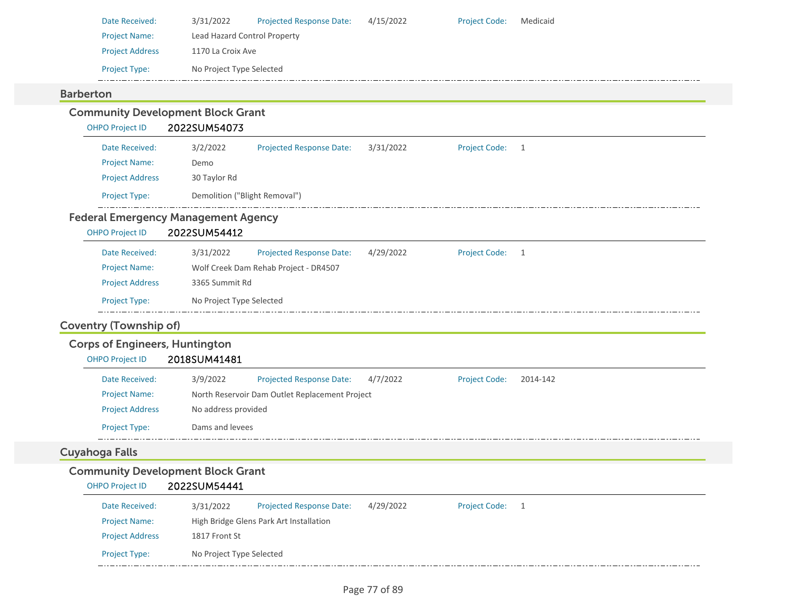| Date Received:         | 3/31/2022                    | <b>Projected Response Date:</b> | 4/15/2022 | <b>Project Code:</b> | Medicaid |
|------------------------|------------------------------|---------------------------------|-----------|----------------------|----------|
| <b>Project Name:</b>   | Lead Hazard Control Property |                                 |           |                      |          |
| <b>Project Address</b> | 1170 La Croix Ave            |                                 |           |                      |          |
| <b>Project Type:</b>   | No Project Type Selected     |                                 |           |                      |          |
|                        |                              |                                 |           |                      |          |

## Barberton

| <b>Community Development Block Grant</b><br><b>OHPO Project ID</b> | 2022SUM54073                  |                                                |           |                      |              |  |
|--------------------------------------------------------------------|-------------------------------|------------------------------------------------|-----------|----------------------|--------------|--|
| Date Received:                                                     |                               |                                                |           | <b>Project Code:</b> |              |  |
| <b>Project Name:</b>                                               | 3/2/2022<br>Demo              | <b>Projected Response Date:</b>                | 3/31/2022 |                      | $\mathbf{1}$ |  |
| <b>Project Address</b>                                             | 30 Taylor Rd                  |                                                |           |                      |              |  |
| Project Type:                                                      | Demolition ("Blight Removal") |                                                |           |                      |              |  |
| <b>Federal Emergency Management Agency</b>                         |                               |                                                |           |                      |              |  |
| <b>OHPO Project ID</b>                                             | 2022SUM54412                  |                                                |           |                      |              |  |
| Date Received:                                                     | 3/31/2022                     | <b>Projected Response Date:</b>                | 4/29/2022 | Project Code: 1      |              |  |
| <b>Project Name:</b>                                               |                               | Wolf Creek Dam Rehab Project - DR4507          |           |                      |              |  |
| <b>Project Address</b>                                             | 3365 Summit Rd                |                                                |           |                      |              |  |
| Project Type:                                                      | No Project Type Selected      |                                                |           |                      |              |  |
|                                                                    |                               |                                                |           |                      |              |  |
| <b>Coventry (Township of)</b>                                      |                               |                                                |           |                      |              |  |
| <b>Corps of Engineers, Huntington</b>                              |                               |                                                |           |                      |              |  |
| <b>OHPO Project ID</b>                                             | 2018SUM41481                  |                                                |           |                      |              |  |
| Date Received:                                                     | 3/9/2022                      | <b>Projected Response Date:</b>                | 4/7/2022  | <b>Project Code:</b> | 2014-142     |  |
| <b>Project Name:</b>                                               |                               | North Reservoir Dam Outlet Replacement Project |           |                      |              |  |
| <b>Project Address</b>                                             | No address provided           |                                                |           |                      |              |  |
| Project Type:                                                      | Dams and levees               |                                                |           |                      |              |  |
| <b>Cuyahoga Falls</b>                                              |                               |                                                |           |                      |              |  |
| <b>Community Development Block Grant</b>                           |                               |                                                |           |                      |              |  |
| <b>OHPO Project ID</b>                                             | 2022SUM54441                  |                                                |           |                      |              |  |
| Date Received:                                                     | 3/31/2022                     | Projected Response Date:                       | 4/29/2022 | <b>Project Code:</b> | 1            |  |
| <b>Project Name:</b>                                               |                               | High Bridge Glens Park Art Installation        |           |                      |              |  |
| <b>Project Address</b>                                             | 1817 Front St                 |                                                |           |                      |              |  |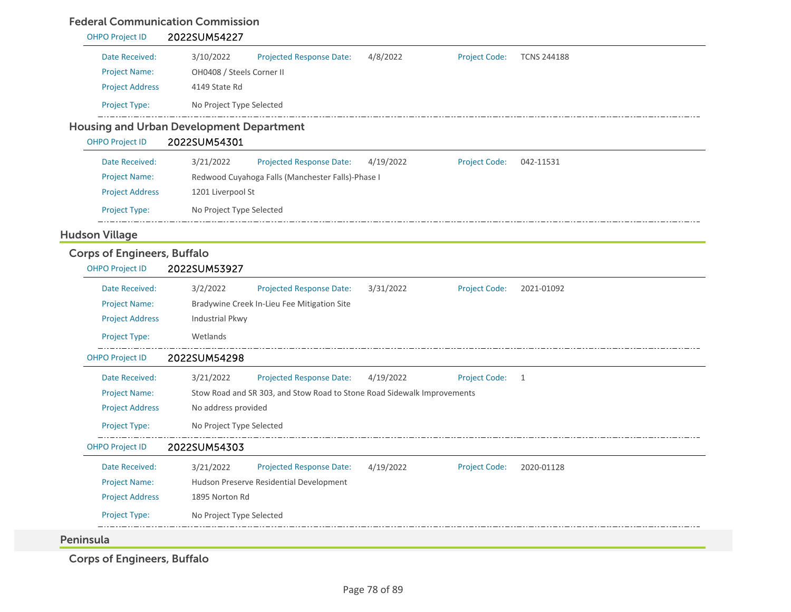#### Federal Communication Commission

| <b>OHPO Project ID</b>             | 2022SUM54227                                                                                    |
|------------------------------------|-------------------------------------------------------------------------------------------------|
| Date Received:                     | 4/8/2022<br>3/10/2022<br>Projected Response Date:<br><b>Project Code:</b><br><b>TCNS 244188</b> |
| <b>Project Name:</b>               | OH0408 / Steels Corner II                                                                       |
| <b>Project Address</b>             | 4149 State Rd                                                                                   |
| Project Type:                      | No Project Type Selected                                                                        |
|                                    | <b>Housing and Urban Development Department</b>                                                 |
| <b>OHPO Project ID</b>             | 2022SUM54301                                                                                    |
| Date Received:                     | 3/21/2022<br><b>Projected Response Date:</b><br>4/19/2022<br><b>Project Code:</b><br>042-11531  |
| <b>Project Name:</b>               | Redwood Cuyahoga Falls (Manchester Falls)-Phase I                                               |
| <b>Project Address</b>             | 1201 Liverpool St                                                                               |
| Project Type:                      | No Project Type Selected                                                                        |
| <b>Hudson Village</b>              |                                                                                                 |
| <b>Corps of Engineers, Buffalo</b> |                                                                                                 |
| <b>OHPO Project ID</b>             | 2022SUM53927                                                                                    |
| Date Received:                     | 3/2/2022<br>Projected Response Date:<br>3/31/2022<br><b>Project Code:</b><br>2021-01092         |
| <b>Project Name:</b>               | Bradywine Creek In-Lieu Fee Mitigation Site                                                     |
| <b>Project Address</b>             | Industrial Pkwy                                                                                 |
| Project Type:                      | Wetlands                                                                                        |
| OHPO Project ID                    | 2022SUM54298                                                                                    |
| Date Received:                     | 3/21/2022<br>Projected Response Date:<br>4/19/2022<br><b>Project Code:</b><br>$\overline{1}$    |
| <b>Project Name:</b>               | Stow Road and SR 303, and Stow Road to Stone Road Sidewalk Improvements                         |
| <b>Project Address</b>             | No address provided                                                                             |
| Project Type:                      | No Project Type Selected                                                                        |
| <b>OHPO Project ID</b>             | 2022SUM54303                                                                                    |
| Date Received:                     | <b>Projected Response Date:</b><br>4/19/2022<br><b>Project Code:</b><br>3/21/2022<br>2020-01128 |
| <b>Project Name:</b>               | Hudson Preserve Residential Development                                                         |
| <b>Project Address</b>             | 1895 Norton Rd                                                                                  |
| Project Type:                      | No Project Type Selected                                                                        |
| Peninsula                          |                                                                                                 |

Corps of Engineers, Buffalo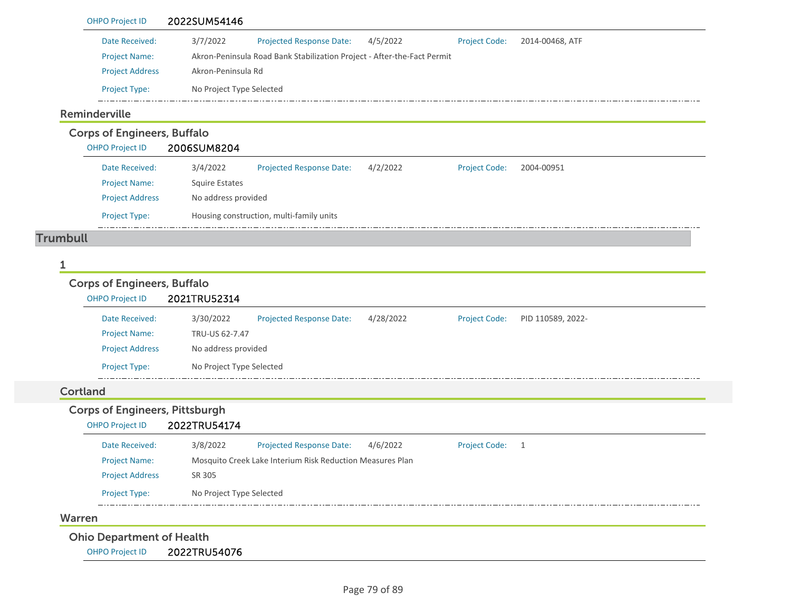| Date Received:                                                  | 3/7/2022                                                                | <b>Projected Response Date:</b> | 4/5/2022  | <b>Project Code:</b> | 2014-00468, ATF   |
|-----------------------------------------------------------------|-------------------------------------------------------------------------|---------------------------------|-----------|----------------------|-------------------|
| <b>Project Name:</b>                                            | Akron-Peninsula Road Bank Stabilization Project - After-the-Fact Permit |                                 |           |                      |                   |
| <b>Project Address</b>                                          | Akron-Peninsula Rd                                                      |                                 |           |                      |                   |
| Project Type:                                                   | No Project Type Selected                                                |                                 |           |                      |                   |
| Reminderville                                                   |                                                                         |                                 |           |                      |                   |
| <b>Corps of Engineers, Buffalo</b>                              |                                                                         |                                 |           |                      |                   |
| <b>OHPO Project ID</b>                                          | 2006SUM8204                                                             |                                 |           |                      |                   |
| Date Received:                                                  | 3/4/2022                                                                | Projected Response Date:        | 4/2/2022  | <b>Project Code:</b> | 2004-00951        |
| <b>Project Name:</b>                                            | <b>Squire Estates</b>                                                   |                                 |           |                      |                   |
| <b>Project Address</b>                                          | No address provided                                                     |                                 |           |                      |                   |
| Project Type:                                                   | Housing construction, multi-family units                                |                                 |           |                      |                   |
| <b>Trumbull</b>                                                 |                                                                         |                                 |           |                      |                   |
|                                                                 |                                                                         |                                 |           |                      |                   |
| 1                                                               |                                                                         |                                 |           |                      |                   |
| <b>Corps of Engineers, Buffalo</b><br><b>OHPO Project ID</b>    | 2021TRU52314                                                            |                                 |           |                      |                   |
| Date Received:                                                  | 3/30/2022                                                               | <b>Projected Response Date:</b> | 4/28/2022 | <b>Project Code:</b> | PID 110589, 2022- |
| <b>Project Name:</b>                                            | TRU-US 62-7.47                                                          |                                 |           |                      |                   |
| <b>Project Address</b>                                          | No address provided                                                     |                                 |           |                      |                   |
| Project Type:                                                   | No Project Type Selected                                                |                                 |           |                      |                   |
| <b>Cortland</b>                                                 |                                                                         |                                 |           |                      |                   |
| <b>Corps of Engineers, Pittsburgh</b><br><b>OHPO Project ID</b> | 2022TRU54174                                                            |                                 |           |                      |                   |
| Date Received:                                                  | 3/8/2022                                                                | Projected Response Date:        | 4/6/2022  | <b>Project Code:</b> | 1                 |
| <b>Project Name:</b>                                            | Mosquito Creek Lake Interium Risk Reduction Measures Plan               |                                 |           |                      |                   |
| <b>Project Address</b>                                          | SR 305                                                                  |                                 |           |                      |                   |
| Project Type:                                                   | No Project Type Selected                                                |                                 |           |                      |                   |
| Warren                                                          | -------------------                                                     |                                 |           |                      |                   |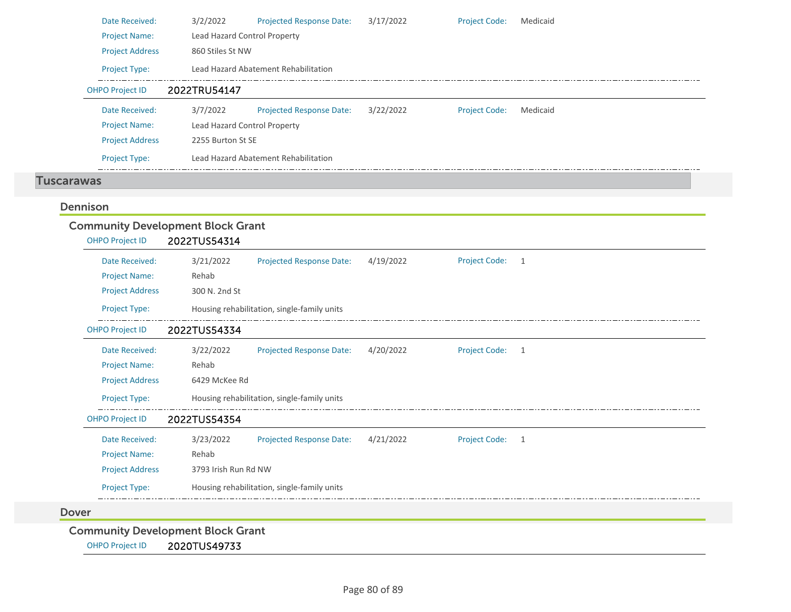| Date Received:<br><b>Project Name:</b>   | 3/2/2022<br>Lead Hazard Control Property | <b>Projected Response Date:</b>             | 3/17/2022 | <b>Project Code:</b> | Medicaid     |
|------------------------------------------|------------------------------------------|---------------------------------------------|-----------|----------------------|--------------|
| <b>Project Address</b>                   | 860 Stiles St NW                         |                                             |           |                      |              |
| Project Type:                            |                                          | Lead Hazard Abatement Rehabilitation        |           |                      |              |
| <b>OHPO Project ID</b>                   | 2022TRU54147                             |                                             |           |                      |              |
| Date Received:                           | 3/7/2022                                 | <b>Projected Response Date:</b>             | 3/22/2022 | <b>Project Code:</b> | Medicaid     |
| <b>Project Name:</b>                     | Lead Hazard Control Property             |                                             |           |                      |              |
| <b>Project Address</b>                   | 2255 Burton St SE                        |                                             |           |                      |              |
| Project Type:                            |                                          | Lead Hazard Abatement Rehabilitation        |           |                      |              |
| <b>Tuscarawas</b>                        |                                          |                                             |           |                      |              |
| Dennison                                 |                                          |                                             |           |                      |              |
| <b>Community Development Block Grant</b> |                                          |                                             |           |                      |              |
| <b>OHPO Project ID</b>                   | 2022TUS54314                             |                                             |           |                      |              |
| Date Received:                           | 3/21/2022                                | <b>Projected Response Date:</b>             | 4/19/2022 | <b>Project Code:</b> | 1            |
| <b>Project Name:</b>                     | Rehab                                    |                                             |           |                      |              |
| <b>Project Address</b>                   | 300 N. 2nd St                            |                                             |           |                      |              |
|                                          |                                          |                                             |           |                      |              |
| Project Type:                            |                                          | Housing rehabilitation, single-family units |           |                      |              |
| <b>OHPO Project ID</b>                   | 2022TUS54334                             |                                             |           |                      |              |
| Date Received:                           | 3/22/2022                                | <b>Projected Response Date:</b>             | 4/20/2022 | <b>Project Code:</b> | $\mathbf{1}$ |
| <b>Project Name:</b>                     | Rehab                                    |                                             |           |                      |              |
| <b>Project Address</b>                   | 6429 McKee Rd                            |                                             |           |                      |              |
| Project Type:                            |                                          | Housing rehabilitation, single-family units |           |                      |              |
| <b>OHPO Project ID</b>                   | 2022TUS54354                             |                                             |           |                      |              |
| Date Received:                           | 3/23/2022                                | <b>Projected Response Date:</b>             | 4/21/2022 | <b>Project Code:</b> | 1            |
| <b>Project Name:</b>                     | Rehab                                    |                                             |           |                      |              |
| <b>Project Address</b>                   | 3793 Irish Run Rd NW                     |                                             |           |                      |              |
| Project Type:                            |                                          | Housing rehabilitation, single-family units |           |                      |              |
| <b>Dover</b>                             |                                          |                                             |           |                      |              |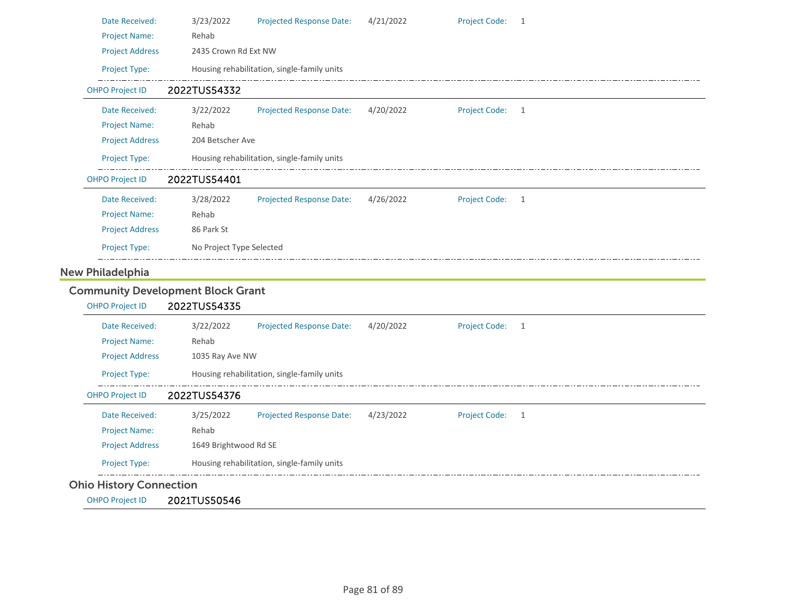| Date Received:          | 3/23/2022                                | <b>Projected Response Date:</b>             | 4/21/2022 | <b>Project Code:</b> | $\mathbf{1}$   |
|-------------------------|------------------------------------------|---------------------------------------------|-----------|----------------------|----------------|
| <b>Project Name:</b>    | Rehab                                    |                                             |           |                      |                |
| <b>Project Address</b>  | 2435 Crown Rd Ext NW                     |                                             |           |                      |                |
| Project Type:           |                                          | Housing rehabilitation, single-family units |           |                      |                |
| <b>OHPO Project ID</b>  | 2022TUS54332                             |                                             |           |                      |                |
| Date Received:          | 3/22/2022                                | <b>Projected Response Date:</b>             | 4/20/2022 | <b>Project Code:</b> | 1              |
| <b>Project Name:</b>    | Rehab                                    |                                             |           |                      |                |
| <b>Project Address</b>  | 204 Betscher Ave                         |                                             |           |                      |                |
| Project Type:           |                                          | Housing rehabilitation, single-family units |           |                      |                |
| <b>OHPO Project ID</b>  | 2022TUS54401                             |                                             |           |                      |                |
| Date Received:          | 3/28/2022                                | <b>Projected Response Date:</b>             | 4/26/2022 | <b>Project Code:</b> | $\overline{1}$ |
| <b>Project Name:</b>    | Rehab                                    |                                             |           |                      |                |
|                         |                                          |                                             |           |                      |                |
| <b>Project Address</b>  | 86 Park St                               |                                             |           |                      |                |
| Project Type:           | No Project Type Selected                 |                                             |           |                      |                |
| <b>New Philadelphia</b> |                                          |                                             |           |                      |                |
|                         | <b>Community Development Block Grant</b> |                                             |           |                      |                |
| <b>OHPO Project ID</b>  | 2022TUS54335                             |                                             |           |                      |                |
| Date Received:          | 3/22/2022                                | <b>Projected Response Date:</b>             | 4/20/2022 | <b>Project Code:</b> | 1              |
| <b>Project Name:</b>    | Rehab                                    |                                             |           |                      |                |
| <b>Project Address</b>  | 1035 Ray Ave NW                          |                                             |           |                      |                |
| Project Type:           |                                          | Housing rehabilitation, single-family units |           |                      |                |
| <b>OHPO Project ID</b>  | 2022TUS54376                             |                                             |           |                      |                |
| Date Received:          | 3/25/2022                                | <b>Projected Response Date:</b>             | 4/23/2022 | <b>Project Code:</b> | 1              |
| <b>Project Name:</b>    | Rehab                                    |                                             |           |                      |                |
| <b>Project Address</b>  | 1649 Brightwood Rd SE                    |                                             |           |                      |                |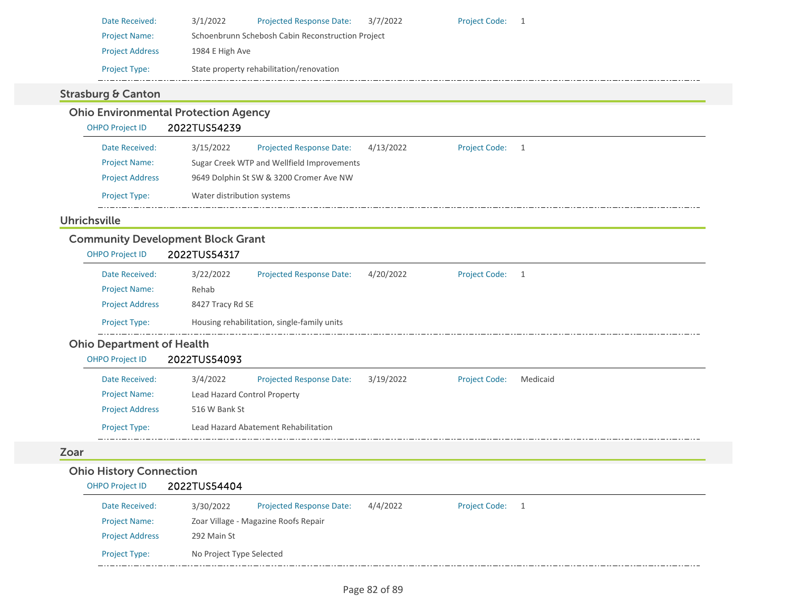| Date Received:         | 3/1/2022                                          | <b>Projected Response Date:</b>          | 3/7/2022 | <b>Project Code:</b> |  |  |  |
|------------------------|---------------------------------------------------|------------------------------------------|----------|----------------------|--|--|--|
| <b>Project Name:</b>   | Schoenbrunn Schebosh Cabin Reconstruction Project |                                          |          |                      |  |  |  |
| <b>Project Address</b> | 1984 E High Ave                                   |                                          |          |                      |  |  |  |
| <b>Project Type:</b>   |                                                   | State property rehabilitation/renovation |          |                      |  |  |  |

## Strasburg & Canton

# Ohio Environmental Protection Agency

## OHPO Project ID 2022TUS54239

| Date Received:         | 3/15/2022                                  | <b>Projected Response Date:</b> | 4/13/2022 | <b>Project Code:</b> |  |
|------------------------|--------------------------------------------|---------------------------------|-----------|----------------------|--|
| <b>Project Name:</b>   | Sugar Creek WTP and Wellfield Improvements |                                 |           |                      |  |
| <b>Project Address</b> | 9649 Dolphin St SW & 3200 Cromer Ave NW    |                                 |           |                      |  |
| <b>Project Type:</b>   | Water distribution systems                 |                                 |           |                      |  |

## Uhrichsville

## Community Development Block Grant

| Date Received:         | 3/22/2022 | <b>Projected Response Date:</b>             | 4/20/2022 | <b>Project Code:</b> |  |  |  |
|------------------------|-----------|---------------------------------------------|-----------|----------------------|--|--|--|
| <b>Project Name:</b>   | Rehab     |                                             |           |                      |  |  |  |
| <b>Project Address</b> |           | 8427 Tracy Rd SE                            |           |                      |  |  |  |
| <b>Project Type:</b>   |           | Housing rehabilitation, single-family units |           |                      |  |  |  |

### Ohio Department of Health

# OHPO Project ID 2022TUS54093

| Date Received:         | 3/4/2022                     | <b>Projected Response Date:</b>      | 3/19/2022 | <b>Project Code:</b> | Medicaid |  |  |
|------------------------|------------------------------|--------------------------------------|-----------|----------------------|----------|--|--|
| <b>Project Name:</b>   | Lead Hazard Control Property |                                      |           |                      |          |  |  |
| <b>Project Address</b> | 516 W Bank St                |                                      |           |                      |          |  |  |
| <b>Project Type:</b>   |                              | Lead Hazard Abatement Rehabilitation |           |                      |          |  |  |

## Zoar

## Ohio History Connection

#### OHPO Project ID 2022TUS54404

| Date Received:         | 3/30/2022                | <b>Projected Response Date:</b>      | 4/4/2022 | <b>Project Code:</b> |  |  |
|------------------------|--------------------------|--------------------------------------|----------|----------------------|--|--|
| <b>Project Name:</b>   |                          | Zoar Village - Magazine Roofs Repair |          |                      |  |  |
| <b>Project Address</b> | 292 Main St              |                                      |          |                      |  |  |
| <b>Project Type:</b>   | No Project Type Selected |                                      |          |                      |  |  |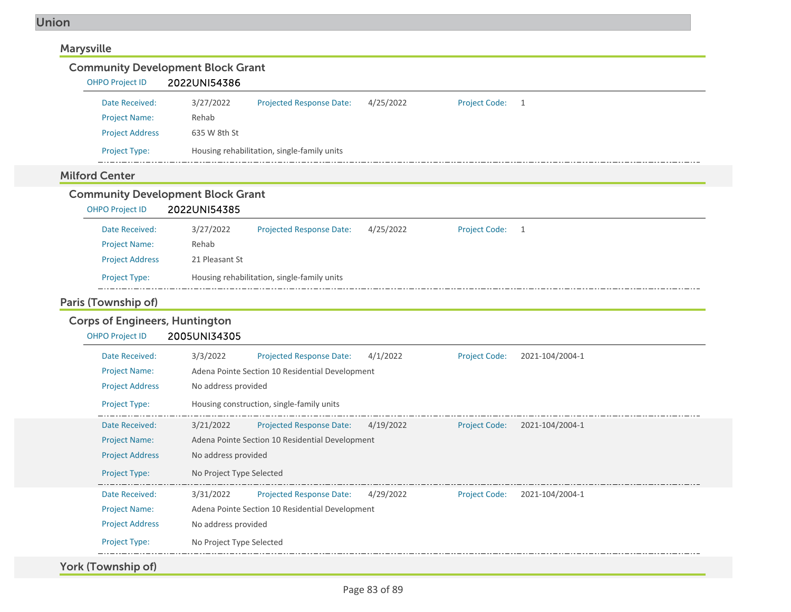| <b>Marysville</b>                                                  |                                                 |                                                 |           |                      |                 |  |
|--------------------------------------------------------------------|-------------------------------------------------|-------------------------------------------------|-----------|----------------------|-----------------|--|
| <b>Community Development Block Grant</b>                           |                                                 |                                                 |           |                      |                 |  |
| <b>OHPO Project ID</b>                                             | 2022UNI54386                                    |                                                 |           |                      |                 |  |
| Date Received:                                                     | 3/27/2022                                       | Projected Response Date:                        | 4/25/2022 | <b>Project Code:</b> | 1               |  |
| <b>Project Name:</b>                                               | Rehab                                           |                                                 |           |                      |                 |  |
| <b>Project Address</b>                                             | 635 W 8th St                                    |                                                 |           |                      |                 |  |
| Project Type:                                                      |                                                 | Housing rehabilitation, single-family units     |           |                      |                 |  |
| <b>Milford Center</b>                                              |                                                 |                                                 |           |                      |                 |  |
| <b>Community Development Block Grant</b><br><b>OHPO Project ID</b> | 2022UNI54385                                    |                                                 |           |                      |                 |  |
| Date Received:                                                     | 3/27/2022                                       | <b>Projected Response Date:</b>                 | 4/25/2022 | <b>Project Code:</b> | $\overline{1}$  |  |
| <b>Project Name:</b>                                               | Rehab                                           |                                                 |           |                      |                 |  |
| <b>Project Address</b>                                             | 21 Pleasant St                                  |                                                 |           |                      |                 |  |
| Project Type:                                                      |                                                 | Housing rehabilitation, single-family units     |           |                      |                 |  |
| Paris (Township of)                                                |                                                 |                                                 |           |                      |                 |  |
| <b>Corps of Engineers, Huntington</b>                              |                                                 |                                                 |           |                      |                 |  |
| <b>OHPO Project ID</b>                                             | 2005UNI34305                                    |                                                 |           |                      |                 |  |
| Date Received:                                                     | 3/3/2022                                        | <b>Projected Response Date:</b>                 | 4/1/2022  | <b>Project Code:</b> | 2021-104/2004-1 |  |
| <b>Project Name:</b>                                               |                                                 | Adena Pointe Section 10 Residential Development |           |                      |                 |  |
| <b>Project Address</b>                                             | No address provided                             |                                                 |           |                      |                 |  |
| Project Type:                                                      |                                                 | Housing construction, single-family units       |           |                      |                 |  |
| Date Received:                                                     | 3/21/2022                                       | <b>Projected Response Date:</b>                 | 4/19/2022 | <b>Project Code:</b> | 2021-104/2004-1 |  |
| <b>Project Name:</b>                                               | Adena Pointe Section 10 Residential Development |                                                 |           |                      |                 |  |
| <b>Project Address</b>                                             | No address provided                             |                                                 |           |                      |                 |  |
| Project Type:                                                      | No Project Type Selected                        |                                                 |           |                      |                 |  |
| Date Received:                                                     | 3/31/2022                                       | Projected Response Date:                        | 4/29/2022 | <b>Project Code:</b> | 2021-104/2004-1 |  |
| <b>Project Name:</b>                                               |                                                 | Adena Pointe Section 10 Residential Development |           |                      |                 |  |
| <b>Project Address</b>                                             | No address provided                             |                                                 |           |                      |                 |  |
| Project Type:                                                      | No Project Type Selected                        |                                                 |           |                      |                 |  |
| York (Township of)                                                 |                                                 |                                                 |           |                      |                 |  |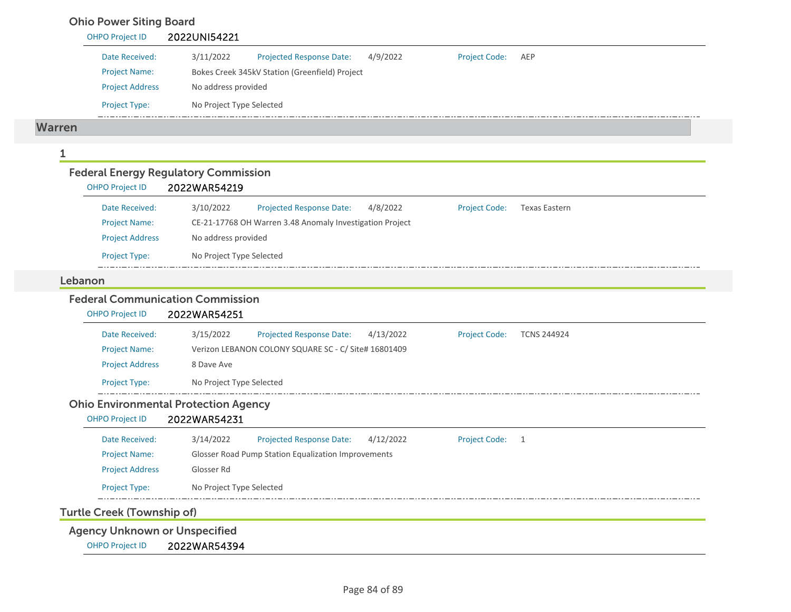## Ohio Power Siting Board

|               | <b>OHPO Project ID</b> | 2022UNI54221                                                                                             |
|---------------|------------------------|----------------------------------------------------------------------------------------------------------|
|               | Date Received:         | 3/11/2022<br><b>Projected Response Date:</b><br>4/9/2022<br><b>Project Code:</b><br>AEP                  |
|               | <b>Project Name:</b>   | Bokes Creek 345kV Station (Greenfield) Project                                                           |
|               | <b>Project Address</b> | No address provided                                                                                      |
|               | Project Type:          | No Project Type Selected                                                                                 |
| <b>Warren</b> |                        |                                                                                                          |
| 1             |                        |                                                                                                          |
|               |                        | <b>Federal Energy Regulatory Commission</b>                                                              |
|               | <b>OHPO Project ID</b> | 2022WAR54219                                                                                             |
|               | Date Received:         | 3/10/2022<br><b>Projected Response Date:</b><br>4/8/2022<br><b>Project Code:</b><br><b>Texas Eastern</b> |
|               | <b>Project Name:</b>   | CE-21-17768 OH Warren 3.48 Anomaly Investigation Project                                                 |
|               | <b>Project Address</b> | No address provided                                                                                      |
|               | <b>Project Type:</b>   | No Project Type Selected                                                                                 |
| Lebanon       |                        |                                                                                                          |
|               |                        | <b>Federal Communication Commission</b>                                                                  |
|               | <b>OHPO Project ID</b> | 2022WAR54251                                                                                             |
|               | Date Received:         | 3/15/2022<br><b>Projected Response Date:</b><br>4/13/2022<br><b>Project Code:</b><br><b>TCNS 244924</b>  |
|               | <b>Project Name:</b>   | Verizon LEBANON COLONY SQUARE SC - C/ Site# 16801409                                                     |
|               | <b>Project Address</b> | 8 Dave Ave                                                                                               |
|               | Project Type:          | No Project Type Selected                                                                                 |
|               |                        | <b>Ohio Environmental Protection Agency</b>                                                              |
|               | <b>OHPO Project ID</b> | 2022WAR54231                                                                                             |
|               | Date Received:         | 3/14/2022<br><b>Projected Response Date:</b><br>4/12/2022<br>Project Code: 1                             |
|               | <b>Project Name:</b>   | Glosser Road Pump Station Equalization Improvements                                                      |
|               | <b>Project Address</b> | Glosser Rd                                                                                               |

Project Type: No Project Type Selected

Turtle Creek (Township of)

Agency Unknown or Unspecified

OHPO Project ID 2022WAR54394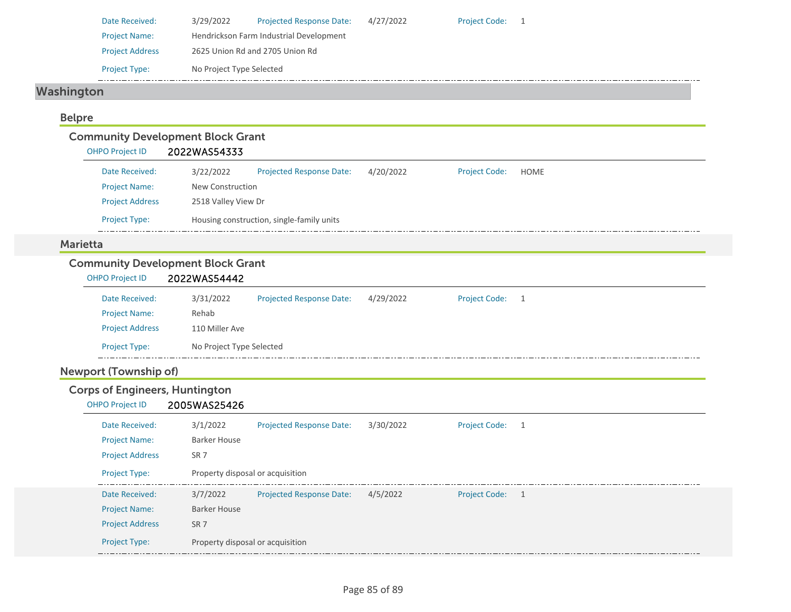| Date Received:         | 3/29/2022                               | <b>Projected Response Date:</b> | 4/27/2022 | <b>Project Code:</b> |  |  |
|------------------------|-----------------------------------------|---------------------------------|-----------|----------------------|--|--|
| <b>Project Name:</b>   | Hendrickson Farm Industrial Development |                                 |           |                      |  |  |
| <b>Project Address</b> | 2625 Union Rd and 2705 Union Rd         |                                 |           |                      |  |  |
| <b>Project Type:</b>   | No Project Type Selected                |                                 |           |                      |  |  |

# Washington

### Belpre

# Community Development Block Grant

| <b>OHPO Project ID</b> | 2022WAS54333 |                                           |           |                      |      |  |  |
|------------------------|--------------|-------------------------------------------|-----------|----------------------|------|--|--|
| Date Received:         | 3/22/2022    | <b>Projected Response Date:</b>           | 4/20/2022 | <b>Project Code:</b> | HOME |  |  |
| <b>Project Name:</b>   |              | New Construction                          |           |                      |      |  |  |
| <b>Project Address</b> |              | 2518 Valley View Dr                       |           |                      |      |  |  |
| <b>Project Type:</b>   |              | Housing construction, single-family units |           |                      |      |  |  |

#### Marietta

## Community Development Block Grant

| <b>OHPO Project ID</b> | 2022WAS54442             |                                 |           |                 |  |
|------------------------|--------------------------|---------------------------------|-----------|-----------------|--|
| Date Received:         | 3/31/2022                | <b>Projected Response Date:</b> | 4/29/2022 | Project Code: 1 |  |
| <b>Project Name:</b>   | Rehab                    |                                 |           |                 |  |
| <b>Project Address</b> | 110 Miller Ave           |                                 |           |                 |  |
| <b>Project Type:</b>   | No Project Type Selected |                                 |           |                 |  |

## Newport (Township of)

## Corps of Engineers, Huntington

#### OHPO Project ID 2005WAS25426

| Date Received:<br><b>Project Name:</b>                           | 3/1/2022<br>Barker House                            | <b>Projected Response Date:</b> | 3/30/2022 | <b>Project Code:</b> |                |
|------------------------------------------------------------------|-----------------------------------------------------|---------------------------------|-----------|----------------------|----------------|
| <b>Project Address</b><br><b>Project Type:</b>                   | SR <sub>7</sub><br>Property disposal or acquisition |                                 |           |                      |                |
| Date Received:<br><b>Project Name:</b><br><b>Project Address</b> | 3/7/2022<br>Barker House<br>SR <sub>7</sub>         | <b>Projected Response Date:</b> | 4/5/2022  | <b>Project Code:</b> | $\overline{1}$ |
| <b>Project Type:</b>                                             | Property disposal or acquisition                    |                                 |           |                      |                |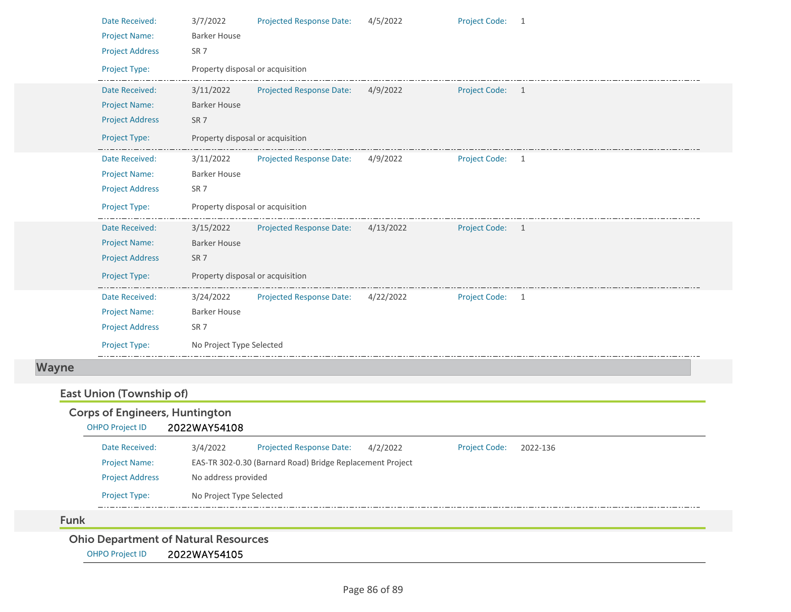| Date Received:         | 3/7/2022                 | <b>Projected Response Date:</b>  | 4/5/2022  | <b>Project Code:</b> | -1             |
|------------------------|--------------------------|----------------------------------|-----------|----------------------|----------------|
| <b>Project Name:</b>   | <b>Barker House</b>      |                                  |           |                      |                |
| <b>Project Address</b> | SR <sub>7</sub>          |                                  |           |                      |                |
| Project Type:          |                          | Property disposal or acquisition |           |                      |                |
| Date Received:         | 3/11/2022                | Projected Response Date:         | 4/9/2022  | Project Code: 1      |                |
| <b>Project Name:</b>   | <b>Barker House</b>      |                                  |           |                      |                |
| <b>Project Address</b> | SR <sub>7</sub>          |                                  |           |                      |                |
| Project Type:          |                          | Property disposal or acquisition |           |                      |                |
| Date Received:         | 3/11/2022                | Projected Response Date:         | 4/9/2022  | <b>Project Code:</b> | - 1            |
| <b>Project Name:</b>   | <b>Barker House</b>      |                                  |           |                      |                |
| <b>Project Address</b> | SR <sub>7</sub>          |                                  |           |                      |                |
|                        |                          |                                  |           |                      |                |
| Project Type:          |                          | Property disposal or acquisition |           |                      |                |
| Date Received:         | 3/15/2022                | <b>Projected Response Date:</b>  | 4/13/2022 | Project Code: 1      |                |
| <b>Project Name:</b>   | <b>Barker House</b>      |                                  |           |                      |                |
| <b>Project Address</b> | SR <sub>7</sub>          |                                  |           |                      |                |
| Project Type:          |                          | Property disposal or acquisition |           |                      |                |
| Date Received:         | 3/24/2022                | <b>Projected Response Date:</b>  | 4/22/2022 | <b>Project Code:</b> | $\overline{1}$ |
| <b>Project Name:</b>   | <b>Barker House</b>      |                                  |           |                      |                |
| <b>Project Address</b> | SR <sub>7</sub>          |                                  |           |                      |                |
| Project Type:          | No Project Type Selected |                                  |           |                      |                |
|                        |                          |                                  |           |                      |                |

# East Union (Township of)

Wayne

|             | <b>Corps of Engineers, Huntington</b> |                          |                                                           |          |                      |          |
|-------------|---------------------------------------|--------------------------|-----------------------------------------------------------|----------|----------------------|----------|
|             | <b>OHPO Project ID</b>                | 2022WAY54108             |                                                           |          |                      |          |
|             | Date Received:                        | 3/4/2022                 | <b>Projected Response Date:</b>                           | 4/2/2022 | <b>Project Code:</b> | 2022-136 |
|             | <b>Project Name:</b>                  |                          | EAS-TR 302-0.30 (Barnard Road) Bridge Replacement Project |          |                      |          |
|             | <b>Project Address</b>                | No address provided      |                                                           |          |                      |          |
|             | <b>Project Type:</b>                  | No Project Type Selected |                                                           |          |                      |          |
| <b>Funk</b> |                                       |                          |                                                           |          |                      |          |

Ohio Department of Natural Resources

OHPO Project ID 2022WAY54105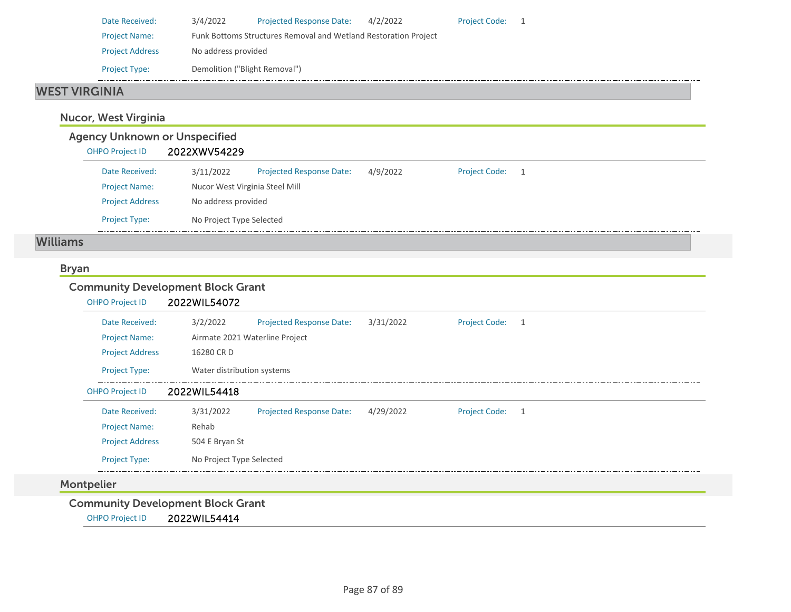| Date Received:         | 3/4/2022                      | <b>Projected Response Date:</b>                                 | 4/2/2022 | <b>Project Code:</b> |  |
|------------------------|-------------------------------|-----------------------------------------------------------------|----------|----------------------|--|
| <b>Project Name:</b>   |                               | Funk Bottoms Structures Removal and Wetland Restoration Project |          |                      |  |
| <b>Project Address</b> | No address provided           |                                                                 |          |                      |  |
| <b>Project Type:</b>   | Demolition ("Blight Removal") |                                                                 |          |                      |  |

#### WEST VIRGINIA

## Nucor, West Virginia

| <b>Agency Unknown or Unspecified</b> |                                |                                 |          |                      |  |
|--------------------------------------|--------------------------------|---------------------------------|----------|----------------------|--|
| <b>OHPO Project ID</b>               | 2022XWV54229                   |                                 |          |                      |  |
| Date Received:                       | 3/11/2022                      | <b>Projected Response Date:</b> | 4/9/2022 | <b>Project Code:</b> |  |
| <b>Project Name:</b>                 | Nucor West Virginia Steel Mill |                                 |          |                      |  |
| <b>Project Address</b>               | No address provided            |                                 |          |                      |  |
| <b>Project Type:</b>                 | No Project Type Selected       |                                 |          |                      |  |

### Williams

### Bryan

### Community Development Block Grant

| <b>OHPO Project ID</b> | 2022WIL54072                   |                                 |           |                      |   |
|------------------------|--------------------------------|---------------------------------|-----------|----------------------|---|
| Date Received:         | 3/2/2022                       | <b>Projected Response Date:</b> | 3/31/2022 | Project Code: 1      |   |
| <b>Project Name:</b>   | Airmate 2021 Waterline Project |                                 |           |                      |   |
| <b>Project Address</b> | 16280 CR D                     |                                 |           |                      |   |
| <b>Project Type:</b>   | Water distribution systems     |                                 |           |                      |   |
| <b>OHPO Project ID</b> | 2022WIL54418                   |                                 |           |                      |   |
| Date Received:         | 3/31/2022                      | <b>Projected Response Date:</b> | 4/29/2022 | <b>Project Code:</b> | 1 |
| <b>Project Name:</b>   | Rehab                          |                                 |           |                      |   |
| <b>Project Address</b> | 504 E Bryan St                 |                                 |           |                      |   |
| <b>Project Type:</b>   | No Project Type Selected       |                                 |           |                      |   |

## Montpelier

Community Development Block Grant

OHPO Project ID 2022WIL54414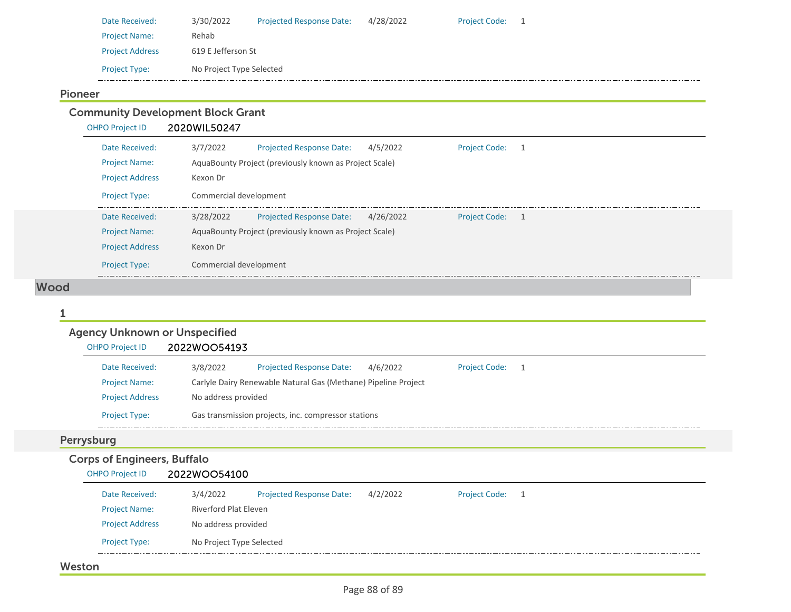| Date Received:         | 3/30/2022                | <b>Projected Response Date:</b> | 4/28/2022 | <b>Project Code:</b> |  |
|------------------------|--------------------------|---------------------------------|-----------|----------------------|--|
| <b>Project Name:</b>   | Rehab                    |                                 |           |                      |  |
| <b>Project Address</b> | 619 E Jefferson St       |                                 |           |                      |  |
| <b>Project Type:</b>   | No Project Type Selected |                                 |           |                      |  |

#### Pioneer

Community Development Block Grant<br>
OHPO Project ID 2020WIL50247

2020WIL50247

| Date Received:<br><b>Project Name:</b> | 3/7/2022<br>4/5/2022<br>Projected Response Date:<br><b>Project Code:</b><br>AquaBounty Project (previously known as Project Scale) |
|----------------------------------------|------------------------------------------------------------------------------------------------------------------------------------|
| <b>Project Address</b>                 | Kexon Dr                                                                                                                           |
| <b>Project Type:</b>                   | Commercial development                                                                                                             |
| Date Received:                         | 3/28/2022<br>4/26/2022<br><b>Project Code:</b><br><b>Projected Response Date:</b><br>$\overline{1}$                                |
| <b>Project Name:</b>                   | AquaBounty Project (previously known as Project Scale)                                                                             |
| <b>Project Address</b>                 | Kexon Dr                                                                                                                           |
| <b>Project Type:</b>                   | Commercial development                                                                                                             |

#### Wood

| <b>Agency Unknown or Unspecified</b>             |                                                                                      |
|--------------------------------------------------|--------------------------------------------------------------------------------------|
| <b>OHPO Project ID</b>                           | 2022WOO54193                                                                         |
| Date Received:                                   | 3/8/2022<br><b>Project Code:</b><br><b>Projected Response Date:</b><br>4/6/2022<br>1 |
| <b>Project Name:</b>                             | Carlyle Dairy Renewable Natural Gas (Methane) Pipeline Project                       |
| <b>Project Address</b>                           | No address provided                                                                  |
| Project Type:                                    | Gas transmission projects, inc. compressor stations                                  |
| Perrysburg<br><b>Corps of Engineers, Buffalo</b> |                                                                                      |
| <b>OHPO Project ID</b>                           | 2022WOO54100                                                                         |
| Date Received:                                   | <b>Project Code:</b><br><b>Projected Response Date:</b><br>4/2/2022<br>3/4/2022<br>1 |
| <b>Project Name:</b>                             | Riverford Plat Eleven                                                                |
| <b>Project Address</b>                           | No address provided                                                                  |
|                                                  |                                                                                      |

#### Weston